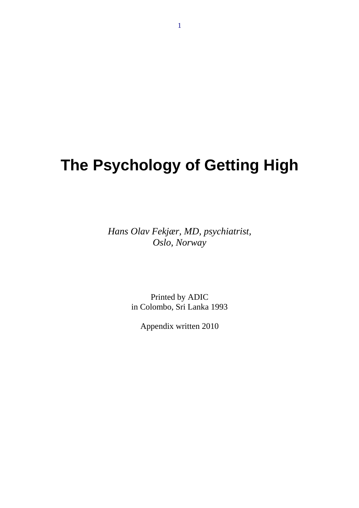# **The Psychology of Getting High**

*Hans Olav Fekjær, MD, psychiatrist, Oslo, Norway* 

> Printed by ADIC in Colombo, Sri Lanka 1993

Appendix written 2010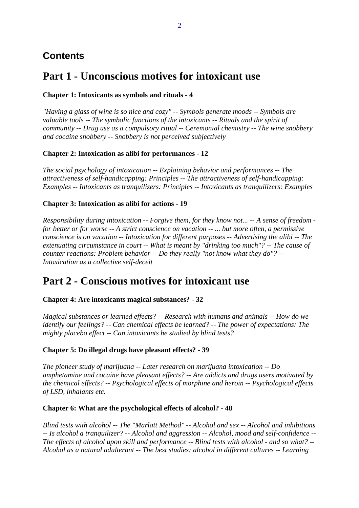# **Contents**

# **Part 1 - Unconscious motives for intoxicant use**

#### **Chapter 1: Intoxicants as symbols and rituals - 4**

*"Having a glass of wine is so nice and cozy" -- Symbols generate moods -- Symbols are valuable tools -- The symbolic functions of the intoxicants -- Rituals and the spirit of community -- Drug use as a compulsory ritual -- Ceremonial chemistry -- The wine snobbery and cocaine snobbery -- Snobbery is not perceived subjectively* 

#### **Chapter 2: Intoxication as alibi for performances - 12**

*The social psychology of intoxication -- Explaining behavior and performances -- The attractiveness of self-handicapping: Principles -- The attractiveness of self-handicapping: Examples -- Intoxicants as tranquilizers: Principles -- Intoxicants as tranquilizers: Examples* 

#### **Chapter 3: Intoxication as alibi for actions - 19**

*Responsibility during intoxication -- Forgive them, for they know not... -- A sense of freedom for better or for worse -- A strict conscience on vacation -- ... but more often, a permissive conscience is on vacation -- Intoxication for different purposes -- Advertising the alibi -- The extenuating circumstance in court -- What is meant by "drinking too much"? -- The cause of counter reactions: Problem behavior -- Do they really "not know what they do"? -- Intoxication as a collective self-deceit* 

# **Part 2 - Conscious motives for intoxicant use**

#### **Chapter 4: Are intoxicants magical substances? - 32**

*Magical substances or learned effects? -- Research with humans and animals -- How do we identify our feelings? -- Can chemical effects be learned? -- The power of expectations: The mighty placebo effect -- Can intoxicants be studied by blind tests?* 

#### **Chapter 5: Do illegal drugs have pleasant effects? - 39**

*The pioneer study of marijuana -- Later research on marijuana intoxication -- Do amphetamine and cocaine have pleasant effects? -- Are addicts and drugs users motivated by the chemical effects? -- Psychological effects of morphine and heroin -- Psychological effects of LSD, inhalants etc.* 

#### **Chapter 6: What are the psychological effects of alcohol? - 48**

*Blind tests with alcohol -- The "Marlatt Method" -- Alcohol and sex -- Alcohol and inhibitions -- Is alcohol a tranquilizer? -- Alcohol and aggression -- Alcohol, mood and self-confidence -- The effects of alcohol upon skill and performance -- Blind tests with alcohol - and so what? -- Alcohol as a natural adulterant -- The best studies: alcohol in different cultures -- Learning*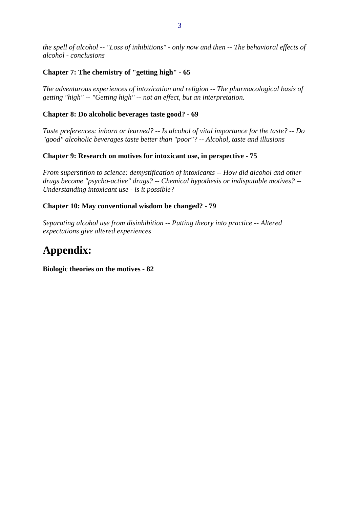*the spell of alcohol -- "Loss of inhibitions" - only now and then -- The behavioral effects of alcohol - conclusions* 

#### **Chapter 7: The chemistry of "getting high" - 65**

*The adventurous experiences of intoxication and religion -- The pharmacological basis of getting "high" -- "Getting high" -- not an effect, but an interpretation.* 

#### **Chapter 8: Do alcoholic beverages taste good? - 69**

*Taste preferences: inborn or learned? -- Is alcohol of vital importance for the taste? -- Do "good" alcoholic beverages taste better than "poor"? -- Alcohol, taste and illusions* 

#### **Chapter 9: Research on motives for intoxicant use, in perspective - 75**

*From superstition to science: demystification of intoxicants -- How did alcohol and other drugs become "psycho-active" drugs? -- Chemical hypothesis or indisputable motives? -- Understanding intoxicant use - is it possible?* 

#### **Chapter 10: May conventional wisdom be changed? - 79**

*Separating alcohol use from disinhibition -- Putting theory into practice -- Altered expectations give altered experiences* 

# **Appendix:**

**Biologic theories on the motives - 82**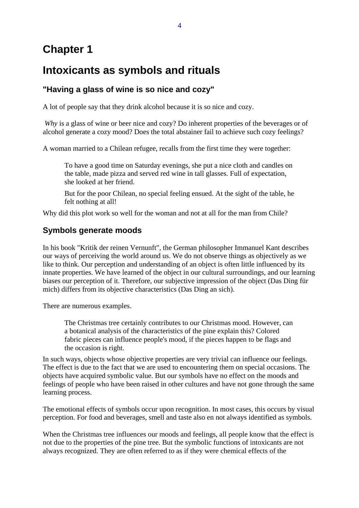# **Chapter 1**

# **Intoxicants as symbols and rituals**

### **"Having a glass of wine is so nice and cozy"**

A lot of people say that they drink alcohol because it is so nice and cozy.

*Why* is a glass of wine or beer nice and cozy? Do inherent properties of the beverages or of alcohol generate a cozy mood? Does the total abstainer fail to achieve such cozy feelings?

A woman married to a Chilean refugee, recalls from the first time they were together:

To have a good time on Saturday evenings, she put a nice cloth and candles on the table, made pizza and served red wine in tall glasses. Full of expectation, she looked at her friend.

But for the poor Chilean, no special feeling ensued. At the sight of the table, he felt nothing at all!

Why did this plot work so well for the woman and not at all for the man from Chile?

### **Symbols generate moods**

In his book "Kritik der reinen Vernunft", the German philosopher Immanuel Kant describes our ways of perceiving the world around us. We do not observe things as objectively as we like to think. Our perception and understanding of an object is often little influenced by its innate properties. We have learned of the object in our cultural surroundings, and our learning biases our perception of it. Therefore, our subjective impression of the object (Das Ding für mich) differs from its objective characteristics (Das Ding an sich).

There are numerous examples.

The Christmas tree certainly contributes to our Christmas mood. However, can a botanical analysis of the characteristics of the pine explain this? Colored fabric pieces can influence people's mood, if the pieces happen to be flags and the occasion is right.

In such ways, objects whose objective properties are very trivial can influence our feelings. The effect is due to the fact that we are used to encountering them on special occasions. The objects have acquired symbolic value. But our symbols have no effect on the moods and feelings of people who have been raised in other cultures and have not gone through the same learning process.

The emotional effects of symbols occur upon recognition. In most cases, this occurs by visual perception. For food and beverages, smell and taste also en not always identified as symbols.

When the Christmas tree influences our moods and feelings, all people know that the effect is not due to the properties of the pine tree. But the symbolic functions of intoxicants are not always recognized. They are often referred to as if they were chemical effects of the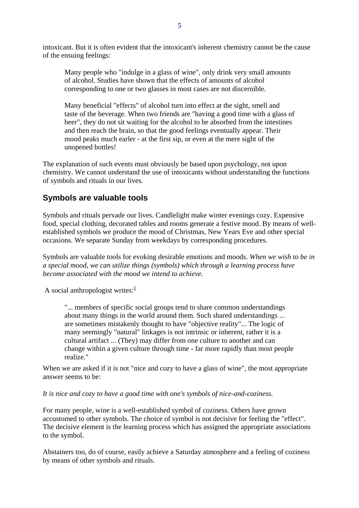intoxicant. But it is often evident that the intoxicant's inherent chemistry cannot be the cause of the ensuing feelings:

Many people who "indulge in a glass of wine", only drink very small amounts of alcohol. Studies have shown that the effects of amounts of alcohol corresponding to one or two glasses in most cases are not discernible.

Many beneficial "effects" of alcohol turn into effect at the sight, smell and taste of the beverage. When two friends are "having a good time with a glass of beer", they do not sit waiting for the alcohol to be absorbed from the intestines and then reach the brain, so that the good feelings eventually appear. Their mood peaks much earler - at the first sip, or even at the mere sight of the unopened bottles!

The explanation of such events must obviously be based upon psychology, not upon chemistry. We cannot understand the use of intoxicants without understanding the functions of symbols and rituals in our lives.

#### **Symbols are valuable tools**

Symbols and rituals pervade our lives. Candlelight make winter evenings cozy. Expensive food, special clothing, decorated tables and rooms generate a festive mood. By means of wellestablished symbols we produce the mood of Christmas, New Years Eve and other special occasions. We separate Sunday from weekdays by corresponding procedures.

Symbols are valuable tools for evoking desirable emotions and moods. *When we wish to be in a special mood, we can utilize things (symbols) which through a learning process have become associated with the mood we intend to achieve.*

A social anthropologist writes: $\frac{1}{1}$ 

"... members of specific social groups tend to share common understandings about many things in the world around them. Such shared understandings ... are sometimes mistakenly thought to have "objective reality"... The logic of many seemingly "natural" linkages is not intrinsic or inherent, rather it is a cultural artifact ... (They) may differ from one culture to another and can change within a given culture through time - far more rapidly than most people realize."

When we are asked if it is not "nice and cozy to have a glass of wine", the most appropriate answer seems to be:

*It is nice and cozy to have a good time with one's symbols of nice-and-coziness.*

For many people, wine is a well-established symbol of coziness. Others have grown accustomed to other symbols. The choice of symbol is not decisive for feeling the "effect". The decisive element is the learning process which has assigned the appropriate associations to the symbol.

Abstainers too, do of course, easily achieve a Saturday atmosphere and a feeling of coziness by means of other symbols and rituals.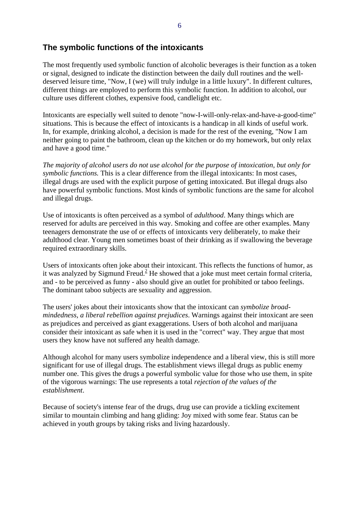#### **The symbolic functions of the intoxicants**

The most frequently used symbolic function of alcoholic beverages is their function as a token or signal, designed to indicate the distinction between the daily dull routines and the welldeserved leisure time, "Now, I (we) will truly indulge in a little luxury". In different cultures, different things are employed to perform this symbolic function. In addition to alcohol, our culture uses different clothes, expensive food, candlelight etc.

Intoxicants are especially well suited to denote "now-I-will-only-relax-and-have-a-good-time" situations. This is because the effect of intoxicants is a handicap in all kinds of useful work. In, for example, drinking alcohol, a decision is made for the rest of the evening, "Now I am neither going to paint the bathroom, clean up the kitchen or do my homework, but only relax and have a good time."

*The majority of alcohol users do not use alcohol for the purpose of intoxication, but only for symbolic functions.* This is a clear difference from the illegal intoxicants: In most cases, illegal drugs are used with the explicit purpose of getting intoxicated. But illegal drugs also have powerful symbolic functions. Most kinds of symbolic functions are the same for alcohol and illegal drugs.

Use of intoxicants is often perceived as a symbol of *adulthood*. Many things which are reserved for adults are perceived in this way. Smoking and coffee are other examples. Many teenagers demonstrate the use of or effects of intoxicants very deliberately, to make their adulthood clear. Young men sometimes boast of their drinking as if swallowing the beverage required extraordinary skills.

Users of intoxicants often joke about their intoxicant. This reflects the functions of humor, as it was analyzed by Sigmund Freud.<sup>2</sup> He showed that a joke must meet certain formal criteria, and - to be perceived as funny - also should give an outlet for prohibited or taboo feelings. The dominant taboo subjects are sexuality and aggression.

The users' jokes about their intoxicants show that the intoxicant can *symbolize broadmindedness, a liberal rebellion against prejudices*. Warnings against their intoxicant are seen as prejudices and perceived as giant exaggerations. Users of both alcohol and marijuana consider their intoxicant as safe when it is used in the "correct" way. They argue that most users they know have not suffered any health damage.

Although alcohol for many users symbolize independence and a liberal view, this is still more significant for use of illegal drugs. The establishment views illegal drugs as public enemy number one. This gives the drugs a powerful symbolic value for those who use them, in spite of the vigorous warnings: The use represents a total *rejection of the values of the establishment*.

Because of society's intense fear of the drugs, drug use can provide a tickling excitement similar to mountain climbing and hang gliding: Joy mixed with some fear. Status can be achieved in youth groups by taking risks and living hazardously.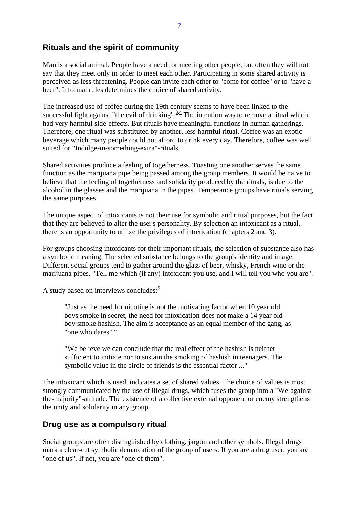### **Rituals and the spirit of community**

Man is a social animal. People have a need for meeting other people, but often they will not say that they meet only in order to meet each other. Participating in some shared activity is perceived as less threatening. People can invite each other to "come for coffee" or to "have a beer". Informal rules determines the choice of shared activity.

The increased use of coffee during the 19th century seems to have been linked to the successful fight against "the evil of drinking".  $3.4$  The intention was to remove a ritual which had very harmful side-effects. But rituals have meaningful functions in human gatherings. Therefore, one ritual was substituted by another, less harmful ritual. Coffee was an exotic beverage which many people could not afford to drink every day. Therefore, coffee was well suited for "Indulge-in-something-extra"-rituals.

Shared activities produce a feeling of togetherness. Toasting one another serves the same function as the marijuana pipe being passed among the group members. It would be naive to believe that the feeling of togetherness and solidarity produced by the rituals, is due to the alcohol in the glasses and the marijuana in the pipes. Temperance groups have rituals serving the same purposes.

The unique aspect of intoxicants is not their use for symbolic and ritual purposes, but the fact that they are believed to alter the user's personality. By selection an intoxicant as a ritual, there is an opportunity to utilize the privileges of intoxication (chapters 2 and 3).

For groups choosing intoxicants for their important rituals, the selection of substance also has a symbolic meaning. The selected substance belongs to the group's identity and image. Different social groups tend to gather around the glass of beer, whisky, French wine or the marijuana pipes. "Tell me which (if any) intoxicant you use, and I will tell you who you are".

A study based on interviews concludes:<sup>5</sup>

"Just as the need for nicotine is not the motivating factor when 10 year old boys smoke in secret, the need for intoxication does not make a 14 year old boy smoke hashish. The aim is acceptance as an equal member of the gang, as "one who dares"."

"We believe we can conclude that the real effect of the hashish is neither sufficient to initiate nor to sustain the smoking of hashish in teenagers. The symbolic value in the circle of friends is the essential factor ..."

The intoxicant which is used, indicates a set of shared values. The choice of values is most strongly communicated by the use of illegal drugs, which fuses the group into a "We-againstthe-majority"-attitude. The existence of a collective external opponent or enemy strengthens the unity and solidarity in any group.

#### **Drug use as a compulsory ritual**

Social groups are often distinguished by clothing, jargon and other symbols. Illegal drugs mark a clear-cut symbolic demarcation of the group of users. If you are a drug user, you are "one of us". If not, you are "one of them".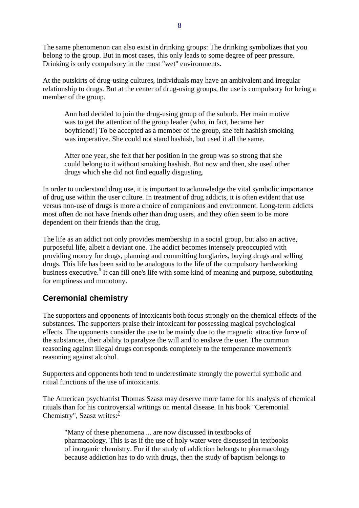The same phenomenon can also exist in drinking groups: The drinking symbolizes that you belong to the group. But in most cases, this only leads to some degree of peer pressure. Drinking is only compulsory in the most "wet" environments.

At the outskirts of drug-using cultures, individuals may have an ambivalent and irregular relationship to drugs. But at the center of drug-using groups, the use is compulsory for being a member of the group.

Ann had decided to join the drug-using group of the suburb. Her main motive was to get the attention of the group leader (who, in fact, became her boyfriend!) To be accepted as a member of the group, she felt hashish smoking was imperative. She could not stand hashish, but used it all the same.

After one year, she felt that her position in the group was so strong that she could belong to it without smoking hashish. But now and then, she used other drugs which she did not find equally disgusting.

In order to understand drug use, it is important to acknowledge the vital symbolic importance of drug use within the user culture. In treatment of drug addicts, it is often evident that use versus non-use of drugs is more a choice of companions and environment. Long-term addicts most often do not have friends other than drug users, and they often seem to be more dependent on their friends than the drug.

The life as an addict not only provides membership in a social group, but also an active, purposeful life, albeit a deviant one. The addict becomes intensely preoccupied with providing money for drugs, planning and committing burglaries, buying drugs and selling drugs. This life has been said to be analogous to the life of the compulsory hardworking business executive.<sup>6</sup> It can fill one's life with some kind of meaning and purpose, substituting for emptiness and monotony.

### **Ceremonial chemistry**

The supporters and opponents of intoxicants both focus strongly on the chemical effects of the substances. The supporters praise their intoxicant for possessing magical psychological effects. The opponents consider the use to be mainly due to the magnetic attractive force of the substances, their ability to paralyze the will and to enslave the user. The common reasoning against illegal drugs corresponds completely to the temperance movement's reasoning against alcohol.

Supporters and opponents both tend to underestimate strongly the powerful symbolic and ritual functions of the use of intoxicants.

The American psychiatrist Thomas Szasz may deserve more fame for his analysis of chemical rituals than for his controversial writings on mental disease. In his book "Ceremonial Chemistry", Szasz writes: $\frac{7}{7}$ 

"Many of these phenomena ... are now discussed in textbooks of pharmacology. This is as if the use of holy water were discussed in textbooks of inorganic chemistry. For if the study of addiction belongs to pharmacology because addiction has to do with drugs, then the study of baptism belongs to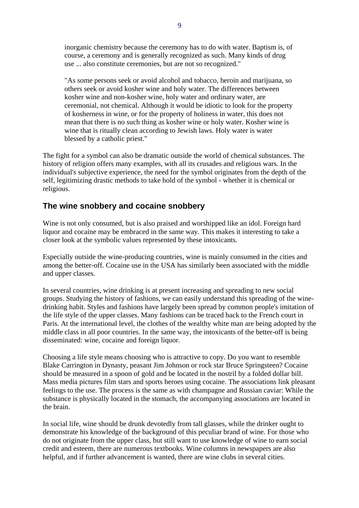inorganic chemistry because the ceremony has to do with water. Baptism is, of course, a ceremony and is generally recognized as such. Many kinds of drug use ... also constitute ceremonies, but are not so recognized."

"As some persons seek or avoid alcohol and tobacco, heroin and marijuana, so others seek or avoid kosher wine and holy water. The differences between kosher wine and non-kosher wine, holy water and ordinary water, are ceremonial, not chemical. Although it would be idiotic to look for the property of kosherness in wine, or for the property of holiness in water, this does not mean that there is no such thing as kosher wine or holy water. Kosher wine is wine that is ritually clean according to Jewish laws. Holy water is water blessed by a catholic priest."

The fight for a symbol can also be dramatic outside the world of chemical substances. The history of religion offers many examples, with all its crusades and religious wars. In the individual's subjective experience, the need for the symbol originates from the depth of the self, legitimizing drastic methods to take hold of the symbol - whether it is chemical or religious.

#### **The wine snobbery and cocaine snobbery**

Wine is not only consumed, but is also praised and worshipped like an idol. Foreign hard liquor and cocaine may be embraced in the same way. This makes it interesting to take a closer look at the symbolic values represented by these intoxicants.

Especially outside the wine-producing countries, wine is mainly consumed in the cities and among the better-off. Cocaine use in the USA has similarly been associated with the middle and upper classes.

In several countries, wine drinking is at present increasing and spreading to new social groups. Studying the history of fashions, we can easily understand this spreading of the winedrinking habit. Styles and fashions have largely been spread by common people's imitation of the life style of the upper classes. Many fashions can be traced back to the French court in Paris. At the international level, the clothes of the wealthy white man are being adopted by the middle class in all poor countries. In the same way, the intoxicants of the better-off is being disseminated: wine, cocaine and foreign liquor.

Choosing a life style means choosing who is attractive to copy. Do you want to resemble Blake Carrington in Dynasty, peasant Jim Johnson or rock star Bruce Springsteen? Cocaine should be measured in a spoon of gold and be located in the nostril by a folded dollar bill. Mass media pictures film stars and sports heroes using cocaine. The associations link pleasant feelings to the use. The process is the same as with champagne and Russian caviar: While the substance is physically located in the stomach, the accompanying associations are located in the brain.

In social life, wine should be drunk devotedly from tall glasses, while the drinker ought to demonstrate his knowledge of the background of this peculiar brand of wine. For those who do not originate from the upper class, but still want to use knowledge of wine to earn social credit and esteem, there are numerous textbooks. Wine columns in newspapers are also helpful, and if further advancement is wanted, there are wine clubs in several cities.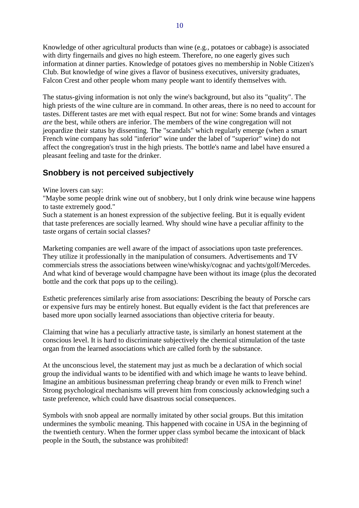Knowledge of other agricultural products than wine (e.g., potatoes or cabbage) is associated with dirty fingernails and gives no high esteem. Therefore, no one eagerly gives such information at dinner parties. Knowledge of potatoes gives no membership in Noble Citizen's Club. But knowledge of wine gives a flavor of business executives, university graduates, Falcon Crest and other people whom many people want to identify themselves with.

The status-giving information is not only the wine's background, but also its "quality". The high priests of the wine culture are in command. In other areas, there is no need to account for tastes. Different tastes are met with equal respect. But not for wine: Some brands and vintages *are* the best, while others are inferior. The members of the wine congregation will not jeopardize their status by dissenting. The "scandals" which regularly emerge (when a smart French wine company has sold "inferior" wine under the label of "superior" wine) do not affect the congregation's trust in the high priests. The bottle's name and label have ensured a pleasant feeling and taste for the drinker.

### **Snobbery is not perceived subjectively**

#### Wine lovers can say:

"Maybe some people drink wine out of snobbery, but I only drink wine because wine happens to taste extremely good."

Such a statement is an honest expression of the subjective feeling. But it is equally evident that taste preferences are socially learned. Why should wine have a peculiar affinity to the taste organs of certain social classes?

Marketing companies are well aware of the impact of associations upon taste preferences. They utilize it professionally in the manipulation of consumers. Advertisements and TV commercials stress the associations between wine/whisky/cognac and yachts/golf/Mercedes. And what kind of beverage would champagne have been without its image (plus the decorated bottle and the cork that pops up to the ceiling).

Esthetic preferences similarly arise from associations: Describing the beauty of Porsche cars or expensive furs may be entirely honest. But equally evident is the fact that preferences are based more upon socially learned associations than objective criteria for beauty.

Claiming that wine has a peculiarly attractive taste, is similarly an honest statement at the conscious level. It is hard to discriminate subjectively the chemical stimulation of the taste organ from the learned associations which are called forth by the substance.

At the unconscious level, the statement may just as much be a declaration of which social group the individual wants to be identified with and which image he wants to leave behind. Imagine an ambitious businessman preferring cheap brandy or even milk to French wine! Strong psychological mechanisms will prevent him from consciously acknowledging such a taste preference, which could have disastrous social consequences.

Symbols with snob appeal are normally imitated by other social groups. But this imitation undermines the symbolic meaning. This happened with cocaine in USA in the beginning of the twentieth century. When the former upper class symbol became the intoxicant of black people in the South, the substance was prohibited!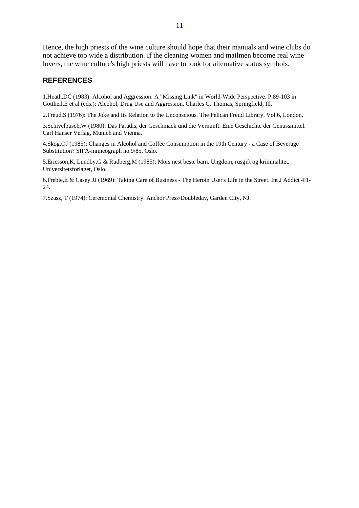Hence, the high priests of the wine culture should hope that their manuals and wine clubs do not achieve too wide a distribution. If the cleaning women and mailmen become real wine lovers, the wine culture's high priests will have to look for alternative status symbols.

#### **REFERENCES**

1.Heath,DC (1983): Alcohol and Aggression: A "Missing Link" in World-Wide Perspective. P.89-103 in Gottheil,E et al (eds.): Alcohol, Drug Use and Aggression. Charles C. Thomas, Springfield, Ill.

2.Freud,S (1976): The Joke and Its Relation to the Unconscious. The Pelican Freud Library, Vol.6, London.

3.Schivelbusch,W (1980): Das Paradis, der Geschmack und die Vernunft. Eine Geschichte der Genussmittel. Carl Hanser Verlag, Munich and Vienna.

4.Skog,OJ (1985): Changes in Alcohol and Coffee Consumption in the 19th Century - a Case of Beverage Substitution? SIFA-mimeograph no.9/85, Oslo.

5.Ericsson,K, Lundby,G & Rudberg,M (1985): Mors nest beste barn. Ungdom, rusgift og kriminalitet. Universitetsforlaget, Oslo.

6.Preble,E & Casey,JJ (1969): Taking Care of Business - The Heroin User's Life in the Street. Int J Addict 4:1- 24.

7.Szasz, T (1974): Ceremonial Chemistry. Anchor Press/Doubleday, Garden City, NJ.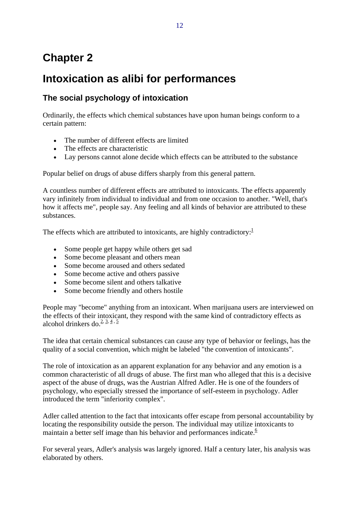# **Chapter 2**

# **Intoxication as alibi for performances**

# **The social psychology of intoxication**

Ordinarily, the effects which chemical substances have upon human beings conform to a certain pattern:

- The number of different effects are limited
- The effects are characteristic
- Lay persons cannot alone decide which effects can be attributed to the substance

Popular belief on drugs of abuse differs sharply from this general pattern.

A countless number of different effects are attributed to intoxicants. The effects apparently vary infinitely from individual to individual and from one occasion to another. "Well, that's how it affects me", people say. Any feeling and all kinds of behavior are attributed to these substances.

The effects which are attributed to intoxicants, are highly contradictory: $1$ 

- Some people get happy while others get sad
- Some become pleasant and others mean
- Some become aroused and others sedated
- Some become active and others passive
- Some become silent and others talkative
- Some become friendly and others hostile

People may "become" anything from an intoxicant. When marijuana users are interviewed on the effects of their intoxicant, they respond with the same kind of contradictory effects as alcohol drinkers do. $2, 3, 4, 5$ 

The idea that certain chemical substances can cause any type of behavior or feelings, has the quality of a social convention, which might be labeled "the convention of intoxicants".

The role of intoxication as an apparent explanation for any behavior and any emotion is a common characteristic of all drugs of abuse. The first man who alleged that this is a decisive aspect of the abuse of drugs, was the Austrian Alfred Adler. He is one of the founders of psychology, who especially stressed the importance of self-esteem in psychology. Adler introduced the term "inferiority complex".

Adler called attention to the fact that intoxicants offer escape from personal accountability by locating the responsibility outside the person. The individual may utilize intoxicants to maintain a better self image than his behavior and performances indicate. $6$ 

For several years, Adler's analysis was largely ignored. Half a century later, his analysis was elaborated by others.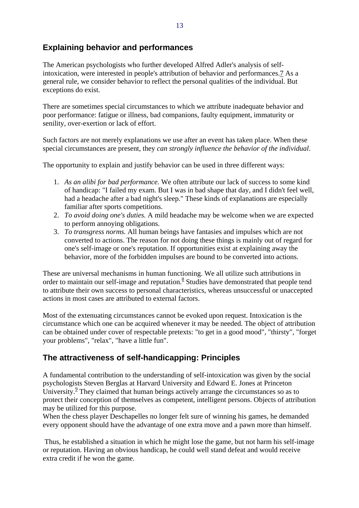### **Explaining behavior and performances**

The American psychologists who further developed Alfred Adler's analysis of selfintoxication, were interested in people's attribution of behavior and performances.7 As a general rule, we consider behavior to reflect the personal qualities of the individual. But exceptions do exist.

There are sometimes special circumstances to which we attribute inadequate behavior and poor performance: fatigue or illness, bad companions, faulty equipment, immaturity or senility, over-exertion or lack of effort.

Such factors are not merely explanations we use after an event has taken place. When these special circumstances are present, they *can strongly influence the behavior of the individual*.

The opportunity to explain and justify behavior can be used in three different ways:

- 1. *As an alibi for bad performance.* We often attribute our lack of success to some kind of handicap: "I failed my exam. But I was in bad shape that day, and I didn't feel well, had a headache after a bad night's sleep." These kinds of explanations are especially familiar after sports competitions.
- 2. *To avoid doing one's duties.* A mild headache may be welcome when we are expected to perform annoying obligations.
- 3. *To transgress norms.* All human beings have fantasies and impulses which are not converted to actions. The reason for not doing these things is mainly out of regard for one's self-image or one's reputation. If opportunities exist at explaining away the behavior, more of the forbidden impulses are bound to be converted into actions.

These are universal mechanisms in human functioning. We all utilize such attributions in order to maintain our self-image and reputation.<sup>8</sup> Studies have demonstrated that people tend to attribute their own success to personal characteristics, whereas unsuccessful or unaccepted actions in most cases are attributed to external factors.

Most of the extenuating circumstances cannot be evoked upon request. Intoxication is the circumstance which one can be acquired whenever it may be needed. The object of attribution can be obtained under cover of respectable pretexts: "to get in a good mood", "thirsty", "forget your problems", "relax", "have a little fun".

### **The attractiveness of self-handicapping: Principles**

A fundamental contribution to the understanding of self-intoxication was given by the social psychologists Steven Berglas at Harvard University and Edward E. Jones at Princeton University. $9$  They claimed that human beings actively arrange the circumstances so as to protect their conception of themselves as competent, intelligent persons. Objects of attribution may be utilized for this purpose.

When the chess player Deschapelles no longer felt sure of winning his games, he demanded every opponent should have the advantage of one extra move and a pawn more than himself.

 Thus, he established a situation in which he might lose the game, but not harm his self-image or reputation. Having an obvious handicap, he could well stand defeat and would receive extra credit if he won the game.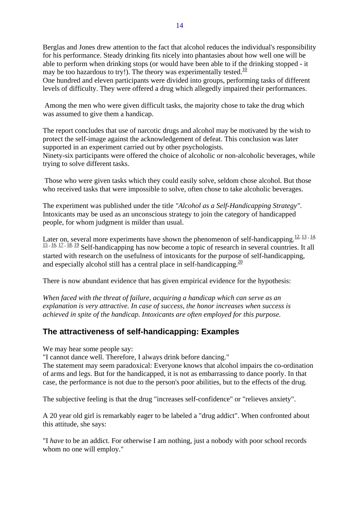Berglas and Jones drew attention to the fact that alcohol reduces the individual's responsibility for his performance. Steady drinking fits nicely into phantasies about how well one will be able to perform when drinking stops (or would have been able to if the drinking stopped - it may be too hazardous to try!). The theory was experimentally tested.<sup>10</sup> One hundred and eleven participants were divided into groups, performing tasks of different

levels of difficulty. They were offered a drug which allegedly impaired their performances.

 Among the men who were given difficult tasks, the majority chose to take the drug which was assumed to give them a handicap.

The report concludes that use of narcotic drugs and alcohol may be motivated by the wish to protect the self-image against the acknowledgement of defeat. This conclusion was later supported in an experiment carried out by other psychologists.

Ninety-six participants were offered the choice of alcoholic or non-alcoholic beverages, while trying to solve different tasks.

 Those who were given tasks which they could easily solve, seldom chose alcohol. But those who received tasks that were impossible to solve, often chose to take alcoholic beverages.

The experiment was published under the title *"Alcohol as a Self-Handicapping Strategy"*. Intoxicants may be used as an unconscious strategy to join the category of handicapped people, for whom judgment is milder than usual.

Later on, several more experiments have shown the phenomenon of self-handicapping.<sup>12, 13, 14,</sup> 15, 16, 17, 18, 19 Self-handicapping has now become a topic of research in several countries. It all started with research on the usefulness of intoxicants for the purpose of self-handicapping, and especially alcohol still has a central place in self-handicapping.  $\frac{20}{20}$ 

There is now abundant evidence that has given empirical evidence for the hypothesis:

*When faced with the threat of failure, acquiring a handicap which can serve as an explanation is very attractive. In case of success, the honor increases when success is achieved in spite of the handicap. Intoxicants are often employed for this purpose.*

#### **The attractiveness of self-handicapping: Examples**

We may hear some people say:

"I cannot dance well. Therefore, I always drink before dancing."

The statement may seem paradoxical: Everyone knows that alcohol impairs the co-ordination of arms and legs. But for the handicapped, it is not as embarrassing to dance poorly. In that case, the performance is not due to the person's poor abilities, but to the effects of the drug.

The subjective feeling is that the drug "increases self-confidence" or "relieves anxiety".

A 20 year old girl is remarkably eager to be labeled a "drug addict". When confronted about this attitude, she says:

"I *have* to be an addict. For otherwise I am nothing, just a nobody with poor school records whom no one will employ."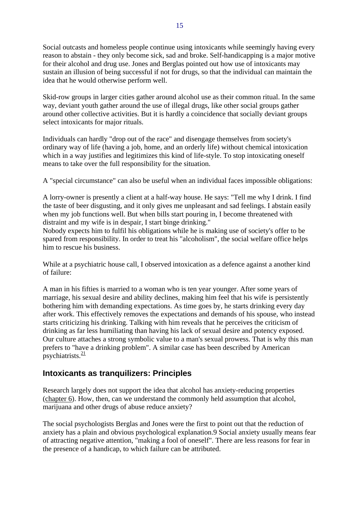Social outcasts and homeless people continue using intoxicants while seemingly having every reason to abstain - they only become sick, sad and broke. Self-handicapping is a major motive for their alcohol and drug use. Jones and Berglas pointed out how use of intoxicants may sustain an illusion of being successful if not for drugs, so that the individual can maintain the idea that he would otherwise perform well.

Skid-row groups in larger cities gather around alcohol use as their common ritual. In the same way, deviant youth gather around the use of illegal drugs, like other social groups gather around other collective activities. But it is hardly a coincidence that socially deviant groups select intoxicants for major rituals.

Individuals can hardly "drop out of the race" and disengage themselves from society's ordinary way of life (having a job, home, and an orderly life) without chemical intoxication which in a way justifies and legitimizes this kind of life-style. To stop intoxicating oneself means to take over the full responsibility for the situation.

A "special circumstance" can also be useful when an individual faces impossible obligations:

A lorry-owner is presently a client at a half-way house. He says: "Tell me why I drink. I find the taste of beer disgusting, and it only gives me unpleasant and sad feelings. I abstain easily when my job functions well. But when bills start pouring in, I become threatened with distraint and my wife is in despair, I start binge drinking."

Nobody expects him to fulfil his obligations while he is making use of society's offer to be spared from responsibility. In order to treat his "alcoholism", the social welfare office helps him to rescue his business.

While at a psychiatric house call, I observed intoxication as a defence against a another kind of failure:

A man in his fifties is married to a woman who is ten year younger. After some years of marriage, his sexual desire and ability declines, making him feel that his wife is persistently bothering him with demanding expectations. As time goes by, he starts drinking every day after work. This effectively removes the expectations and demands of his spouse, who instead starts criticizing his drinking. Talking with him reveals that he perceives the criticism of drinking as far less humiliating than having his lack of sexual desire and potency exposed. Our culture attaches a strong symbolic value to a man's sexual prowess. That is why this man prefers to "have a drinking problem". A similar case has been described by American psychiatrists. $\frac{21}{2}$ 

### **Intoxicants as tranquilizers: Principles**

Research largely does not support the idea that alcohol has anxiety-reducing properties (chapter 6). How, then, can we understand the commonly held assumption that alcohol, marijuana and other drugs of abuse reduce anxiety?

The social psychologists Berglas and Jones were the first to point out that the reduction of anxiety has a plain and obvious psychological explanation.9 Social anxiety usually means fear of attracting negative attention, "making a fool of oneself". There are less reasons for fear in the presence of a handicap, to which failure can be attributed.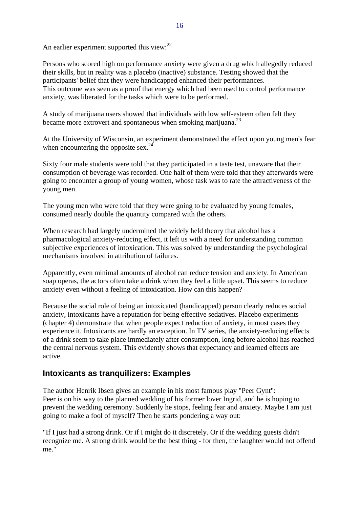An earlier experiment supported this view: $\frac{22}{2}$ 

Persons who scored high on performance anxiety were given a drug which allegedly reduced their skills, but in reality was a placebo (inactive) substance. Testing showed that the participants' belief that they were handicapped enhanced their performances. This outcome was seen as a proof that energy which had been used to control performance anxiety, was liberated for the tasks which were to be performed.

A study of marijuana users showed that individuals with low self-esteem often felt they became more extrovert and spontaneous when smoking marijuana. $\frac{23}{2}$ 

At the University of Wisconsin, an experiment demonstrated the effect upon young men's fear when encountering the opposite sex. $\frac{24}{3}$ 

Sixty four male students were told that they participated in a taste test, unaware that their consumption of beverage was recorded. One half of them were told that they afterwards were going to encounter a group of young women, whose task was to rate the attractiveness of the young men.

The young men who were told that they were going to be evaluated by young females, consumed nearly double the quantity compared with the others.

When research had largely undermined the widely held theory that alcohol has a pharmacological anxiety-reducing effect, it left us with a need for understanding common subjective experiences of intoxication. This was solved by understanding the psychological mechanisms involved in attribution of failures.

Apparently, even minimal amounts of alcohol can reduce tension and anxiety. In American soap operas, the actors often take a drink when they feel a little upset. This seems to reduce anxiety even without a feeling of intoxication. How can this happen?

Because the social role of being an intoxicated (handicapped) person clearly reduces social anxiety, intoxicants have a reputation for being effective sedatives. Placebo experiments (chapter 4) demonstrate that when people expect reduction of anxiety, in most cases they experience it. Intoxicants are hardly an exception. In TV series, the anxiety-reducing effects of a drink seem to take place immediately after consumption, long before alcohol has reached the central nervous system. This evidently shows that expectancy and learned effects are active.

### **Intoxicants as tranquilizers: Examples**

The author Henrik Ibsen gives an example in his most famous play "Peer Gynt": Peer is on his way to the planned wedding of his former lover Ingrid, and he is hoping to prevent the wedding ceremony. Suddenly he stops, feeling fear and anxiety. Maybe I am just going to make a fool of myself? Then he starts pondering a way out:

"If I just had a strong drink. Or if I might do it discretely. Or if the wedding guests didn't recognize me. A strong drink would be the best thing - for then, the laughter would not offend me."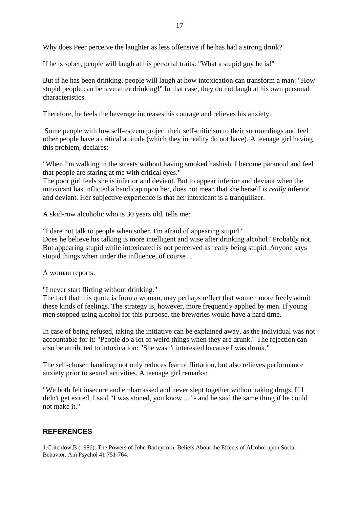Why does Peer perceive the laughter as less offensive if he has had a strong drink?

If he is sober, people will laugh at his personal traits: "What a stupid guy he is!"

But if he has been drinking, people will laugh at how intoxication can transform a man: "How stupid people can behave after drinking!" In that case, they do not laugh at his own personal characteristics.

Therefore, he feels the beverage increases his courage and relieves his anxiety.

 Some people with low self-esteem project their self-criticism to their surroundings and feel other people have a critical attitude (which they in reality do not have). A teenage girl having this problem, declares:

"When I'm walking in the streets without having smoked hashish, I become paranoid and feel that people are staring at me with critical eyes."

The poor girl feels she is inferior and deviant. But to appear inferior and deviant when the intoxicant has inflicted a handicap upon her, does not mean that she herself is *really* inferior and deviant. Her subjective experience is that her intoxicant is a tranquilizer.

A skid-row alcoholic who is 30 years old, tells me:

"I dare not talk to people when sober. I'm afraid of appearing stupid." Does he believe his talking is more intelligent and wise after drinking alcohol? Probably not. But appearing stupid while intoxicated is not perceived as really being stupid. Anyone says stupid things when under the influence, of course ...

A woman reports:

"I never start flirting without drinking."

The fact that this quote is from a woman, may perhaps reflect that women more freely admit these kinds of feelings. The strategy is, however, more frequently applied by men. If young men stopped using alcohol for this purpose, the breweries would have a hard time.

In case of being refused, taking the initiative can be explained away, as the individual was not accountable for it: "People do a lot of weird things when they are drunk." The rejection can also be attributed to intoxication: "She wasn't interested because I was drunk."

The self-chosen handicap not only reduces fear of flirtation, but also relieves performance anxiety prior to sexual activities. A teenage girl remarks:

"We both felt insecure and embarrassed and never slept together without taking drugs. If I didn't get exited, I said "I was stoned, you know ..." - and he said the same thing if he could not make it."

#### **REFERENCES**

1.Critchlow,B (1986): The Powers of John Barleycorn. Beliefs About the Effects of Alcohol upon Social Behavior. Am Psychol 41:751-764.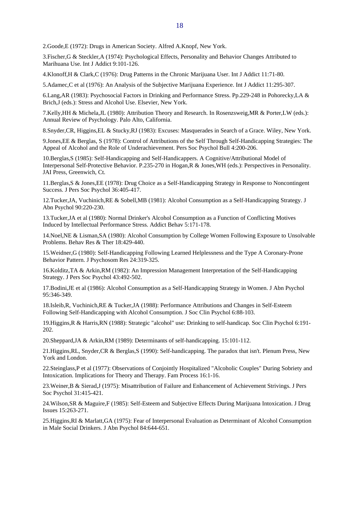2.Goode,E (1972): Drugs in American Society. Alfred A.Knopf, New York.

3.Fischer,G & Steckler,A (1974): Psychological Effects, Personality and Behavior Changes Attributed to Marihuana Use. Int J Addict 9:101-126.

4.Klonoff,H & Clark,C (1976): Drug Patterns in the Chronic Marijuana User. Int J Addict 11:71-80.

5.Adamec,C et al (1976): An Analysis of the Subjective Marijuana Experience. Int J Addict 11:295-307.

6.Lang,AR (1983): Psychosocial Factors in Drinking and Performance Stress. Pp.229-248 in Pohorecky,LA & Brich,J (eds.): Stress and Alcohol Use. Elsevier, New York.

7.Kelly,HH & Michela,JL (1980): Attribution Theory and Research. In Rosenzsweig,MR & Porter,LW (eds.): Annual Review of Psychology. Palo Alto, California.

8.Snyder,CR, Higgins,EL & Stucky,RJ (1983): Excuses: Masquerades in Search of a Grace. Wiley, New York.

9.Jones,EE & Berglas, S (1978): Control of Attributions of the Self Through Self-Handicapping Strategies: The Appeal of Alcohol and the Role of Underachievement. Pers Soc Psychol Bull 4:200-206.

10.Berglas,S (1985): Self-Handicapping and Self-Handicappers. A Cognitive/Attributional Model of Interpersonal Self-Protective Behavior. P.235-270 in Hogan,R & Jones,WH (eds.): Perspectives in Personality. JAI Press, Greenwich, Ct.

11.Berglas,S & Jones,EE (1978): Drug Choice as a Self-Handicapping Strategy in Response to Noncontingent Success. J Pers Soc Psychol 36:405-417.

12.Tucker,JA, Vuchinich,RE & Sobell,MB (1981): Alcohol Consumption as a Self-Handicapping Strategy. J Abn Psychol 90:220-230.

13.Tucker,JA et al (1980): Normal Drinker's Alcohol Consumption as a Function of Conflicting Motives Induced by Intellectual Performance Stress. Addict Behav 5:171-178.

14.Noel,NE & Lisman,SA (1980): Alcohol Consumption by College Women Following Exposure to Unsolvable Problems. Behav Res & Ther 18:429-440.

15.Weidner,G (1980): Self-Handicapping Following Learned Helplessness and the Type A Coronary-Prone Behavior Pattern. J Psychosom Res 24:319-325.

16.Kolditz,TA & Arkin,RM (1982): An Impression Management Interpretation of the Self-Handicapping Strategy. J Pers Soc Psychol 43:492-502.

17.Bodini,JE et al (1986): Alcohol Consumption as a Self-Handicapping Strategy in Women. J Abn Psychol 95:346-349.

18.Isleib,R, Vuchinich,RE & Tucker,JA (1988): Performance Attributions and Changes in Self-Esteem Following Self-Handicapping with Alcohol Consumption. J Soc Clin Psychol 6:88-103.

19.Higgins,R & Harris,RN (1988): Strategic "alcohol" use: Drinking to self-handicap. Soc Clin Psychol 6:191- 202.

20.Sheppard,JA & Arkin,RM (1989): Determinants of self-handicapping. 15:101-112.

21.Higgins,RL, Snyder,CR & Berglas,S (1990): Self-handicapping. The paradox that isn't. Plenum Press, New York and London.

22.Steinglass,P et al (1977): Observations of Conjointly Hospitalized "Alcoholic Couples" During Sobriety and Intoxication. Implications for Theory and Therapy. Fam Process 16:1-16.

23.Weiner,B & Sierad,J (1975): Misattribution of Failure and Enhancement of Achievement Strivings. J Pers Soc Psychol 31:415-421.

24.Wilson,SR & Maguire,F (1985): Self-Esteem and Subjective Effects During Marijuana Intoxication. J Drug Issues 15:263-271.

25.Higgins,RI & Marlatt,GA (1975): Fear of Interpersonal Evaluation as Determinant of Alcohol Consumption in Male Social Drinkers. J Abn Psychol 84:644-651.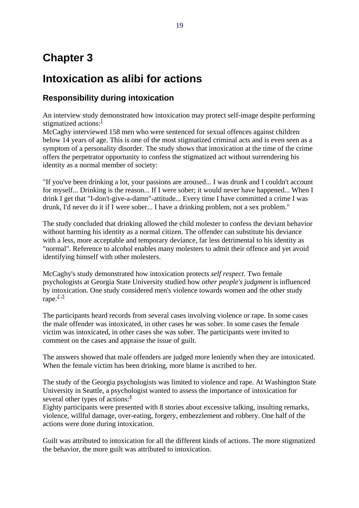# **Chapter 3**

# **Intoxication as alibi for actions**

# **Responsibility during intoxication**

An interview study demonstrated how intoxication may protect self-image despite performing stigmatized actions: $\frac{1}{1}$ 

McCaghy interviewed 158 men who were sentenced for sexual offences against children below 14 years of age. This is one of the most stigmatized criminal acts and is even seen as a symptom of a personality disorder. The study shows that intoxication at the time of the crime offers the perpetrator opportunity to confess the stigmatized act without surrendering his identity as a normal member of society:

"If you've been drinking a lot, your passions are aroused... I was drunk and I couldn't account for myself... Drinking is the reason... If I were sober; it would never have happened... When I drink I get that "I-don't-give-a-damn"-attitude... Every time I have committed a crime I was drunk, I'd never do it if I were sober... I have a drinking problem, not a sex problem."

The study concluded that drinking allowed the child molester to confess the deviant behavior without harming his identity as a normal citizen. The offender can substitute his deviance with a less, more acceptable and temporary deviance, far less detrimental to his identity as "normal". Reference to alcohol enables many molesters to admit their offence and yet avoid identifying himself with other molesters.

McCaghy's study demonstrated how intoxication protects *self respect*. Two female psychologists at Georgia State University studied how *other people's judgment* is influenced by intoxication. One study considered men's violence towards women and the other study rape. $2,3$ 

The participants heard records from several cases involving violence or rape. In some cases the male offender was intoxicated, in other cases he was sober. In some cases the female victim was intoxicated, in other cases she was sober. The participants were invited to comment on the cases and appraise the issue of guilt.

The answers showed that male offenders are judged more leniently when they are intoxicated. When the female victim has been drinking, more blame is ascribed to her.

The study of the Georgia psychologists was limited to violence and rape. At Washington State University in Seattle, a psychologist wanted to assess the importance of intoxication for several other types of actions: $\frac{4}{3}$ 

Eighty participants were presented with 8 stories about excessive talking, insulting remarks, violence, willful damage, over-eating, forgery, embezzlement and robbery. One half of the actions were done during intoxication.

Guilt was attributed to intoxication for all the different kinds of actions. The more stigmatized the behavior, the more guilt was attributed to intoxication.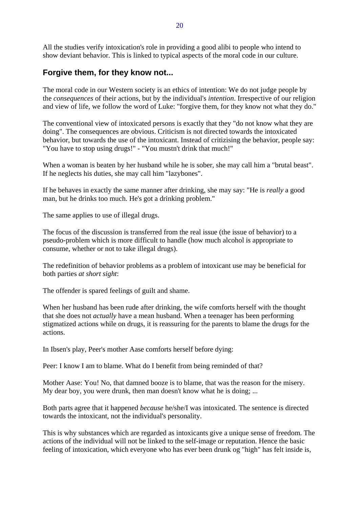All the studies verify intoxication's role in providing a good alibi to people who intend to show deviant behavior. This is linked to typical aspects of the moral code in our culture.

### **Forgive them, for they know not...**

The moral code in our Western society is an ethics of intention: We do not judge people by the *consequences* of their actions, but by the individual's *intention*. Irrespective of our religion and view of life, we follow the word of Luke: "forgive them, for they know not what they do."

The conventional view of intoxicated persons is exactly that they "do not know what they are doing". The consequences are obvious. Criticism is not directed towards the intoxicated behavior, but towards the use of the intoxicant. Instead of critizising the behavior, people say: "You have to stop using drugs!" - "You mustn't drink that much!"

When a woman is beaten by her husband while he is sober, she may call him a "brutal beast". If he neglects his duties, she may call him "lazybones".

If he behaves in exactly the same manner after drinking, she may say: "He is *really* a good man, but he drinks too much. He's got a drinking problem."

The same applies to use of illegal drugs.

The focus of the discussion is transferred from the real issue (the issue of behavior) to a pseudo-problem which is more difficult to handle (how much alcohol is appropriate to consume, whether or not to take illegal drugs).

The redefinition of behavior problems as a problem of intoxicant use may be beneficial for both parties *at short sight*:

The offender is spared feelings of guilt and shame.

When her husband has been rude after drinking, the wife comforts herself with the thought that she does not *actually* have a mean husband. When a teenager has been performing stigmatized actions while on drugs, it is reassuring for the parents to blame the drugs for the actions.

In Ibsen's play, Peer's mother Aase comforts herself before dying:

Peer: I know I am to blame. What do I benefit from being reminded of that?

Mother Aase: You! No, that damned booze is to blame, that was the reason for the misery. My dear boy, you were drunk, then man doesn't know what he is doing; ...

Both parts agree that it happened *because* he/she/I was intoxicated. The sentence is directed towards the intoxicant, not the individual's personality.

This is why substances which are regarded as intoxicants give a unique sense of freedom. The actions of the individual will not be linked to the self-image or reputation. Hence the basic feeling of intoxication, which everyone who has ever been drunk og "high" has felt inside is,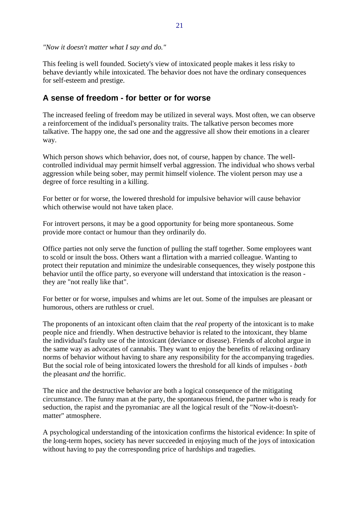*"Now it doesn't matter what I say and do."*

This feeling is well founded. Society's view of intoxicated people makes it less risky to behave deviantly while intoxicated. The behavior does not have the ordinary consequences for self-esteem and prestige.

#### **A sense of freedom - for better or for worse**

The increased feeling of freedom may be utilized in several ways. Most often, we can observe a reinforcement of the indidual's personality traits. The talkative person becomes more talkative. The happy one, the sad one and the aggressive all show their emotions in a clearer way.

Which person shows which behavior, does not, of course, happen by chance. The wellcontrolled individual may permit himself verbal aggression. The individual who shows verbal aggression while being sober, may permit himself violence. The violent person may use a degree of force resulting in a killing.

For better or for worse, the lowered threshold for impulsive behavior will cause behavior which otherwise would not have taken place.

For introvert persons, it may be a good opportunity for being more spontaneous. Some provide more contact or humour than they ordinarily do.

Office parties not only serve the function of pulling the staff together. Some employees want to scold or insult the boss. Others want a flirtation with a married colleague. Wanting to protect their reputation and minimize the undesirable consequences, they wisely postpone this behavior until the office party, so everyone will understand that intoxication is the reason they are "not really like that".

For better or for worse, impulses and whims are let out. Some of the impulses are pleasant or humorous, others are ruthless or cruel.

The proponents of an intoxicant often claim that the *real* property of the intoxicant is to make people nice and friendly. When destructive behavior is related to the intoxicant, they blame the individual's faulty use of the intoxicant (deviance or disease). Friends of alcohol argue in the same way as advocates of cannabis. They want to enjoy the benefits of relaxing ordinary norms of behavior without having to share any responsibility for the accompanying tragedies. But the social role of being intoxicated lowers the threshold for all kinds of impulses - *both* the pleasant *and* the horrific.

The nice and the destructive behavior are both a logical consequence of the mitigating circumstance. The funny man at the party, the spontaneous friend, the partner who is ready for seduction, the rapist and the pyromaniac are all the logical result of the "Now-it-doesn'tmatter" atmosphere.

A psychological understanding of the intoxication confirms the historical evidence: In spite of the long-term hopes, society has never succeeded in enjoying much of the joys of intoxication without having to pay the corresponding price of hardships and tragedies.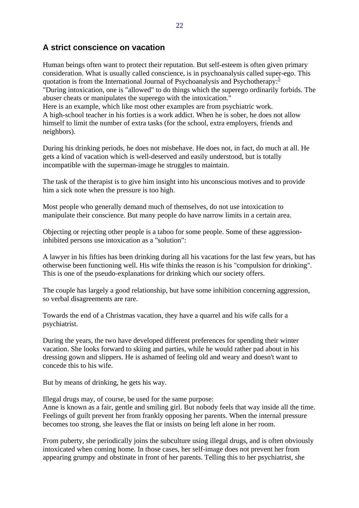### **A strict conscience on vacation**

Human beings often want to protect their reputation. But self-esteem is often given primary consideration. What is usually called conscience, is in psychoanalysis called super-ego. This quotation is from the International Journal of Psychoanalysis and Psychotherapy:<sup>5</sup> "During intoxication, one is "allowed" to do things which the superego ordinarily forbids. The abuser cheats or manipulates the superego with the intoxication." Here is an example, which like most other examples are from psychiatric work. A high-school teacher in his forties is a work addict. When he is sober, he does not allow himself to limit the number of extra tasks (for the school, extra employers, friends and neighbors).

During his drinking periods, he does not misbehave. He does not, in fact, do much at all. He gets a kind of vacation which is well-deserved and easily understood, but is totally incompatible with the superman-image he struggles to maintain.

The task of the therapist is to give him insight into his unconscious motives and to provide him a sick note when the pressure is too high.

Most people who generally demand much of themselves, do not use intoxication to manipulate their conscience. But many people do have narrow limits in a certain area.

Objecting or rejecting other people is a taboo for some people. Some of these aggressioninhibited persons use intoxication as a "solution":

A lawyer in his fifties has been drinking during all his vacations for the last few years, but has otherwise been functioning well. His wife thinks the reason is his "compulsion for drinking". This is one of the pseudo-explanations for drinking which our society offers.

The couple has largely a good relationship, but have some inhibition concerning aggression, so verbal disagreements are rare.

Towards the end of a Christmas vacation, they have a quarrel and his wife calls for a psychiatrist.

During the years, the two have developed different preferences for spending their winter vacation. She looks forward to skiing and parties, while he would rather pad about in his dressing gown and slippers. He is ashamed of feeling old and weary and doesn't want to concede this to his wife.

But by means of drinking, he gets his way.

Illegal drugs may, of course, be used for the same purpose:

Anne is known as a fair, gentle and smiling girl. But nobody feels that way inside all the time. Feelings of guilt prevent her from frankly opposing her parents. When the internal pressure becomes too strong, she leaves the flat or insists on being left alone in her room.

From puberty, she periodically joins the subculture using illegal drugs, and is often obviously intoxicated when coming home. In those cases, her self-image does not prevent her from appearing grumpy and obstinate in front of her parents. Telling this to her psychiatrist, she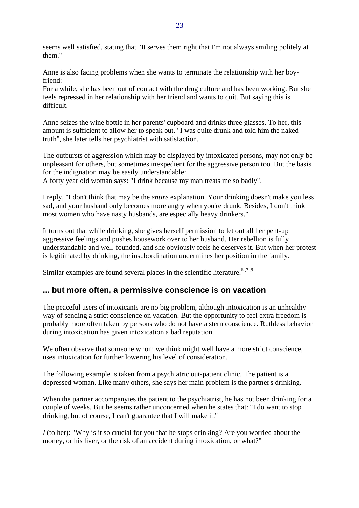seems well satisfied, stating that "It serves them right that I'm not always smiling politely at them."

Anne is also facing problems when she wants to terminate the relationship with her boyfriend:

For a while, she has been out of contact with the drug culture and has been working. But she feels repressed in her relationship with her friend and wants to quit. But saying this is difficult.

Anne seizes the wine bottle in her parents' cupboard and drinks three glasses. To her, this amount is sufficient to allow her to speak out. "I was quite drunk and told him the naked truth", she later tells her psychiatrist with satisfaction.

The outbursts of aggression which may be displayed by intoxicated persons, may not only be unpleasant for others, but sometimes inexpedient for the aggressive person too. But the basis for the indignation may be easily understandable:

A forty year old woman says: "I drink because my man treats me so badly".

I reply, "I don't think that may be the *entire* explanation. Your drinking doesn't make you less sad, and your husband only becomes more angry when you're drunk. Besides, I don't think most women who have nasty husbands, are especially heavy drinkers."

It turns out that while drinking, she gives herself permission to let out all her pent-up aggressive feelings and pushes housework over to her husband. Her rebellion is fully understandable and well-founded, and she obviously feels he deserves it. But when her protest is legitimated by drinking, the insubordination undermines her position in the family.

Similar examples are found several places in the scientific literature.<sup>6,7,8</sup>

#### **... but more often, a permissive conscience is on vacation**

The peaceful users of intoxicants are no big problem, although intoxication is an unhealthy way of sending a strict conscience on vacation. But the opportunity to feel extra freedom is probably more often taken by persons who do not have a stern conscience. Ruthless behavior during intoxication has given intoxication a bad reputation.

We often observe that someone whom we think might well have a more strict conscience, uses intoxication for further lowering his level of consideration.

The following example is taken from a psychiatric out-patient clinic. The patient is a depressed woman. Like many others, she says her main problem is the partner's drinking.

When the partner accompanyies the patient to the psychiatrist, he has not been drinking for a couple of weeks. But he seems rather unconcerned when he states that: "I do want to stop drinking, but of course, I can't guarantee that I will make it."

*I* (to her): "Why is it so crucial for you that he stops drinking? Are you worried about the money, or his liver, or the risk of an accident during intoxication, or what?"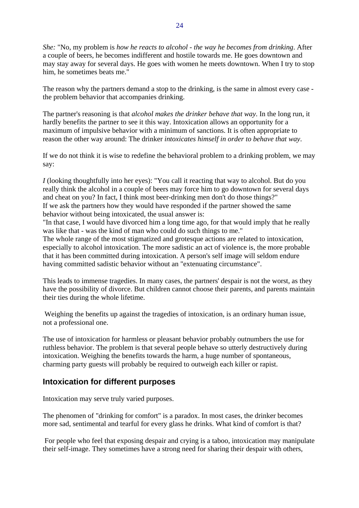*She:* "No, my problem is *how he reacts to alcohol - the way he becomes from drinking*. After a couple of beers, he becomes indifferent and hostile towards me. He goes downtown and may stay away for several days. He goes with women he meets downtown. When I try to stop him, he sometimes beats me."

The reason why the partners demand a stop to the drinking, is the same in almost every case the problem behavior that accompanies drinking.

The partner's reasoning is that *alcohol makes the drinker behave that way*. In the long run, it hardly benefits the partner to see it this way. Intoxication allows an opportunity for a maximum of impulsive behavior with a minimum of sanctions. It is often appropriate to reason the other way around: The drinker *intoxicates himself in order to behave that way*.

If we do not think it is wise to redefine the behavioral problem to a drinking problem, we may say:

*I* (looking thoughtfully into her eyes): "You call it reacting that way to alcohol. But do you really think the alcohol in a couple of beers may force him to go downtown for several days and cheat on you? In fact, I think most beer-drinking men don't do those things?" If we ask the partners how they would have responded if the partner showed the same behavior without being intoxicated, the usual answer is:

"In that case, I would have divorced him a long time ago, for that would imply that he really was like that - was the kind of man who could do such things to me."

The whole range of the most stigmatized and grotesque actions are related to intoxication, especially to alcohol intoxication. The more sadistic an act of violence is, the more probable that it has been committed during intoxication. A person's self image will seldom endure having committed sadistic behavior without an "extenuating circumstance".

This leads to immense tragedies. In many cases, the partners' despair is not the worst, as they have the possibility of divorce. But children cannot choose their parents, and parents maintain their ties during the whole lifetime.

 Weighing the benefits up against the tragedies of intoxication, is an ordinary human issue, not a professional one.

The use of intoxication for harmless or pleasant behavior probably outnumbers the use for ruthless behavior. The problem is that several people behave so utterly destructively during intoxication. Weighing the benefits towards the harm, a huge number of spontaneous, charming party guests will probably be required to outweigh each killer or rapist.

#### **Intoxication for different purposes**

Intoxication may serve truly varied purposes.

The phenomen of "drinking for comfort" is a paradox. In most cases, the drinker becomes more sad, sentimental and tearful for every glass he drinks. What kind of comfort is that?

 For people who feel that exposing despair and crying is a taboo, intoxication may manipulate their self-image. They sometimes have a strong need for sharing their despair with others,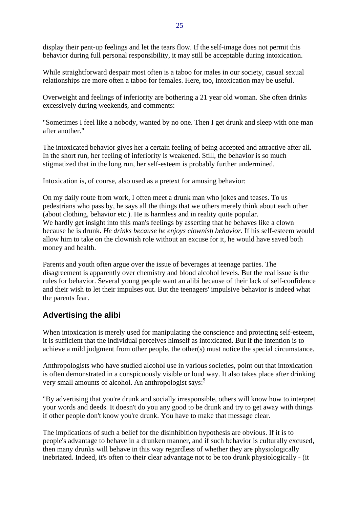display their pent-up feelings and let the tears flow. If the self-image does not permit this behavior during full personal responsibility, it may still be acceptable during intoxication.

While straightforward despair most often is a taboo for males in our society, casual sexual relationships are more often a taboo for females. Here, too, intoxication may be useful.

Overweight and feelings of inferiority are bothering a 21 year old woman. She often drinks excessively during weekends, and comments:

"Sometimes I feel like a nobody, wanted by no one. Then I get drunk and sleep with one man after another."

The intoxicated behavior gives her a certain feeling of being accepted and attractive after all. In the short run, her feeling of inferiority is weakened. Still, the behavior is so much stigmatized that in the long run, her self-esteem is probably further undermined.

Intoxication is, of course, also used as a pretext for amusing behavior:

On my daily route from work, I often meet a drunk man who jokes and teases. To us pedestrians who pass by, he says all the things that we others merely think about each other (about clothing, behavior etc.). He is harmless and in reality quite popular. We hardly get insight into this man's feelings by asserting that he behaves like a clown because he is drunk. *He drinks because he enjoys clownish behavior.* If his self-esteem would allow him to take on the clownish role without an excuse for it, he would have saved both money and health.

Parents and youth often argue over the issue of beverages at teenage parties. The disagreement is apparently over chemistry and blood alcohol levels. But the real issue is the rules for behavior. Several young people want an alibi because of their lack of self-confidence and their wish to let their impulses out. But the teenagers' impulsive behavior is indeed what the parents fear.

# **Advertising the alibi**

When intoxication is merely used for manipulating the conscience and protecting self-esteem, it is sufficient that the individual perceives himself as intoxicated. But if the intention is to achieve a mild judgment from other people, the other(s) must notice the special circumstance.

Anthropologists who have studied alcohol use in various societies, point out that intoxication is often demonstrated in a conspicuously visible or loud way. It also takes place after drinking very small amounts of alcohol. An anthropologist says:<sup>9</sup>

"By advertising that you're drunk and socially irresponsible, others will know how to interpret your words and deeds. It doesn't do you any good to be drunk and try to get away with things if other people don't know you're drunk. You have to make that message clear.

The implications of such a belief for the disinhibition hypothesis are obvious. If it is to people's advantage to behave in a drunken manner, and if such behavior is culturally excused, then many drunks will behave in this way regardless of whether they are physiologically inebriated. Indeed, it's often to their clear advantage not to be too drunk physiologically - (it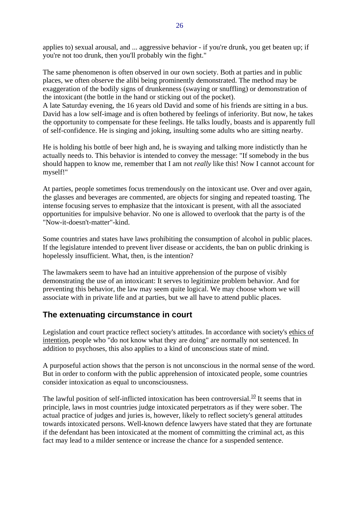applies to) sexual arousal, and ... aggressive behavior - if you're drunk, you get beaten up; if you're not too drunk, then you'll probably win the fight."

The same phenomenon is often observed in our own society. Both at parties and in public places, we often observe the alibi being prominently demonstrated. The method may be exaggeration of the bodily signs of drunkenness (swaying or snuffling) or demonstration of the intoxicant (the bottle in the hand or sticking out of the pocket).

A late Saturday evening, the 16 years old David and some of his friends are sitting in a bus. David has a low self-image and is often bothered by feelings of inferiority. But now, he takes the opportunity to compensate for these feelings. He talks loudly, boasts and is apparently full of self-confidence. He is singing and joking, insulting some adults who are sitting nearby.

He is holding his bottle of beer high and, he is swaying and talking more indistictly than he actually needs to. This behavior is intended to convey the message: "If somebody in the bus should happen to know me, remember that I am not *really* like this! Now I cannot account for myself!"

At parties, people sometimes focus tremendously on the intoxicant use. Over and over again, the glasses and beverages are commented, are objects for singing and repeated toasting. The intense focusing serves to emphasize that the intoxicant is present, with all the associated opportunities for impulsive behavior. No one is allowed to overlook that the party is of the "Now-it-doesn't-matter"-kind.

Some countries and states have laws prohibiting the consumption of alcohol in public places. If the legislature intended to prevent liver disease or accidents, the ban on public drinking is hopelessly insufficient. What, then, is the intention?

The lawmakers seem to have had an intuitive apprehension of the purpose of visibly demonstrating the use of an intoxicant: It serves to legitimize problem behavior. And for preventing this behavior, the law may seem quite logical. We may choose whom we will associate with in private life and at parties, but we all have to attend public places.

### **The extenuating circumstance in court**

Legislation and court practice reflect society's attitudes. In accordance with society's ethics of intention, people who "do not know what they are doing" are normally not sentenced. In addition to psychoses, this also applies to a kind of unconscious state of mind.

A purposeful action shows that the person is not unconscious in the normal sense of the word. But in order to conform with the public apprehension of intoxicated people, some countries consider intoxication as equal to unconsciousness.

The lawful position of self-inflicted intoxication has been controversial.<sup>10</sup> It seems that in principle, laws in most countries judge intoxicated perpetrators as if they were sober. The actual practice of judges and juries is, however, likely to reflect society's general attitudes towards intoxicated persons. Well-known defence lawyers have stated that they are fortunate if the defendant has been intoxicated at the moment of committing the criminal act, as this fact may lead to a milder sentence or increase the chance for a suspended sentence.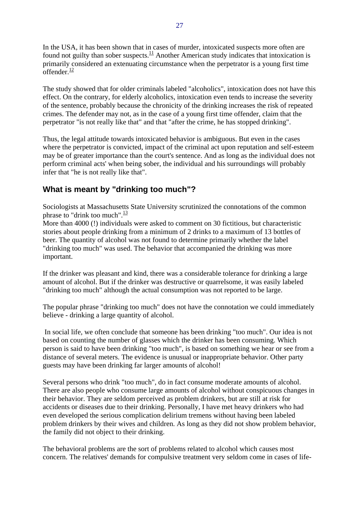In the USA, it has been shown that in cases of murder, intoxicated suspects more often are found not guilty than sober suspects.<sup>11</sup> Another American study indicates that intoxication is primarily considered an extenuating circumstance when the perpetrator is a young first time offender. $\frac{12}{1}$ 

The study showed that for older criminals labeled "alcoholics", intoxication does not have this effect. On the contrary, for elderly alcoholics, intoxication even tends to increase the severity of the sentence, probably because the chronicity of the drinking increases the risk of repeated crimes. The defender may not, as in the case of a young first time offender, claim that the perpetrator "is not really like that" and that "after the crime, he has stopped drinking".

Thus, the legal attitude towards intoxicated behavior is ambiguous. But even in the cases where the perpetrator is convicted, impact of the criminal act upon reputation and self-esteem may be of greater importance than the court's sentence. And as long as the individual does not perform criminal acts' when being sober, the individual and his surroundings will probably infer that "he is not really like that".

# **What is meant by "drinking too much"?**

Sociologists at Massachusetts State University scrutinized the connotations of the common phrase to "drink too much". $\frac{13}{13}$ 

More than 4000 (!) individuals were asked to comment on 30 fictitious, but characteristic stories about people drinking from a minimum of 2 drinks to a maximum of 13 bottles of beer. The quantity of alcohol was not found to determine primarily whether the label "drinking too much" was used. The behavior that accompanied the drinking was more important.

If the drinker was pleasant and kind, there was a considerable tolerance for drinking a large amount of alcohol. But if the drinker was destructive or quarrelsome, it was easily labeled "drinking too much" although the actual consumption was not reported to be large.

The popular phrase "drinking too much" does not have the connotation we could immediately believe - drinking a large quantity of alcohol.

 In social life, we often conclude that someone has been drinking "too much". Our idea is not based on counting the number of glasses which the drinker has been consuming. Which person is said to have been drinking "too much", is based on something we hear or see from a distance of several meters. The evidence is unusual or inappropriate behavior. Other party guests may have been drinking far larger amounts of alcohol!

Several persons who drink "too much", do in fact consume moderate amounts of alcohol. There are also people who consume large amounts of alcohol without conspicuous changes in their behavior. They are seldom perceived as problem drinkers, but are still at risk for accidents or diseases due to their drinking. Personally, I have met heavy drinkers who had even developed the serious complication delirium tremens without having been labeled problem drinkers by their wives and children. As long as they did not show problem behavior, the family did not object to their drinking.

The behavioral problems are the sort of problems related to alcohol which causes most concern. The relatives' demands for compulsive treatment very seldom come in cases of life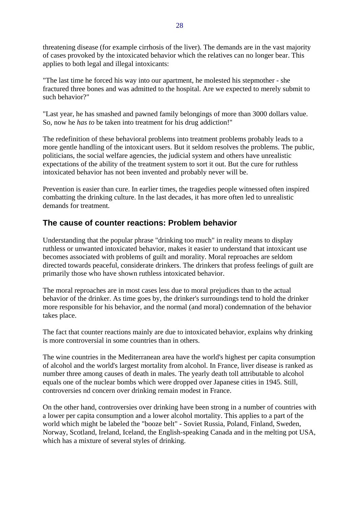threatening disease (for example cirrhosis of the liver). The demands are in the vast majority of cases provoked by the intoxicated behavior which the relatives can no longer bear. This applies to both legal and illegal intoxicants:

"The last time he forced his way into our apartment, he molested his stepmother - she fractured three bones and was admitted to the hospital. Are we expected to merely submit to such behavior?"

"Last year, he has smashed and pawned family belongings of more than 3000 dollars value. So, now he *has to* be taken into treatment for his drug addiction!"

The redefinition of these behavioral problems into treatment problems probably leads to a more gentle handling of the intoxicant users. But it seldom resolves the problems. The public, politicians, the social welfare agencies, the judicial system and others have unrealistic expectations of the ability of the treatment system to sort it out. But the cure for ruthless intoxicated behavior has not been invented and probably never will be.

Prevention is easier than cure. In earlier times, the tragedies people witnessed often inspired combatting the drinking culture. In the last decades, it has more often led to unrealistic demands for treatment.

### **The cause of counter reactions: Problem behavior**

Understanding that the popular phrase "drinking too much" in reality means to display ruthless or unwanted intoxicated behavior, makes it easier to understand that intoxicant use becomes associated with problems of guilt and morality. Moral reproaches are seldom directed towards peaceful, considerate drinkers. The drinkers that profess feelings of guilt are primarily those who have shown ruthless intoxicated behavior.

The moral reproaches are in most cases less due to moral prejudices than to the actual behavior of the drinker. As time goes by, the drinker's surroundings tend to hold the drinker more responsible for his behavior, and the normal (and moral) condemnation of the behavior takes place.

The fact that counter reactions mainly are due to intoxicated behavior, explains why drinking is more controversial in some countries than in others.

The wine countries in the Mediterranean area have the world's highest per capita consumption of alcohol and the world's largest mortality from alcohol. In France, liver disease is ranked as number three among causes of death in males. The yearly death toll attributable to alcohol equals one of the nuclear bombs which were dropped over Japanese cities in 1945. Still, controversies nd concern over drinking remain modest in France.

On the other hand, controversies over drinking have been strong in a number of countries with a lower per capita consumption and a lower alcohol mortality. This applies to a part of the world which might be labeled the "booze belt" - Soviet Russia, Poland, Finland, Sweden, Norway, Scotland, Ireland, Iceland, the English-speaking Canada and in the melting pot USA, which has a mixture of several styles of drinking.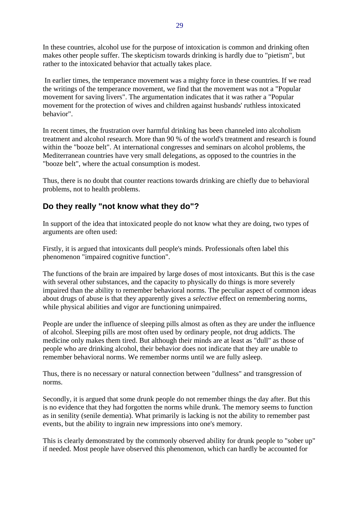In these countries, alcohol use for the purpose of intoxication is common and drinking often makes other people suffer. The skepticism towards drinking is hardly due to "pietism", but rather to the intoxicated behavior that actually takes place.

 In earlier times, the temperance movement was a mighty force in these countries. If we read the writings of the temperance movement, we find that the movement was not a "Popular movement for saving livers". The argumentation indicates that it was rather a "Popular movement for the protection of wives and children against husbands' ruthless intoxicated behavior".

In recent times, the frustration over harmful drinking has been channeled into alcoholism treatment and alcohol research. More than 90 % of the world's treatment and research is found within the "booze belt". At international congresses and seminars on alcohol problems, the Mediterranean countries have very small delegations, as opposed to the countries in the "booze belt", where the actual consumption is modest.

Thus, there is no doubt that counter reactions towards drinking are chiefly due to behavioral problems, not to health problems.

# **Do they really "not know what they do"?**

In support of the idea that intoxicated people do not know what they are doing, two types of arguments are often used:

Firstly, it is argued that intoxicants dull people's minds. Professionals often label this phenomenon "impaired cognitive function".

The functions of the brain are impaired by large doses of most intoxicants. But this is the case with several other substances, and the capacity to physically do things is more severely impaired than the ability to remember behavioral norms. The peculiar aspect of common ideas about drugs of abuse is that they apparently gives a *selective* effect on remembering norms, while physical abilities and vigor are functioning unimpaired.

People are under the influence of sleeping pills almost as often as they are under the influence of alcohol. Sleeping pills are most often used by ordinary people, not drug addicts. The medicine only makes them tired. But although their minds are at least as "dull" as those of people who are drinking alcohol, their behavior does not indicate that they are unable to remember behavioral norms. We remember norms until we are fully asleep.

Thus, there is no necessary or natural connection between "dullness" and transgression of norms.

Secondly, it is argued that some drunk people do not remember things the day after. But this is no evidence that they had forgotten the norms while drunk. The memory seems to function as in senility (senile dementia). What primarily is lacking is not the ability to remember past events, but the ability to ingrain new impressions into one's memory.

This is clearly demonstrated by the commonly observed ability for drunk people to "sober up" if needed. Most people have observed this phenomenon, which can hardly be accounted for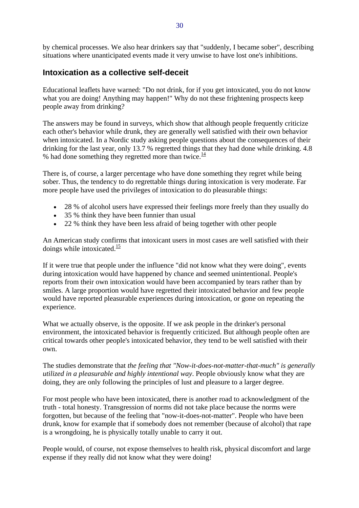by chemical processes. We also hear drinkers say that "suddenly, I became sober", describing situations where unanticipated events made it very unwise to have lost one's inhibitions.

#### **Intoxication as a collective self-deceit**

Educational leaflets have warned: "Do not drink, for if you get intoxicated, you do not know what you are doing! Anything may happen!" Why do not these frightening prospects keep people away from drinking?

The answers may be found in surveys, which show that although people frequently criticize each other's behavior while drunk, they are generally well satisfied with their own behavior when intoxicated. In a Nordic study asking people questions about the consequences of their drinking for the last year, only 13.7 % regretted things that they had done while drinking. 4.8 % had done something they regretted more than twice.<sup>14</sup>

There is, of course, a larger percentage who have done something they regret while being sober. Thus, the tendency to do regrettable things during intoxication is very moderate. Far more people have used the privileges of intoxication to do pleasurable things:

- 28 % of alcohol users have expressed their feelings more freely than they usually do
- 35 % think they have been funnier than usual
- 22 % think they have been less afraid of being together with other people

An American study confirms that intoxicant users in most cases are well satisfied with their doings while intoxicated. $\frac{15}{15}$ 

If it were true that people under the influence "did not know what they were doing", events during intoxication would have happened by chance and seemed unintentional. People's reports from their own intoxication would have been accompanied by tears rather than by smiles. A large proportion would have regretted their intoxicated behavior and few people would have reported pleasurable experiences during intoxication, or gone on repeating the experience.

What we actually observe, is the opposite. If we ask people in the drinker's personal environment, the intoxicated behavior is frequently criticized. But although people often are critical towards other people's intoxicated behavior, they tend to be well satisfied with their own.

The studies demonstrate that *the feeling that "Now-it-does-not-matter-that-much" is generally utilized in a pleasurable and highly intentional way*. People obviously know what they are doing, they are only following the principles of lust and pleasure to a larger degree.

For most people who have been intoxicated, there is another road to acknowledgment of the truth - total honesty. Transgression of norms did not take place because the norms were forgotten, but because of the feeling that "now-it-does-not-matter". People who have been drunk, know for example that if somebody does not remember (because of alcohol) that rape is a wrongdoing, he is physically totally unable to carry it out.

People would, of course, not expose themselves to health risk, physical discomfort and large expense if they really did not know what they were doing!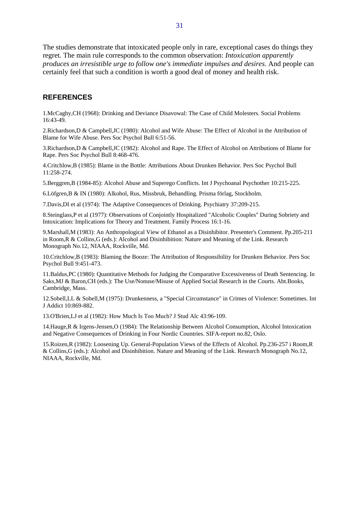The studies demonstrate that intoxicated people only in rare, exceptional cases do things they regret. The main rule corresponds to the common observation: *Intoxication apparently produces an irresistible urge to follow one's immediate impulses and desires.* And people can certainly feel that such a condition is worth a good deal of money and health risk.

#### **REFERENCES**

1.McCaghy,CH (1968): Drinking and Deviance Disavowal: The Case of Child Molesters. Social Problems 16:43-49.

2.Richardson,D & Campbell,JC (1980): Alcohol and Wife Abuse: The Effect of Alcohol in the Attribution of Blame for Wife Abuse. Pers Soc Psychol Bull 6:51-56.

3.Richardson,D & Campbell,JC (1982): Alcohol and Rape. The Effect of Alcohol on Attributions of Blame for Rape. Pers Soc Psychol Bull 8:468-476.

4.Critchlow,B (1985): Blame in the Bottle: Attributions About Drunken Behavior. Pers Soc Psychol Bull 11:258-274.

5.Berggren,B (1984-85): Alcohol Abuse and Superego Conflicts. Int J Psychoanal Psychother 10:215-225.

6.Löfgren,B & IN (1980): Alkohol, Rus, Missbruk, Behandling. Prisma förlag, Stockholm.

7.Davis,DI et al (1974): The Adaptive Consequences of Drinking. Psychiatry 37:209-215.

8.Steinglass,P et al (1977): Observations of Conjointly Hospitalized "Alcoholic Couples" During Sobriety and Intoxication: Implications for Theory and Treatment. Family Process 16:1-16.

9.Marshall,M (1983): An Anthropological View of Ethanol as a Disinhibitor. Presenter's Comment. Pp.205-211 in Room,R & Collins,G (eds.): Alcohol and Disinhibition: Nature and Meaning of the Link. Research Monograph No.12, NIAAA, Rockville, Md.

10.Critchlow,B (1983): Blaming the Booze: The Attribution of Responsibility for Drunken Behavior. Pers Soc Psychol Bull 9:451-473.

11.Baldus,PC (1980): Quantitative Methods for Judging the Comparative Excessiveness of Death Sentencing. In Saks,MJ & Baron,CH (eds.): The Use/Nonuse/Misuse of Applied Social Research in the Courts. Abt.Books, Cambridge, Mass.

12.Sobell,LL & Sobell,M (1975): Drunkenness, a "Special Circumstance" in Crimes of Violence: Sometimes. Int J Addict 10:869-882.

13.O'Brien,LJ et al (1982): How Much Is Too Much? J Stud Alc 43:96-109.

14.Hauge,R & Irgens-Jensen,O (1984): The Relationship Between Alcohol Consumption, Alcohol Intoxication and Negative Consequences of Drinking in Four Nordic Countries. SIFA-report no.82, Oslo.

15.Roizen,R (1982): Loosening Up. General-Population Views of the Effects of Alcohol. Pp.236-257 i Room,R & Collins,G (eds.): Alcohol and Disinhibition. Nature and Meaning of the Link. Research Monograph No.12, NIAAA, Rockville, Md.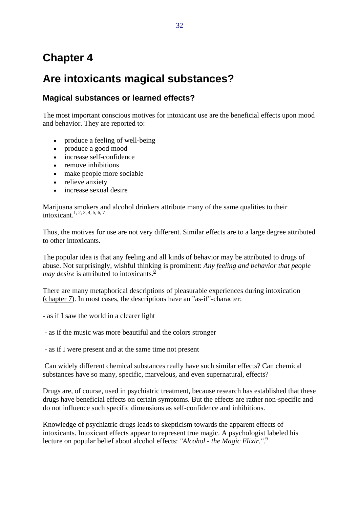# **Chapter 4**

# **Are intoxicants magical substances?**

# **Magical substances or learned effects?**

The most important conscious motives for intoxicant use are the beneficial effects upon mood and behavior. They are reported to:

- produce a feeling of well-being
- produce a good mood
- increase self-confidence
- remove inhibitions
- make people more sociable
- relieve anxiety
- increase sexual desire

Marijuana smokers and alcohol drinkers attribute many of the same qualities to their intoxicant.<sup>1, 2, 3, 4, 5, 6, 7</sup>

Thus, the motives for use are not very different. Similar effects are to a large degree attributed to other intoxicants.

The popular idea is that any feeling and all kinds of behavior may be attributed to drugs of abuse. Not surprisingly, wishful thinking is prominent: *Any feeling and behavior that people may desire* is attributed to intoxicants.<sup>8</sup>

There are many metaphorical descriptions of pleasurable experiences during intoxication (chapter 7). In most cases, the descriptions have an "as-if"-character:

- as if I saw the world in a clearer light

- as if the music was more beautiful and the colors stronger

- as if I were present and at the same time not present

 Can widely different chemical substances really have such similar effects? Can chemical substances have so many, specific, marvelous, and even supernatural, effects?

Drugs are, of course, used in psychiatric treatment, because research has established that these drugs have beneficial effects on certain symptoms. But the effects are rather non-specific and do not influence such specific dimensions as self-confidence and inhibitions.

Knowledge of psychiatric drugs leads to skepticism towards the apparent effects of intoxicants. Intoxicant effects appear to represent true magic. A psychologist labeled his lecture on popular belief about alcohol effects: *"Alcohol - the Magic Elixir.".*<sup>9</sup>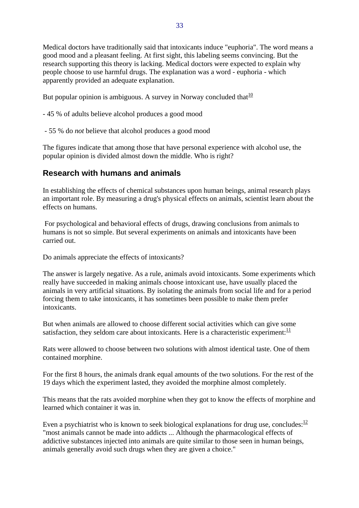Medical doctors have traditionally said that intoxicants induce "euphoria". The word means a good mood and a pleasant feeling. At first sight, this labeling seems convincing. But the research supporting this theory is lacking. Medical doctors were expected to explain why people choose to use harmful drugs. The explanation was a word - euphoria - which apparently provided an adequate explanation.

But popular opinion is ambiguous. A survey in Norway concluded that  $\frac{10}{10}$ 

- 45 % of adults believe alcohol produces a good mood
- 55 % do *not* believe that alcohol produces a good mood

The figures indicate that among those that have personal experience with alcohol use, the popular opinion is divided almost down the middle. Who is right?

### **Research with humans and animals**

In establishing the effects of chemical substances upon human beings, animal research plays an important role. By measuring a drug's physical effects on animals, scientist learn about the effects on humans.

 For psychological and behavioral effects of drugs, drawing conclusions from animals to humans is not so simple. But several experiments on animals and intoxicants have been carried out.

Do animals appreciate the effects of intoxicants?

The answer is largely negative. As a rule, animals avoid intoxicants. Some experiments which really have succeeded in making animals choose intoxicant use, have usually placed the animals in very artificial situations. By isolating the animals from social life and for a period forcing them to take intoxicants, it has sometimes been possible to make them prefer intoxicants.

But when animals are allowed to choose different social activities which can give some satisfaction, they seldom care about intoxicants. Here is a characteristic experiment: $\frac{11}{11}$ 

Rats were allowed to choose between two solutions with almost identical taste. One of them contained morphine.

For the first 8 hours, the animals drank equal amounts of the two solutions. For the rest of the 19 days which the experiment lasted, they avoided the morphine almost completely.

This means that the rats avoided morphine when they got to know the effects of morphine and learned which container it was in.

Even a psychiatrist who is known to seek biological explanations for drug use, concludes:  $\frac{12}{12}$ "most animals cannot be made into addicts ... Although the pharmacological effects of addictive substances injected into animals are quite similar to those seen in human beings, animals generally avoid such drugs when they are given a choice."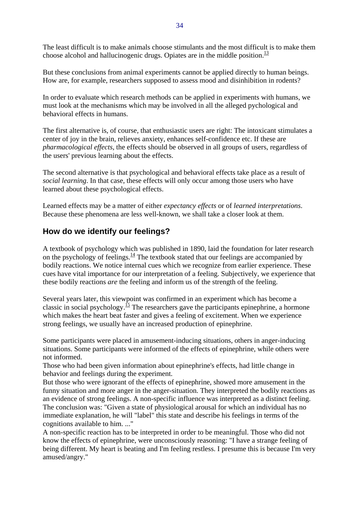The least difficult is to make animals choose stimulants and the most difficult is to make them choose alcohol and hallucinogenic drugs. Opiates are in the middle position.<sup>13</sup>

But these conclusions from animal experiments cannot be applied directly to human beings. How are, for example, researchers supposed to assess mood and disinhibition in rodents?

In order to evaluate which research methods can be applied in experiments with humans, we must look at the mechanisms which may be involved in all the alleged pychological and behavioral effects in humans.

The first alternative is, of course, that enthusiastic users are right: The intoxicant stimulates a center of joy in the brain, relieves anxiety, enhances self-confidence etc. If these are *pharmacological effects*, the effects should be observed in all groups of users, regardless of the users' previous learning about the effects.

The second alternative is that psychological and behavioral effects take place as a result of *social learning*. In that case, these effects will only occur among those users who have learned about these psychological effects.

Learned effects may be a matter of either *expectancy effects* or of *learned interpretations*. Because these phenomena are less well-known, we shall take a closer look at them.

#### **How do we identify our feelings?**

A textbook of psychology which was published in 1890, laid the foundation for later research on the psychology of feelings. $\frac{14}{1}$  The textbook stated that our feelings are accompanied by bodily reactions. We notice internal cues which we recognize from earlier experience. These cues have vital importance for our interpretation of a feeling. Subjectively, we experience that these bodily reactions *are* the feeling and inform us of the strength of the feeling.

Several years later, this viewpoint was confirmed in an experiment which has become a classic in social psychology.<sup>15</sup> The researchers gave the participants epinephrine, a hormone which makes the heart beat faster and gives a feeling of excitement. When we experience strong feelings, we usually have an increased production of epinephrine.

Some participants were placed in amusement-inducing situations, others in anger-inducing situations. Some participants were informed of the effects of epinephrine, while others were not informed.

Those who had been given information about epinephrine's effects, had little change in behavior and feelings during the experiment.

But those who were ignorant of the effects of epinephrine, showed more amusement in the funny situation and more anger in the anger-situation. They interpreted the bodily reactions as an evidence of strong feelings. A non-specific influence was interpreted as a distinct feeling. The conclusion was: "Given a state of physiological arousal for which an individual has no immediate explanation, he will "label" this state and describe his feelings in terms of the cognitions available to him. ..."

A non-specific reaction has to be interpreted in order to be meaningful. Those who did not know the effects of epinephrine, were unconsciously reasoning: "I have a strange feeling of being different. My heart is beating and I'm feeling restless. I presume this is because I'm very amused/angry."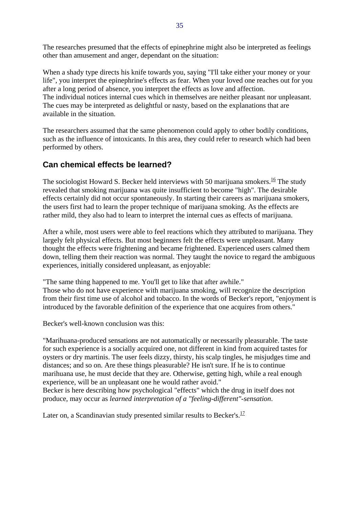The researches presumed that the effects of epinephrine might also be interpreted as feelings other than amusement and anger, dependant on the situation:

When a shady type directs his knife towards you, saying "I'll take either your money or your life", you interpret the epinephrine's effects as fear. When your loved one reaches out for you after a long period of absence, you interpret the effects as love and affection. The individual notices internal cues which in themselves are neither pleasant nor unpleasant. The cues may be interpreted as delightful or nasty, based on the explanations that are available in the situation.

The researchers assumed that the same phenomenon could apply to other bodily conditions, such as the influence of intoxicants. In this area, they could refer to research which had been performed by others.

### **Can chemical effects be learned?**

The sociologist Howard S. Becker held interviews with 50 marijuana smokers.<sup>16</sup> The study revealed that smoking marijuana was quite insufficient to become "high". The desirable effects certainly did not occur spontaneously. In starting their careers as marijuana smokers, the users first had to learn the proper technique of marijuana smoking. As the effects are rather mild, they also had to learn to interpret the internal cues as effects of marijuana.

After a while, most users were able to feel reactions which they attributed to marijuana. They largely felt physical effects. But most beginners felt the effects were unpleasant. Many thought the effects were frightening and became frightened. Experienced users calmed them down, telling them their reaction was normal. They taught the novice to regard the ambiguous experiences, initially considered unpleasant, as enjoyable:

"The same thing happened to me. You'll get to like that after awhile." Those who do not have experience with marijuana smoking, will recognize the description from their first time use of alcohol and tobacco. In the words of Becker's report, "enjoyment is introduced by the favorable definition of the experience that one acquires from others."

Becker's well-known conclusion was this:

"Marihuana-produced sensations are not automatically or necessarily pleasurable. The taste for such experience is a socially acquired one, not different in kind from acquired tastes for oysters or dry martinis. The user feels dizzy, thirsty, his scalp tingles, he misjudges time and distances; and so on. Are these things pleasurable? He isn't sure. If he is to continue marihuana use, he must decide that they are. Otherwise, getting high, while a real enough experience, will be an unpleasant one he would rather avoid."

Becker is here describing how psychological "effects" which the drug in itself does not produce, may occur as *learned interpretation of a "feeling-different"-sensation*.

Later on, a Scandinavian study presented similar results to Becker's. $\frac{17}{17}$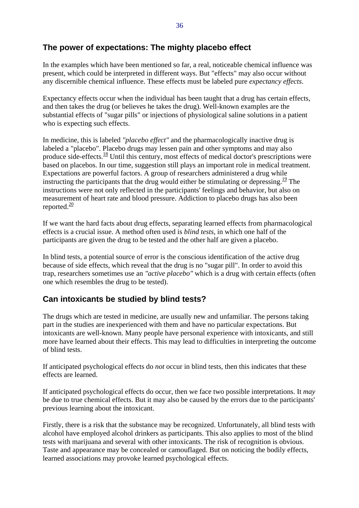### **The power of expectations: The mighty placebo effect**

In the examples which have been mentioned so far, a real, noticeable chemical influence was present, which could be interpreted in different ways. But "effects" may also occur without any discernible chemical influence. These effects must be labeled pure *expectancy effects*.

Expectancy effects occur when the individual has been taught that a drug has certain effects, and then takes the drug (or believes he takes the drug). Well-known examples are the substantial effects of "sugar pills" or injections of physiological saline solutions in a patient who is expecting such effects.

In medicine, this is labeled *"placebo effect"* and the pharmacologically inactive drug is labeled a "placebo". Placebo drugs may lessen pain and other symptoms and may also produce side-effects. $\frac{18}{3}$  Until this century, most effects of medical doctor's prescriptions were based on placebos. In our time, suggestion still plays an important role in medical treatment. Expectations are powerful factors. A group of researchers administered a drug while instructing the participants that the drug would either be stimulating or depressing.<sup>19</sup> The instructions were not only reflected in the participants' feelings and behavior, but also on measurement of heart rate and blood pressure. Addiction to placebo drugs has also been reported. $\frac{20}{20}$ 

If we want the hard facts about drug effects, separating learned effects from pharmacological effects is a crucial issue. A method often used is *blind tests*, in which one half of the participants are given the drug to be tested and the other half are given a placebo.

In blind tests, a potential source of error is the conscious identification of the active drug because of side effects, which reveal that the drug is no "sugar pill". In order to avoid this trap, researchers sometimes use an *"active placebo"* which is a drug with certain effects (often one which resembles the drug to be tested).

# **Can intoxicants be studied by blind tests?**

The drugs which are tested in medicine, are usually new and unfamiliar. The persons taking part in the studies are inexperienced with them and have no particular expectations. But intoxicants are well-known. Many people have personal experience with intoxicants, and still more have learned about their effects. This may lead to difficulties in interpreting the outcome of blind tests.

If anticipated psychological effects do *not* occur in blind tests, then this indicates that these effects are learned.

If anticipated psychological effects do occur, then we face two possible interpretations. It *may* be due to true chemical effects. But it may also be caused by the errors due to the participants' previous learning about the intoxicant.

Firstly, there is a risk that the substance may be recognized. Unfortunately, all blind tests with alcohol have employed alcohol drinkers as participants. This also applies to most of the blind tests with marijuana and several with other intoxicants. The risk of recognition is obvious. Taste and appearance may be concealed or camouflaged. But on noticing the bodily effects, learned associations may provoke learned psychological effects.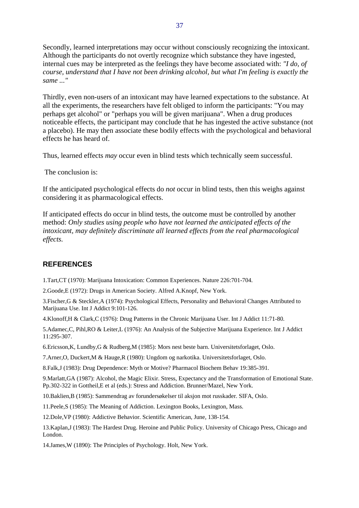Secondly, learned interpretations may occur without consciously recognizing the intoxicant. Although the participants do not overtly recognize which substance they have ingested, internal cues may be interpreted as the feelings they have become associated with: *"I do, of course, understand that I have not been drinking alcohol, but what I'm feeling is exactly the same ..."*

Thirdly, even non-users of an intoxicant may have learned expectations to the substance. At all the experiments, the researchers have felt obliged to inform the participants: "You may perhaps get alcohol" or "perhaps you will be given marijuana". When a drug produces noticeable effects, the participant may conclude that he has ingested the active substance (not a placebo). He may then associate these bodily effects with the psychological and behavioral effects he has heard of.

Thus, learned effects *may* occur even in blind tests which technically seem successful.

The conclusion is:

If the anticipated psychological effects do *not* occur in blind tests, then this weighs against considering it as pharmacological effects.

If anticipated effects do occur in blind tests, the outcome must be controlled by another method: *Only studies using people who have not learned the anticipated effects of the intoxicant, may definitely discriminate all learned effects from the real pharmacological effects.*

#### **REFERENCES**

1.Tart,CT (1970): Marijuana Intoxication: Common Experiences. Nature 226:701-704.

2.Goode,E (1972): Drugs in American Society. Alfred A.Knopf, New York.

3.Fischer,G & Steckler,A (1974): Psychological Effects, Personality and Behavioral Changes Attributed to Marijuana Use. Int J Addict 9:101-126.

4.Klonoff,H & Clark,C (1976): Drug Patterns in the Chronic Marijuana User. Int J Addict 11:71-80.

5.Adamec,C, Pihl,RO & Leiter,L (1976): An Analysis of the Subjective Marijuana Experience. Int J Addict 11:295-307.

6.Ericsson,K, Lundby,G & Rudberg,M (1985): Mors nest beste barn. Universitetsforlaget, Oslo.

7.Arner,O, Duckert,M & Hauge,R (1980): Ungdom og narkotika. Universitetsforlaget, Oslo.

8.Falk,J (1983): Drug Dependence: Myth or Motive? Pharmacol Biochem Behav 19:385-391.

9.Marlatt,GA (1987): Alcohol, the Magic Elixir. Stress, Expectancy and the Transformation of Emotional State. Pp.302-322 in Gottheil,E et al (eds.): Stress and Addiction. Brunner/Mazel, New York.

10.Baklien,B (1985): Sammendrag av forundersøkelser til aksjon mot russkader. SIFA, Oslo.

11.Peele,S (1985): The Meaning of Addiction. Lexington Books, Lexington, Mass.

12.Dole,VP (1980): Addictive Behavior. Scientific American, June, 138-154.

13.Kaplan,J (1983): The Hardest Drug. Heroine and Public Policy. University of Chicago Press, Chicago and London.

14.James,W (1890): The Principles of Psychology. Holt, New York.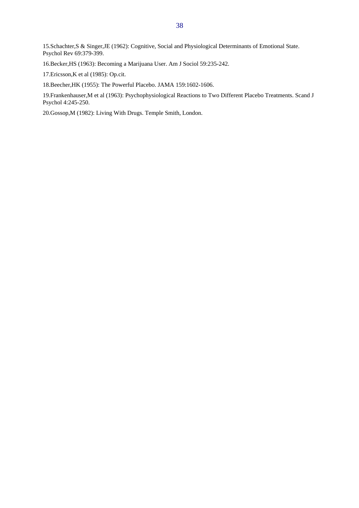15.Schachter,S & Singer,JE (1962): Cognitive, Social and Physiological Determinants of Emotional State. Psychol Rev 69:379-399.

16.Becker,HS (1963): Becoming a Marijuana User. Am J Sociol 59:235-242.

17.Ericsson,K et al (1985): Op.cit.

18.Beecher,HK (1955): The Powerful Placebo. JAMA 159:1602-1606.

19.Frankenhauser,M et al (1963): Psychophysiological Reactions to Two Different Placebo Treatments. Scand J Psychol 4:245-250.

20.Gossop,M (1982): Living With Drugs. Temple Smith, London.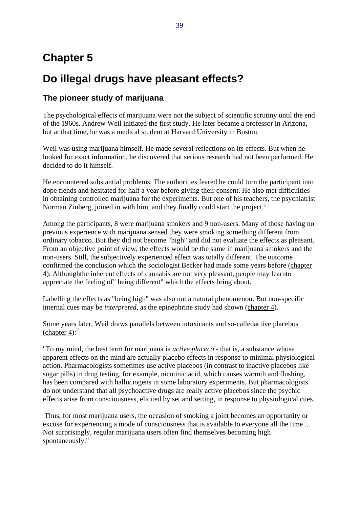# **Chapter 5**

# **Do illegal drugs have pleasant effects?**

## **The pioneer study of marijuana**

The psychological effects of marijuana were not the subject of scientific scrutiny until the end of the 1960s. Andrew Weil initiated the first study. He later became a professor in Arizona, but at that time, he was a medical student at Harvard University in Boston.

Weil was using marijuana himself. He made several reflections on its effects. But when he looked for exact information, he discovered that serious research had not been performed. He decided to do it himself.

He encountered substantial problems. The authorities feared he could turn the participant into dope fiends and hesitated for half a year before giving their consent. He also met difficulties in obtaining controlled marijuana for the experiments. But one of his teachers, the psychiatrist Norman Zinberg, joined in with him, and they finally could start the project. $<sup>1</sup>$ </sup>

Among the participants, 8 were marijuana smokers and 9 non-users. Many of those having no previous experience with marijuana sensed they were smoking something different from ordinary tobacco. But they did not become "high" and did not evaluate the effects as pleasant. From an objective point of view, the effects would be the same in marijuana smokers and the non-users. Still, the subjectively experienced effect was totally different. The outcome confirmed the conclusion which the sociologist Becker had made some years before (chapter 4): Althoughthe inherent effects of cannabis are not very pleasant, people may learnto appreciate the feeling of" being different" which the effects bring about.

Labelling the effects as "being high" was also not a natural phenomenon. But non-specific internal cues may be *interpreted*, as the epinephrine study had shown (chapter 4).

Some years later, Weil draws parallels between intoxicants and so-calledactive placebos  $\frac{\text{chaper } 4}{\text{chatter } 4}$ 

"To my mind, the best term for marijuana ia *active placeco* - that is, a substance whose apparent effects on the mind are actually placebo effects in response to minimal physiological action. Pharmacologists sometimes use active placebos (in contrast to inactive placebos like sugar pills) in drug testing, for example, nicotinic acid, which causes warmth and flushing, has been compared with halluciogens in some laboratory experiments. But pharmacologists do not understand that all psychoactive drugs are really active placebos since the psychic effects arise from consciousness, elicited by set and setting, in response to physiological cues.

 Thus, for most marijuana users, the occasion of smoking a joint becomes an opportunity or excuse for experiencing a mode of consciousness that is available to everyone all the time ... Not surprisingly, regular marijuana users often find themselves becoming high spontaneously."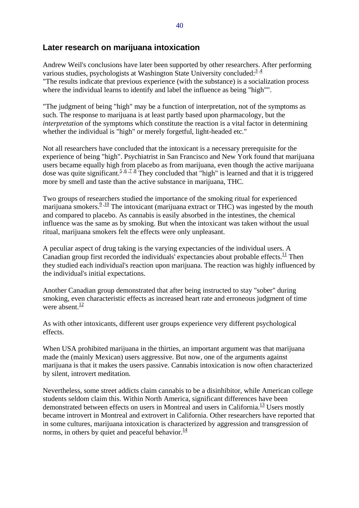#### **Later research on marijuana intoxication**

Andrew Weil's conclusions have later been supported by other researchers. After performing various studies, psychologists at Washington State University concluded: $3.4$ "The results indicate that previous experience (with the substance) is a socialization process where the individual learns to identify and label the influence as being "high"".

"The judgment of being "high" may be a function of interpretation, not of the symptoms as such. The response to marijuana is at least partly based upon pharmacology, but the *interpretation* of the symptoms which constitute the reaction is a vital factor in determining whether the individual is "high" or merely forgetful, light-headed etc."

Not all researchers have concluded that the intoxicant is a necessary prerequisite for the experience of being "high". Psychiatrist in San Francisco and New York found that marijuana users became equally high from placebo as from marijuana, even though the active marijuana dose was quite significant.<sup>5</sup>,6,7,8<sup>2</sup>They concluded that "high" is learned and that it is triggered more by smell and taste than the active substance in marijuana, THC.

Two groups of researchers studied the importance of the smoking ritual for experienced marijuana smokers. $\frac{9,10}{1}$  The intoxicant (marijuana extract or THC) was ingested by the mouth and compared to placebo. As cannabis is easily absorbed in the intestines, the chemical influence was the same as by smoking. But when the intoxicant was taken without the usual ritual, marijuana smokers felt the effects were only unpleasant.

A peculiar aspect of drug taking is the varying expectancies of the individual users. A Canadian group first recorded the individuals' expectancies about probable effects.<sup>11</sup> Then they studied each individual's reaction upon marijuana. The reaction was highly influenced by the individual's initial expectations.

Another Canadian group demonstrated that after being instructed to stay "sober" during smoking, even characteristic effects as increased heart rate and erroneous judgment of time were absent. $\frac{12}{2}$ 

As with other intoxicants, different user groups experience very different psychological effects.

When USA prohibited marijuana in the thirties, an important argument was that marijuana made the (mainly Mexican) users aggressive. But now, one of the arguments against marijuana is that it makes the users passive. Cannabis intoxication is now often characterized by silent, introvert meditation.

Nevertheless, some street addicts claim cannabis to be a disinhibitor, while American college students seldom claim this. Within North America, significant differences have been demonstrated between effects on users in Montreal and users in California.<sup>13</sup> Users mostly became introvert in Montreal and extrovert in California. Other researchers have reported that in some cultures, marijuana intoxication is characterized by aggression and transgression of norms, in others by quiet and peaceful behavior. $\frac{14}{1}$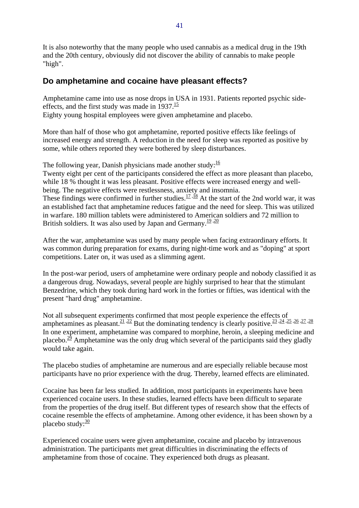It is also noteworthy that the many people who used cannabis as a medical drug in the 19th and the 20th century, obviously did not discover the ability of cannabis to make people "high".

### **Do amphetamine and cocaine have pleasant effects?**

Amphetamine came into use as nose drops in USA in 1931. Patients reported psychic sideeffects, and the first study was made in  $1937 \cdot \frac{15}{15}$ Eighty young hospital employees were given amphetamine and placebo.

More than half of those who got amphetamine, reported positive effects like feelings of increased energy and strength. A reduction in the need for sleep was reported as positive by some, while others reported they were bothered by sleep disturbances.

The following year, Danish physicians made another study: $\frac{16}{16}$ 

Twenty eight per cent of the participants considered the effect as more pleasant than placebo, while 18 % thought it was less pleasant. Positive effects were increased energy and wellbeing. The negative effects were restlessness, anxiety and insomnia. These findings were confirmed in further studies.<sup>17, 18</sup> At the start of the 2nd world war, it was

an established fact that amphetamine reduces fatigue and the need for sleep. This was utilized in warfare. 180 million tablets were administered to American soldiers and 72 million to British soldiers. It was also used by Japan and Germany.<sup>19,20</sup>

After the war, amphetamine was used by many people when facing extraordinary efforts. It was common during preparation for exams, during night-time work and as "doping" at sport competitions. Later on, it was used as a slimming agent.

In the post-war period, users of amphetamine were ordinary people and nobody classified it as a dangerous drug. Nowadays, several people are highly surprised to hear that the stimulant Benzedrine, which they took during hard work in the forties or fifties, was identical with the present "hard drug" amphetamine.

Not all subsequent experiments confirmed that most people experience the effects of amphetamines as pleasant.<sup>21, 22</sup> But the dominating tendency is clearly positive.<sup>23, 24, 25, 26, 27, 28</sup> In one experiment, amphetamine was compared to morphine, heroin, a sleeping medicine and placebo.<sup>29</sup> Amphetamine was the only drug which several of the participants said they gladly would take again.

The placebo studies of amphetamine are numerous and are especially reliable because most participants have no prior experience with the drug. Thereby, learned effects are eliminated.

Cocaine has been far less studied. In addition, most participants in experiments have been experienced cocaine users. In these studies, learned effects have been difficult to separate from the properties of the drug itself. But different types of research show that the effects of cocaine resemble the effects of amphetamine. Among other evidence, it has been shown by a placebo study: $\frac{30}{2}$ 

Experienced cocaine users were given amphetamine, cocaine and placebo by intravenous administration. The participants met great difficulties in discriminating the effects of amphetamine from those of cocaine. They experienced both drugs as pleasant.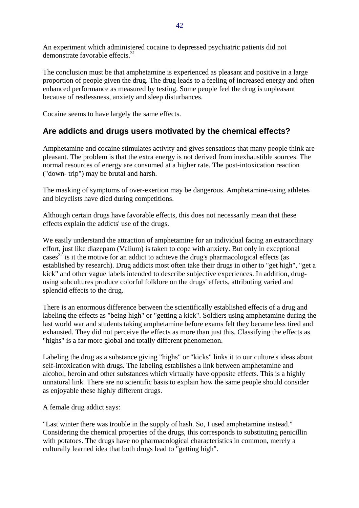An experiment which administered cocaine to depressed psychiatric patients did not demonstrate favorable effects. $\frac{31}{2}$ 

The conclusion must be that amphetamine is experienced as pleasant and positive in a large proportion of people given the drug. The drug leads to a feeling of increased energy and often enhanced performance as measured by testing. Some people feel the drug is unpleasant because of restlessness, anxiety and sleep disturbances.

Cocaine seems to have largely the same effects.

# **Are addicts and drugs users motivated by the chemical effects?**

Amphetamine and cocaine stimulates activity and gives sensations that many people think are pleasant. The problem is that the extra energy is not derived from inexhaustible sources. The normal resources of energy are consumed at a higher rate. The post-intoxication reaction ("down- trip") may be brutal and harsh.

The masking of symptoms of over-exertion may be dangerous. Amphetamine-using athletes and bicyclists have died during competitions.

Although certain drugs have favorable effects, this does not necessarily mean that these effects explain the addicts' use of the drugs.

We easily understand the attraction of amphetamine for an individual facing an extraordinary effort, just like diazepam (Valium) is taken to cope with anxiety. But only in exceptional  $\csc^3{\frac{32}{2}}$  is it the motive for an addict to achieve the drug's pharmacological effects (as established by research). Drug addicts most often take their drugs in other to "get high", "get a kick" and other vague labels intended to describe subjective experiences. In addition, drugusing subcultures produce colorful folklore on the drugs' effects, attributing varied and splendid effects to the drug.

There is an enormous difference between the scientifically established effects of a drug and labeling the effects as "being high" or "getting a kick". Soldiers using amphetamine during the last world war and students taking amphetamine before exams felt they became less tired and exhausted. They did not perceive the effects as more than just this. Classifying the effects as "highs" is a far more global and totally different phenomenon.

Labeling the drug as a substance giving "highs" or "kicks" links it to our culture's ideas about self-intoxication with drugs. The labeling establishes a link between amphetamine and alcohol, heroin and other substances which virtually have opposite effects. This is a highly unnatural link. There are no scientific basis to explain how the same people should consider as enjoyable these highly different drugs.

A female drug addict says:

"Last winter there was trouble in the supply of hash. So, I used amphetamine instead." Considering the chemical properties of the drugs, this corresponds to substituting penicillin with potatoes. The drugs have no pharmacological characteristics in common, merely a culturally learned idea that both drugs lead to "getting high".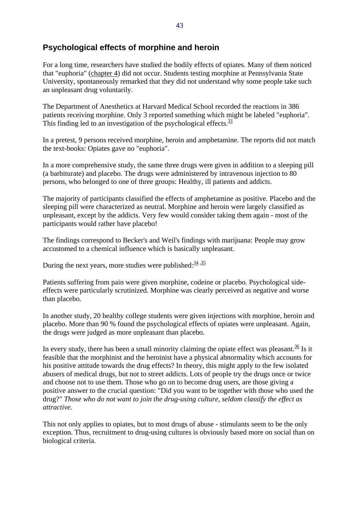### **Psychological effects of morphine and heroin**

For a long time, researchers have studied the bodily effects of opiates. Many of them noticed that "euphoria" (chapter 4) did not occur. Students testing morphine at Pennsylvania State University, spontaneously remarked that they did not understand why some people take such an unpleasant drug voluntarily.

The Department of Anesthetics at Harvard Medical School recorded the reactions in 386 patients receiving morphine. Only 3 reported something which might be labeled "euphoria". This finding led to an investigation of the psychological effects.  $\frac{33}{2}$ 

In a pretest, 9 persons received morphine, heroin and amphetamine. The reports did not match the text-books: Opiates gave no "euphoria".

In a more comprehensive study, the same three drugs were given in addition to a sleeping pill (a barbiturate) and placebo. The drugs were administered by intravenous injection to 80 persons, who belonged to one of three groups: Healthy, ill patients and addicts.

The majority of participants classified the effects of amphetamine as positive. Placebo and the sleeping pill were characterized as neutral. Morphine and heroin were largely classified as unpleasant, except by the addicts. Very few would consider taking them again - most of the participants would rather have placebo!

The findings correspond to Becker's and Weil's findings with marijuana: People may grow accustomed to a chemical influence which is basically unpleasant.

During the next years, more studies were published:  $\frac{34}{35}$ 

Patients suffering from pain were given morphine, codeine or placebo. Psychological sideeffects were particularly scrutinized. Morphine was clearly perceived as negative and worse than placebo.

In another study, 20 healthy college students were given injections with morphine, heroin and placebo. More than 90 % found the psychological effects of opiates were unpleasant. Again, the drugs were judged as more unpleasant than placebo.

In every study, there has been a small minority claiming the opiate effect was pleasant.  $\frac{36}{15}$  Is it feasible that the morphinist and the heroinist have a physical abnormality which accounts for his positive attitude towards the drug effects? In theory, this might apply to the few isolated abusers of medical drugs, but not to street addicts. Lots of people try the drugs once or twice and choose not to use them. Those who go on to become drug users, are those giving a positive answer to the crucial question: "Did you want to be together with those who used the drug?" *Those who do not want to join the drug-using culture, seldom classify the effect as attractive.*

This not only applies to opiates, but to most drugs of abuse - stimulants seem to be the only exception. Thus, recruitment to drug-using cultures is obviously based more on social than on biological criteria.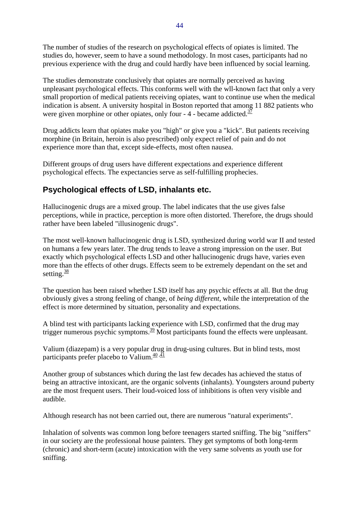The number of studies of the research on psychological effects of opiates is limited. The studies do, however, seem to have a sound methodology. In most cases, participants had no previous experience with the drug and could hardly have been influenced by social learning.

The studies demonstrate conclusively that opiates are normally perceived as having unpleasant psychological effects. This conforms well with the wll-known fact that only a very small proportion of medical patients receiving opiates, want to continue use when the medical indication is absent. A university hospital in Boston reported that among 11 882 patients who were given morphine or other opiates, only four - 4 - became addicted.<sup>37</sup>

Drug addicts learn that opiates make you "high" or give you a "kick". But patients receiving morphine (in Britain, heroin is also prescribed) only expect relief of pain and do not experience more than that, except side-effects, most often nausea.

Different groups of drug users have different expectations and experience different psychological effects. The expectancies serve as self-fulfilling prophecies.

## **Psychological effects of LSD, inhalants etc.**

Hallucinogenic drugs are a mixed group. The label indicates that the use gives false perceptions, while in practice, perception is more often distorted. Therefore, the drugs should rather have been labeled "illusinogenic drugs".

The most well-known hallucinogenic drug is LSD, synthesized during world war II and tested on humans a few years later. The drug tends to leave a strong impression on the user. But exactly which psychological effects LSD and other hallucinogenic drugs have, varies even more than the effects of other drugs. Effects seem to be extremely dependant on the set and setting. $\frac{38}{3}$ 

The question has been raised whether LSD itself has any psychic effects at all. But the drug obviously gives a strong feeling of change, of *being different*, while the interpretation of the effect is more determined by situation, personality and expectations.

A blind test with participants lacking experience with LSD, confirmed that the drug may trigger numerous psychic symptoms.<sup>39</sup> Most participants found the effects were unpleasant.

Valium (diazepam) is a very popular drug in drug-using cultures. But in blind tests, most participants prefer placebo to Valium. $\frac{40,41}{ }$ 

Another group of substances which during the last few decades has achieved the status of being an attractive intoxicant, are the organic solvents (inhalants). Youngsters around puberty are the most frequent users. Their loud-voiced loss of inhibitions is often very visible and audible.

Although research has not been carried out, there are numerous "natural experiments".

Inhalation of solvents was common long before teenagers started sniffing. The big "sniffers" in our society are the professional house painters. They get symptoms of both long-term (chronic) and short-term (acute) intoxication with the very same solvents as youth use for sniffing.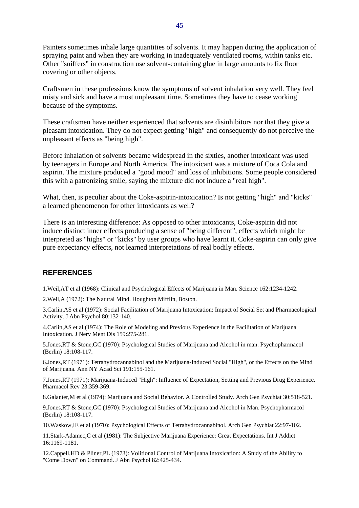Painters sometimes inhale large quantities of solvents. It may happen during the application of spraying paint and when they are working in inadequately ventilated rooms, within tanks etc. Other "sniffers" in construction use solvent-containing glue in large amounts to fix floor covering or other objects.

Craftsmen in these professions know the symptoms of solvent inhalation very well. They feel misty and sick and have a most unpleasant time. Sometimes they have to cease working because of the symptoms.

These craftsmen have neither experienced that solvents are disinhibitors nor that they give a pleasant intoxication. They do not expect getting "high" and consequently do not perceive the unpleasant effects as "being high".

Before inhalation of solvents became widespread in the sixties, another intoxicant was used by teenagers in Europe and North America. The intoxicant was a mixture of Coca Cola and aspirin. The mixture produced a "good mood" and loss of inhibitions. Some people considered this with a patronizing smile, saying the mixture did not induce a "real high".

What, then, is peculiar about the Coke-aspirin-intoxication? Is not getting "high" and "kicks" a learned phenomenon for other intoxicants as well?

There is an interesting difference: As opposed to other intoxicants, Coke-aspirin did not induce distinct inner effects producing a sense of "being different", effects which might be interpreted as "highs" or "kicks" by user groups who have learnt it. Coke-aspirin can only give pure expectancy effects, not learned interpretations of real bodily effects.

#### **REFERENCES**

1.Weil,AT et al (1968): Clinical and Psychological Effects of Marijuana in Man. Science 162:1234-1242.

2.Weil,A (1972): The Natural Mind. Houghton Mifflin, Boston.

3.Carlin,AS et al (1972): Social Facilitation of Marijuana Intoxication: Impact of Social Set and Pharmacological Activity. J Abn Psychol 80:132-140.

4.Carlin,AS et al (1974): The Role of Modeling and Previous Experience in the Facilitation of Marijuana Intoxication. J Nerv Ment Dis 159:275-281.

5.Jones,RT & Stone,GC (1970): Psychological Studies of Marijuana and Alcohol in man. Psychopharmacol (Berlin) 18:108-117.

6.Jones,RT (1971): Tetrahydrocannabinol and the Marijuana-Induced Social "High", or the Effects on the Mind of Marijuana. Ann NY Acad Sci 191:155-161.

7.Jones,RT (1971): Marijuana-Induced "High": Influence of Expectation, Setting and Previous Drug Experience. Pharmacol Rev 23:359-369.

8.Galanter,M et al (1974): Marijuana and Social Behavior. A Controlled Study. Arch Gen Psychiat 30:518-521.

9.Jones,RT & Stone,GC (1970): Psychological Studies of Marijuana and Alcohol in Man. Psychopharmacol (Berlin) 18:108-117.

10.Waskow,IE et al (1970): Psychological Effects of Tetrahydrocannabinol. Arch Gen Psychiat 22:97-102.

11.Stark-Adamec,C et al (1981): The Subjective Marijuana Experience: Great Expectations. Int J Addict 16:1169-1181.

12.Cappell,HD & Pliner,PL (1973): Volitional Control of Marijuana Intoxication: A Study of the Ability to "Come Down" on Command. J Abn Psychol 82:425-434.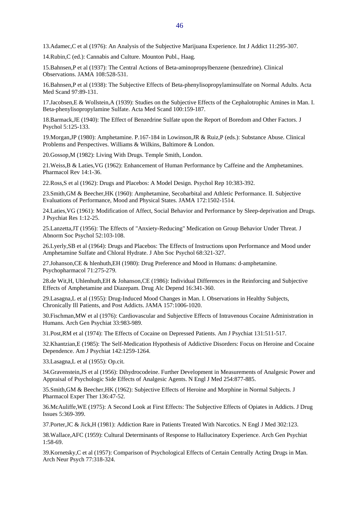13.Adamec,C et al (1976): An Analysis of the Subjective Marijuana Experience. Int J Addict 11:295-307.

14.Rubin,C (ed.): Cannabis and Culture. Mounton Publ., Haag.

15.Bahnsen,P et al (1937): The Central Actions of Beta-aminopropylbenzene (benzedrine). Clinical Observations. JAMA 108:528-531.

16.Bahnsen,P et al (1938): The Subjective Effects of Beta-phenylisopropylaminsulfate on Normal Adults. Acta Med Scand 97:89-131.

17.Jacobsen,E & Wollstein,A (1939): Studies on the Subjective Effects of the Cephalotrophic Amines in Man. I. Beta-phenylisopropylamine Sulfate. Acta Med Scand 100:159-187.

18.Barmack,JE (1940): The Effect of Benzedrine Sulfate upon the Report of Boredom and Other Factors. J Psychol 5:125-133.

19.Morgan,JP (1980): Amphetamine. P.167-184 in Lowinson,JR & Ruiz,P (eds.): Substance Abuse. Clinical Problems and Perspectives. Williams & Wilkins, Baltimore & London.

20.Gossop,M (1982): Living With Drugs. Temple Smith, London.

21.Weiss,B & Laties,VG (1962): Enhancement of Human Performance by Caffeine and the Amphetamines. Pharmacol Rev 14:1-36.

22.Ross,S et al (1962): Drugs and Placebos: A Model Design. Psychol Rep 10:383-392.

23.Smith,GM & Beecher,HK (1960): Amphetamine, Secobarbital and Athletic Performance. II. Subjective Evaluations of Performance, Mood and Physical States. JAMA 172:1502-1514.

24.Laties,VG (1961): Modification of Affect, Social Behavior and Performance by Sleep-deprivation and Drugs. J Psychiat Res 1:12-25.

25.Lanzetta,JT (1956): The Effects of "Anxiety-Reducing" Medication on Group Behavior Under Threat. J Abnorm Soc Psychol 52:103-108.

26.Lyerly,SB et al (1964): Drugs and Placebos: The Effects of Instructions upon Performance and Mood under Amphetamine Sulfate and Chloral Hydrate. J Abn Soc Psychol 68:321-327.

27.Johanson,CE & hlenhuth,EH (1980): Drug Preference and Mood in Humans: d-amphetamine. Psychopharmacol 71:275-279.

28.de Wit,H, Uhlenhuth,EH & Johanson,CE (1986): Individual Differences in the Reinforcing and Subjective Effects of Amphetamine and Diazepam. Drug Alc Depend 16:341-360.

29.Lasagna,L et al (1955): Drug-Induced Mood Changes in Man. I. Observations in Healthy Subjects, Chronically Ill Patients, and Post Addicts. JAMA 157:1006-1020.

30.Fischman,MW et al (1976): Cardiovascular and Subjective Effects of Intravenous Cocaine Administration in Humans. Arch Gen Psychiat 33:983-989.

31.Post,RM et al (1974): The Effects of Cocaine on Depressed Patients. Am J Psychiat 131:511-517.

32.Khantzian,E (1985): The Self-Medication Hypothesis of Addictive Disorders: Focus on Heroine and Cocaine Dependence. Am J Psychiat 142:1259-1264.

33.Lasagna,L et al (1955): Op.cit.

34.Gravenstein,JS et al (1956): Dihydrocodeine. Further Development in Measurements of Analgesic Power and Appraisal of Psychologic Side Effects of Analgesic Agents. N Engl J Med 254:877-885.

35.Smith,GM & Beecher,HK (1962): Subjective Effects of Heroine and Morphine in Normal Subjects. J Pharmacol Exper Ther 136:47-52.

36.McAuliffe,WE (1975): A Second Look at First Effects: The Subjective Effects of Opiates in Addicts. J Drug Issues 5:369-399.

37.Porter,JC & Jick,H (1981): Addiction Rare in Patients Treated With Narcotics. N Engl J Med 302:123.

38.Wallace,AFC (1959): Cultural Determinants of Response to Hallucinatory Experience. Arch Gen Psychiat 1:58-69.

39.Kornetsky,C et al (1957): Comparison of Psychological Effects of Certain Centrally Acting Drugs in Man. Arch Neur Psych 77:318-324.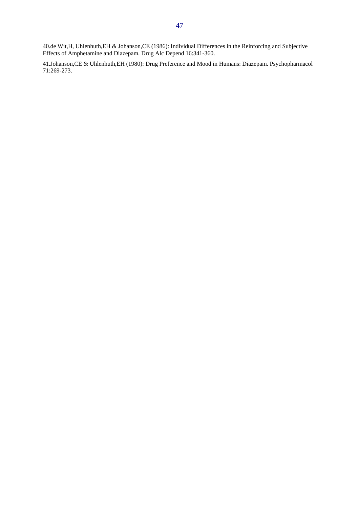40.de Wit,H, Uhlenhuth,EH & Johanson,CE (1986): Individual Differences in the Reinforcing and Subjective Effects of Amphetamine and Diazepam. Drug Alc Depend 16:341-360.

41.Johanson,CE & Uhlenhuth,EH (1980): Drug Preference and Mood in Humans: Diazepam. Psychopharmacol 71:269-273.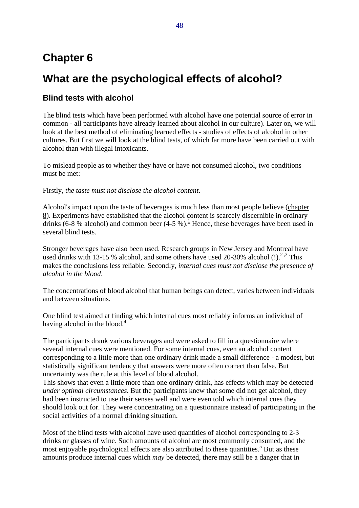# **Chapter 6**

# **What are the psychological effects of alcohol?**

## **Blind tests with alcohol**

The blind tests which have been performed with alcohol have one potential source of error in common - all participants have already learned about alcohol in our culture). Later on, we will look at the best method of eliminating learned effects - studies of effects of alcohol in other cultures. But first we will look at the blind tests, of which far more have been carried out with alcohol than with illegal intoxicants.

To mislead people as to whether they have or have not consumed alcohol, two conditions must be met:

Firstly, *the taste must not disclose the alcohol content*.

Alcohol's impact upon the taste of beverages is much less than most people believe (chapter 8). Experiments have established that the alcohol content is scarcely discernible in ordinary drinks (6-8 % alcohol) and common beer (4-5 %).<sup>1</sup> Hence, these beverages have been used in several blind tests.

Stronger beverages have also been used. Research groups in New Jersey and Montreal have used drinks with 13-15 % alcohol, and some others have used 20-30% alcohol  $(!)$ .<sup>2,3</sup> This makes the conclusions less reliable. Secondly, *internal cues must not disclose the presence of alcohol in the blood*.

The concentrations of blood alcohol that human beings can detect, varies between individuals and between situations.

One blind test aimed at finding which internal cues most reliably informs an individual of having alcohol in the blood. $\frac{4}{3}$ 

The participants drank various beverages and were asked to fill in a questionnaire where several internal cues were mentioned. For some internal cues, even an alcohol content corresponding to a little more than one ordinary drink made a small difference - a modest, but statistically significant tendency that answers were more often correct than false. But uncertainty was the rule at this level of blood alcohol.

This shows that even a little more than one ordinary drink, has effects which may be detected *under optimal circumstances*. But the participants knew that some did not get alcohol, they had been instructed to use their senses well and were even told which internal cues they should look out for. They were concentrating on a questionnaire instead of participating in the social activities of a normal drinking situation.

Most of the blind tests with alcohol have used quantities of alcohol corresponding to 2-3 drinks or glasses of wine. Such amounts of alcohol are most commonly consumed, and the most enjoyable psychological effects are also attributed to these quantities.<sup>5</sup> But as these amounts produce internal cues which *may* be detected, there may still be a danger that in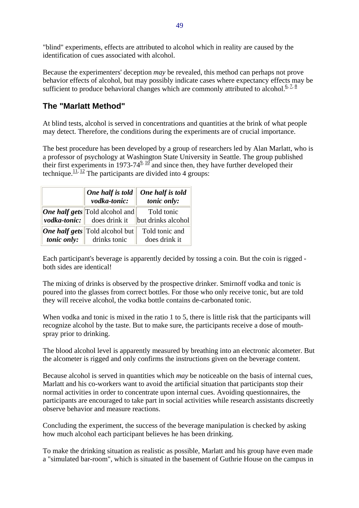"blind" experiments, effects are attributed to alcohol which in reality are caused by the identification of cues associated with alcohol.

Because the experimenters' deception *may* be revealed, this method can perhaps not prove behavior effects of alcohol, but may possibly indicate cases where expectancy effects may be sufficient to produce behavioral changes which are commonly attributed to alcohol.<sup>6, 7, 8</sup>

#### **The "Marlatt Method"**

At blind tests, alcohol is served in concentrations and quantities at the brink of what people may detect. Therefore, the conditions during the experiments are of crucial importance.

The best procedure has been developed by a group of researchers led by Alan Marlatt, who is a professor of psychology at Washington State University in Seattle. The group published their first experiments in 1973-74 $\frac{9,10}{2}$  and since then, they have further developed their technique.<sup>11, 12</sup> The participants are divided into 4 groups:

| One half is told<br>vodka-tonic:                                                    | One half is told<br>tonic only:  |
|-------------------------------------------------------------------------------------|----------------------------------|
| <b>One half gets</b> Told alcohol and<br><i>vodka-tonic</i> : $\vert$ does drink it | Told tonic<br>but drinks alcohol |
| <b>One half gets</b> Told alcohol but<br><i>tonic only:</i> drinks tonic            | Told tonic and<br>does drink it  |

Each participant's beverage is apparently decided by tossing a coin. But the coin is rigged both sides are identical!

The mixing of drinks is observed by the prospective drinker. Smirnoff vodka and tonic is poured into the glasses from correct bottles. For those who only receive tonic, but are told they will receive alcohol, the vodka bottle contains de-carbonated tonic.

When vodka and tonic is mixed in the ratio 1 to 5, there is little risk that the participants will recognize alcohol by the taste. But to make sure, the participants receive a dose of mouthspray prior to drinking.

The blood alcohol level is apparently measured by breathing into an electronic alcometer. But the alcometer is rigged and only confirms the instructions given on the beverage content.

Because alcohol is served in quantities which *may* be noticeable on the basis of internal cues, Marlatt and his co-workers want to avoid the artificial situation that participants stop their normal activities in order to concentrate upon internal cues. Avoiding questionnaires, the participants are encouraged to take part in social activities while research assistants discreetly observe behavior and measure reactions.

Concluding the experiment, the success of the beverage manipulation is checked by asking how much alcohol each participant believes he has been drinking.

To make the drinking situation as realistic as possible, Marlatt and his group have even made a "simulated bar-room", which is situated in the basement of Guthrie House on the campus in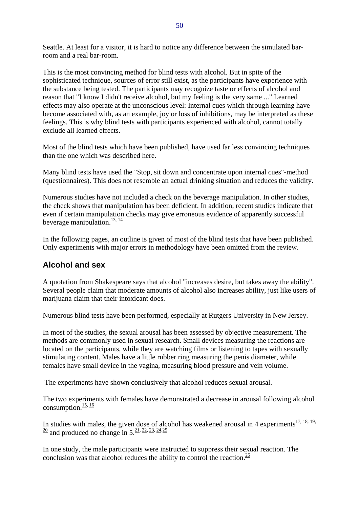Seattle. At least for a visitor, it is hard to notice any difference between the simulated barroom and a real bar-room.

This is the most convincing method for blind tests with alcohol. But in spite of the sophisticated technique, sources of error still exist, as the participants have experience with the substance being tested. The participants may recognize taste or effects of alcohol and reason that "I know I didn't receive alcohol, but my feeling is the very same ..." Learned effects may also operate at the unconscious level: Internal cues which through learning have become associated with, as an example, joy or loss of inhibitions, may be interpreted as these feelings. This is why blind tests with participants experienced with alcohol, cannot totally exclude all learned effects.

Most of the blind tests which have been published, have used far less convincing techniques than the one which was described here.

Many blind tests have used the "Stop, sit down and concentrate upon internal cues"-method (questionnaires). This does not resemble an actual drinking situation and reduces the validity.

Numerous studies have not included a check on the beverage manipulation. In other studies, the check shows that manipulation has been deficient. In addition, recent studies indicate that even if certain manipulation checks may give erroneous evidence of apparently successful beverage manipulation. $\frac{13}{14}$ 

In the following pages, an outline is given of most of the blind tests that have been published. Only experiments with major errors in methodology have been omitted from the review.

#### **Alcohol and sex**

A quotation from Shakespeare says that alcohol "increases desire, but takes away the ability". Several people claim that moderate amounts of alcohol also increases ability, just like users of marijuana claim that their intoxicant does.

Numerous blind tests have been performed, especially at Rutgers University in New Jersey.

In most of the studies, the sexual arousal has been assessed by objective measurement. The methods are commonly used in sexual research. Small devices measuring the reactions are located on the participants, while they are watching films or listening to tapes with sexually stimulating content. Males have a little rubber ring measuring the penis diameter, while females have small device in the vagina, measuring blood pressure and vein volume.

The experiments have shown conclusively that alcohol reduces sexual arousal.

The two experiments with females have demonstrated a decrease in arousal following alcohol consumption. $\frac{15}{16}$ 

In studies with males, the given dose of alcohol has weakened arousal in 4 experiments<sup>17, 18, 19,</sup>  $\frac{20}{20}$  and produced no change in 5.<sup>21, 22, 23, 24, 25</sup>

In one study, the male participants were instructed to suppress their sexual reaction. The conclusion was that alcohol reduces the ability to control the reaction.  $\frac{26}{5}$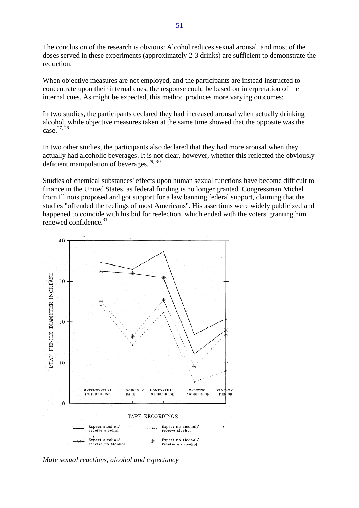The conclusion of the research is obvious: Alcohol reduces sexual arousal, and most of the doses served in these experiments (approximately 2-3 drinks) are sufficient to demonstrate the reduction.

When objective measures are not employed, and the participants are instead instructed to concentrate upon their internal cues, the response could be based on interpretation of the internal cues. As might be expected, this method produces more varying outcomes:

In two studies, the participants declared they had increased arousal when actually drinking alcohol, while objective measures taken at the same time showed that the opposite was the  $case. \frac{27, 28}{ }$ 

In two other studies, the participants also declared that they had more arousal when they actually had alcoholic beverages. It is not clear, however, whether this reflected the obviously deficient manipulation of beverages. $\frac{29}{30}$ 

Studies of chemical substances' effects upon human sexual functions have become difficult to finance in the United States, as federal funding is no longer granted. Congressman Michel from Illinois proposed and got support for a law banning federal support, claiming that the studies "offended the feelings of most Americans". His assertions were widely publicized and happened to coincide with his bid for reelection, which ended with the voters' granting him renewed confidence.<sup>31</sup>



*Male sexual reactions, alcohol and expectancy*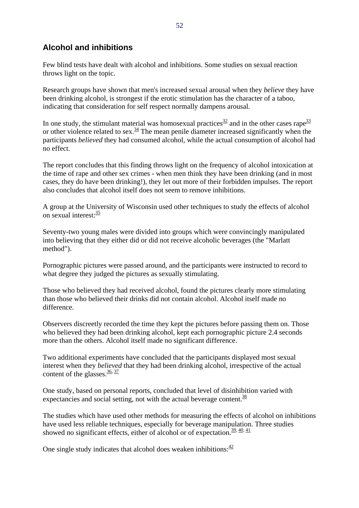### **Alcohol and inhibitions**

Few blind tests have dealt with alcohol and inhibitions. Some studies on sexual reaction throws light on the topic.

Research groups have shown that men's increased sexual arousal when they *believe* they have been drinking alcohol, is strongest if the erotic stimulation has the character of a taboo, indicating that consideration for self respect normally dampens arousal.

In one study, the stimulant material was homosexual practices  $\frac{32}{2}$  and in the other cases rape  $\frac{33}{2}$ or other violence related to sex.<sup>34</sup> The mean penile diameter increased significantly when the participants *believed* they had consumed alcohol, while the actual consumption of alcohol had no effect.

The report concludes that this finding throws light on the frequency of alcohol intoxication at the time of rape and other sex crimes - when men think they have been drinking (and in most cases, they do have been drinking!), they let out more of their forbidden impulses. The report also concludes that alcohol itself does not seem to remove inhibitions.

A group at the University of Wisconsin used other techniques to study the effects of alcohol on sexual interest: $\frac{35}{2}$ 

Seventy-two young males were divided into groups which were convincingly manipulated into believing that they either did or did not receive alcoholic beverages (the "Marlatt method").

Pornographic pictures were passed around, and the participants were instructed to record to what degree they judged the pictures as sexually stimulating.

Those who believed they had received alcohol, found the pictures clearly more stimulating than those who believed their drinks did not contain alcohol. Alcohol itself made no difference.

Observers discreetly recorded the time they kept the pictures before passing them on. Those who believed they had been drinking alcohol, kept each pornographic picture 2.4 seconds more than the others. Alcohol itself made no significant difference.

Two additional experiments have concluded that the participants displayed most sexual interest when they *believed* that they had been drinking alcohol, irrespective of the actual content of the glasses. $\frac{36}{37}$ 

One study, based on personal reports, concluded that level of disinhibition varied with expectancies and social setting, not with the actual beverage content.  $\frac{38}{3}$ 

The studies which have used other methods for measuring the effects of alcohol on inhibitions have used less reliable techniques, especially for beverage manipulation. Three studies showed no significant effects, either of alcohol or of expectation.  $39, 40, 41$ 

One single study indicates that alcohol does weaken inhibitions: $\frac{42}{5}$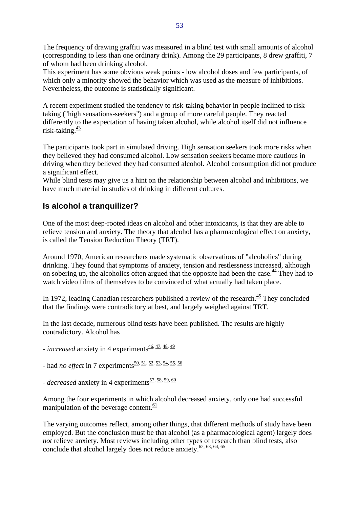The frequency of drawing graffiti was measured in a blind test with small amounts of alcohol (corresponding to less than one ordinary drink). Among the 29 participants, 8 drew graffiti, 7 of whom had been drinking alcohol.

This experiment has some obvious weak points - low alcohol doses and few participants, of which only a minority showed the behavior which was used as the measure of inhibitions. Nevertheless, the outcome is statistically significant.

A recent experiment studied the tendency to risk-taking behavior in people inclined to risktaking ("high sensations-seekers") and a group of more careful people. They reacted differently to the expectation of having taken alcohol, while alcohol itself did not influence risk-taking. $\frac{43}{2}$ 

The participants took part in simulated driving. High sensation seekers took more risks when they believed they had consumed alcohol. Low sensation seekers became more cautious in driving when they believed they had consumed alcohol. Alcohol consumption did not produce a significant effect.

While blind tests may give us a hint on the relationship between alcohol and inhibitions, we have much material in studies of drinking in different cultures.

# **Is alcohol a tranquilizer?**

One of the most deep-rooted ideas on alcohol and other intoxicants, is that they are able to relieve tension and anxiety. The theory that alcohol has a pharmacological effect on anxiety, is called the Tension Reduction Theory (TRT).

Around 1970, American researchers made systematic observations of "alcoholics" during drinking. They found that symptoms of anxiety, tension and restlessness increased, although on sobering up, the alcoholics often argued that the opposite had been the case.  $\frac{44}{3}$  They had to watch video films of themselves to be convinced of what actually had taken place.

In 1972, leading Canadian researchers published a review of the research. $\frac{45}{12}$  They concluded that the findings were contradictory at best, and largely weighed against TRT.

In the last decade, numerous blind tests have been published. The results are highly contradictory. Alcohol has

- *increased* anxiety in 4 experiments<sup>46, 47, 48, 49</sup>
- had *no effect* in 7 experiments<sup>50, 51, 52, 53, 54, 55, 56</sup>
- $\frac{1}{2}$  *decreased* anxiety in 4 experiments<sup>57, 58, 59, 60</sup>

Among the four experiments in which alcohol decreased anxiety, only one had successful manipulation of the beverage content. $\frac{61}{61}$ 

The varying outcomes reflect, among other things, that different methods of study have been employed. But the conclusion must be that alcohol (as a pharmacological agent) largely does *not* relieve anxiety. Most reviews including other types of research than blind tests, also conclude that alcohol largely does not reduce anxiety.<sup>62, 63, 64, 65</sup>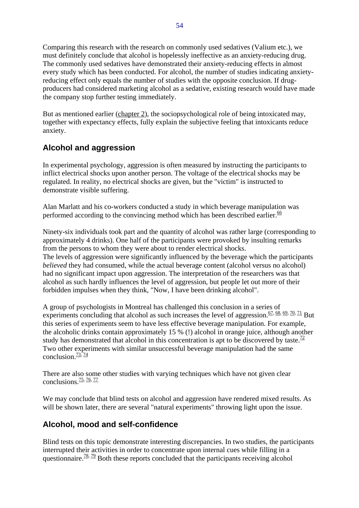Comparing this research with the research on commonly used sedatives (Valium etc.), we must definitely conclude that alcohol is hopelessly ineffective as an anxiety-reducing drug. The commonly used sedatives have demonstrated their anxiety-reducing effects in almost every study which has been conducted. For alcohol, the number of studies indicating anxietyreducing effect only equals the number of studies with the opposite conclusion. If drugproducers had considered marketing alcohol as a sedative, existing research would have made the company stop further testing immediately.

But as mentioned earlier (chapter 2), the sociopsychological role of being intoxicated may, together with expectancy effects, fully explain the subjective feeling that intoxicants reduce anxiety.

# **Alcohol and aggression**

In experimental psychology, aggression is often measured by instructing the participants to inflict electrical shocks upon another person. The voltage of the electrical shocks may be regulated. In reality, no electrical shocks are given, but the "victim" is instructed to demonstrate visible suffering.

Alan Marlatt and his co-workers conducted a study in which beverage manipulation was performed according to the convincing method which has been described earlier.  $\frac{66}{5}$ 

Ninety-six individuals took part and the quantity of alcohol was rather large (corresponding to approximately 4 drinks). One half of the participants were provoked by insulting remarks from the persons to whom they were about to render electrical shocks. The levels of aggression were significantly influenced by the beverage which the participants *believed* they had consumed, while the actual beverage content (alcohol versus no alcohol) had no significant impact upon aggression. The interpretation of the researchers was that alcohol as such hardly influences the level of aggression, but people let out more of their forbidden impulses when they think, "Now, I have been drinking alcohol".

A group of psychologists in Montreal has challenged this conclusion in a series of experiments concluding that alcohol as such increases the level of aggression. $\frac{67}{68}$ ,  $\frac{69}{70}$ ,  $\frac{71}{71}$  But this series of experiments seem to have less effective beverage manipulation. For example, the alcoholic drinks contain approximately 15 % (!) alcohol in orange juice, although another study has demonstrated that alcohol in this concentration is apt to be discovered by taste.<sup>72</sup> Two other experiments with similar unsuccessful beverage manipulation had the same conclusion. $\frac{73}{74}$ 

There are also some other studies with varying techniques which have not given clear conclusions. $\frac{75}{76}$ ,  $\frac{77}{77}$ 

We may conclude that blind tests on alcohol and aggression have rendered mixed results. As will be shown later, there are several "natural experiments" throwing light upon the issue.

### **Alcohol, mood and self-confidence**

Blind tests on this topic demonstrate interesting discrepancies. In two studies, the participants interrupted their activities in order to concentrate upon internal cues while filling in a questionnaire.<sup>78, 79</sup> Both these reports concluded that the participants receiving alcohol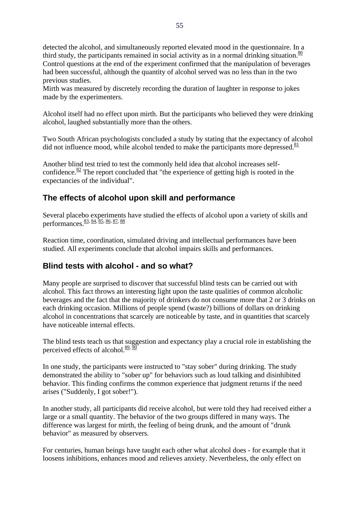detected the alcohol, and simultaneously reported elevated mood in the questionnaire. In a third study, the participants remained in social activity as in a normal drinking situation. $\frac{80}{ }$ Control questions at the end of the experiment confirmed that the manipulation of beverages had been successful, although the quantity of alcohol served was no less than in the two previous studies.

Mirth was measured by discretely recording the duration of laughter in response to jokes made by the experimenters.

Alcohol itself had no effect upon mirth. But the participants who believed they were drinking alcohol, laughed substantially more than the others.

Two South African psychologists concluded a study by stating that the expectancy of alcohol did not influence mood, while alcohol tended to make the participants more depressed. $\frac{81}{2}$ 

Another blind test tried to test the commonly held idea that alcohol increases selfconfidence. $82$  The report concluded that "the experience of getting high is rooted in the expectancies of the individual".

# **The effects of alcohol upon skill and performance**

Several placebo experiments have studied the effects of alcohol upon a variety of skills and performances.83, 84, 85, 86, 87, 88

Reaction time, coordination, simulated driving and intellectual performances have been studied. All experiments conclude that alcohol impairs skills and performances.

### **Blind tests with alcohol - and so what?**

Many people are surprised to discover that successful blind tests can be carried out with alcohol. This fact throws an interesting light upon the taste qualities of common alcoholic beverages and the fact that the majority of drinkers do not consume more that 2 or 3 drinks on each drinking occasion. Millions of people spend (waste?) billions of dollars on drinking alcohol in concentrations that scarcely are noticeable by taste, and in quantities that scarcely have noticeable internal effects.

The blind tests teach us that suggestion and expectancy play a crucial role in establishing the perceived effects of alcohol. $\frac{89}{20}$ 

In one study, the participants were instructed to "stay sober" during drinking. The study demonstrated the ability to "sober up" for behaviors such as loud talking and disinhibited behavior. This finding confirms the common experience that judgment returns if the need arises ("Suddenly, I got sober!").

In another study, all participants did receive alcohol, but were told they had received either a large or a small quantity. The behavior of the two groups differed in many ways. The difference was largest for mirth, the feeling of being drunk, and the amount of "drunk behavior" as measured by observers.

For centuries, human beings have taught each other what alcohol does - for example that it loosens inhibitions, enhances mood and relieves anxiety. Nevertheless, the only effect on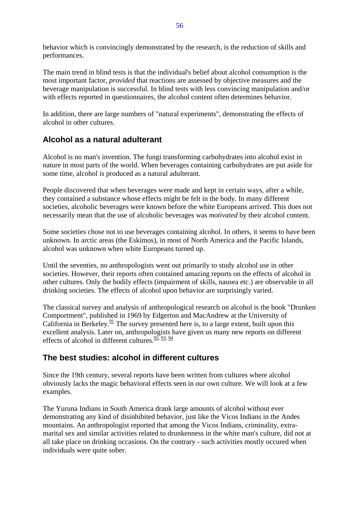behavior which is convincingly demonstrated by the research, is the reduction of skills and performances.

The main trend in blind tests is that the individual's belief about alcohol consumption is the most important factor, *provided* that reactions are assessed by objective measures and the beverage manipulation is successful. In blind tests with less convincing manipulation and/or with effects reported in questionnaires, the alcohol content often determines behavior.

In addition, there are large numbers of "natural experiments", demonstrating the effects of alcohol in other cultures.

## **Alcohol as a natural adulterant**

Alcohol is no man's invention. The fungi transforming carbohydrates into alcohol exist in nature in most parts of the world. When beverages containing carbohydrates are put aside for some time, alcohol is produced as a natural adulterant.

People discovered that when beverages were made and kept in certain ways, after a while, they contained a substance whose effects might be felt in the body. In many different societies, alcoholic beverages were known before the white Europeans arrived. This does not necessarily mean that the use of alcoholic beverages was *motivated* by their alcohol content.

Some societies chose not to use beverages containing alcohol. In others, it seems to have been unknown. In arctic areas (the Eskimos), in most of North America and the Pacific Islands, alcohol was unknown when white Europeans turned up.

Until the seventies, no anthropologists went out primarily to study alcohol use in other societies. However, their reports often contained amazing reports on the effects of alcohol in other cultures. Only the bodily effects (impairment of skills, nausea etc.) are observable in all drinking societies. The effects of alcohol upon behavior are surprisingly varied.

The classical survey and analysis of anthropological research on alcohol is the book "Drunken Comportment", published in 1969 by Edgerton and MacAndrew at the University of California in Berkeley.<sup>91</sup> The survey presented here is, to a large extent, built upon this excellent analysis. Later on, anthropologists have given us many new reports on different effects of alcohol in different cultures.  $\frac{92}{2}$ ,  $\frac{93}{2}$ ,  $\frac{94}{2}$ 

# **The best studies: alcohol in different cultures**

Since the 19th century, several reports have been written from cultures where alcohol obviously lacks the magic behavioral effects seen in our own culture. We will look at a few examples.

The Yuruna Indians in South America drank large amounts of alcohol without ever demonstrating any kind of disinhibited behavior, just like the Vicos Indians in the Andes mountains. An anthropologist reported that among the Vicos Indians, criminality, extramarital sex and similar activities related to drunkenness in the white man's culture, did not at all take place on drinking occasions. On the contrary - such activities mostly occured when individuals were quite sober.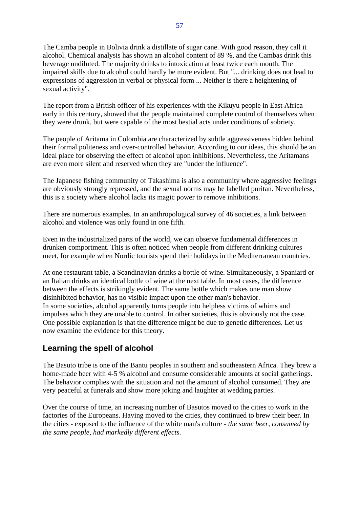The Camba people in Bolivia drink a distillate of sugar cane. With good reason, they call it alcohol. Chemical analysis has shown an alcohol content of 89 %, and the Cambas drink this beverage undiluted. The majority drinks to intoxication at least twice each month. The impaired skills due to alcohol could hardly be more evident. But "... drinking does not lead to expressions of aggression in verbal or physical form ... Neither is there a heightening of sexual activity".

The report from a British officer of his experiences with the Kikuyu people in East Africa early in this century, showed that the people maintained complete control of themselves when they were drunk, but were capable of the most bestial acts under conditions of sobriety.

The people of Aritama in Colombia are characterized by subtle aggressiveness hidden behind their formal politeness and over-controlled behavior. According to our ideas, this should be an ideal place for observing the effect of alcohol upon inhibitions. Nevertheless, the Aritamans are even more silent and reserved when they are "under the influence".

The Japanese fishing community of Takashima is also a community where aggressive feelings are obviously strongly repressed, and the sexual norms may be labelled puritan. Nevertheless, this is a society where alcohol lacks its magic power to remove inhibitions.

There are numerous examples. In an anthropological survey of 46 societies, a link between alcohol and violence was only found in one fifth.

Even in the industrialized parts of the world, we can observe fundamental differences in drunken comportment. This is often noticed when people from different drinking cultures meet, for example when Nordic tourists spend their holidays in the Mediterranean countries.

At one restaurant table, a Scandinavian drinks a bottle of wine. Simultaneously, a Spaniard or an Italian drinks an identical bottle of wine at the next table. In most cases, the difference between the effects is strikingly evident. The same bottle which makes one man show disinhibited behavior, has no visible impact upon the other man's behavior. In some societies, alcohol apparently turns people into helpless victims of whims and impulses which they are unable to control. In other societies, this is obviously not the case. One possible explanation is that the difference might be due to genetic differences. Let us now examine the evidence for this theory.

### **Learning the spell of alcohol**

The Basuto tribe is one of the Bantu peoples in southern and southeastern Africa. They brew a home-made beer with 4-5 % alcohol and consume considerable amounts at social gatherings. The behavior complies with the situation and not the amount of alcohol consumed. They are very peaceful at funerals and show more joking and laughter at wedding parties.

Over the course of time, an increasing number of Basutos moved to the cities to work in the factories of the Europeans. Having moved to the cities, they continued to brew their beer. In the cities - exposed to the influence of the white man's culture - *the same beer, consumed by the same people, had markedly different effects*.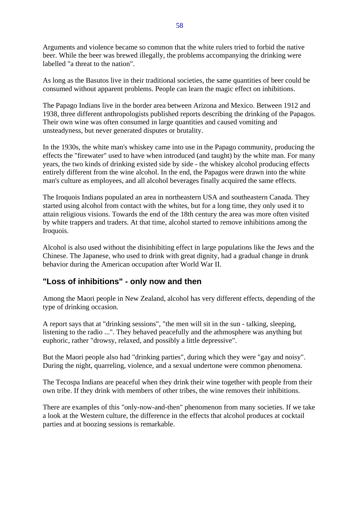Arguments and violence became so common that the white rulers tried to forbid the native beer. While the beer was brewed illegally, the problems accompanying the drinking were labelled "a threat to the nation".

As long as the Basutos live in their traditional societies, the same quantities of beer could be consumed without apparent problems. People can learn the magic effect on inhibitions.

The Papago Indians live in the border area between Arizona and Mexico. Between 1912 and 1938, three different anthropologists published reports describing the drinking of the Papagos. Their own wine was often consumed in large quantities and caused vomiting and unsteadyness, but never generated disputes or brutality.

In the 1930s, the white man's whiskey came into use in the Papago community, producing the effects the "firewater" used to have when introduced (and taught) by the white man. For many years, the two kinds of drinking existed side by side - the whiskey alcohol producing effects entirely different from the wine alcohol. In the end, the Papagos were drawn into the white man's culture as employees, and all alcohol beverages finally acquired the same effects.

The Iroquois Indians populated an area in northeastern USA and southeastern Canada. They started using alcohol from contact with the whites, but for a long time, they only used it to attain religious visions. Towards the end of the 18th century the area was more often visited by white trappers and traders. At that time, alcohol started to remove inhibitions among the Iroquois.

Alcohol is also used without the disinhibiting effect in large populations like the Jews and the Chinese. The Japanese, who used to drink with great dignity, had a gradual change in drunk behavior during the American occupation after World War II.

### **"Loss of inhibitions" - only now and then**

Among the Maori people in New Zealand, alcohol has very different effects, depending of the type of drinking occasion.

A report says that at "drinking sessions", "the men will sit in the sun - talking, sleeping, listening to the radio ...". They behaved peacefully and the athmosphere was anything but euphoric, rather "drowsy, relaxed, and possibly a little depressive".

But the Maori people also had "drinking parties", during which they were "gay and noisy". During the night, quarreling, violence, and a sexual undertone were common phenomena.

The Tecospa Indians are peaceful when they drink their wine together with people from their own tribe. If they drink with members of other tribes, the wine removes their inhibitions.

There are examples of this "only-now-and-then" phenomenon from many societies. If we take a look at the Western culture, the difference in the effects that alcohol produces at cocktail parties and at boozing sessions is remarkable.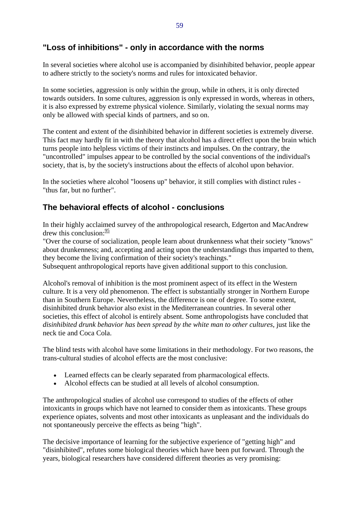## **"Loss of inhibitions" - only in accordance with the norms**

In several societies where alcohol use is accompanied by disinhibited behavior, people appear to adhere strictly to the society's norms and rules for intoxicated behavior.

In some societies, aggression is only within the group, while in others, it is only directed towards outsiders. In some cultures, aggression is only expressed in words, whereas in others, it is also expressed by extreme physical violence. Similarly, violating the sexual norms may only be allowed with special kinds of partners, and so on.

The content and extent of the disinhibited behavior in different societies is extremely diverse. This fact may hardly fit in with the theory that alcohol has a direct effect upon the brain which turns people into helpless victims of their instincts and impulses. On the contrary, the "uncontrolled" impulses appear to be controlled by the social conventions of the individual's society, that is, by the society's instructions about the effects of alcohol upon behavior.

In the societies where alcohol "loosens up" behavior, it still complies with distinct rules - "thus far, but no further".

# **The behavioral effects of alcohol - conclusions**

In their highly acclaimed survey of the anthropological research, Edgerton and MacAndrew drew this conclusion:  $\frac{95}{5}$ 

"Over the course of socialization, people learn about drunkenness what their society "knows" about drunkenness; and, accepting and acting upon the understandings thus imparted to them, they become the living confirmation of their society's teachings."

Subsequent anthropological reports have given additional support to this conclusion.

Alcohol's removal of inhibition is the most prominent aspect of its effect in the Western culture. It is a very old phenomenon. The effect is substantially stronger in Northern Europe than in Southern Europe. Nevertheless, the difference is one of degree. To some extent, disinhibited drunk behavior also exist in the Mediterranean countries. In several other societies, this effect of alcohol is entirely absent. Some anthropologists have concluded that *disinhibited drunk behavior has been spread by the white man to other cultures*, just like the neck tie and Coca Cola.

The blind tests with alcohol have some limitations in their methodology. For two reasons, the trans-cultural studies of alcohol effects are the most conclusive:

- Learned effects can be clearly separated from pharmacological effects.
- Alcohol effects can be studied at all levels of alcohol consumption.

The anthropological studies of alcohol use correspond to studies of the effects of other intoxicants in groups which have not learned to consider them as intoxicants. These groups experience opiates, solvents and most other intoxicants as unpleasant and the individuals do not spontaneously perceive the effects as being "high".

The decisive importance of learning for the subjective experience of "getting high" and "disinhibited", refutes some biological theories which have been put forward. Through the years, biological researchers have considered different theories as very promising: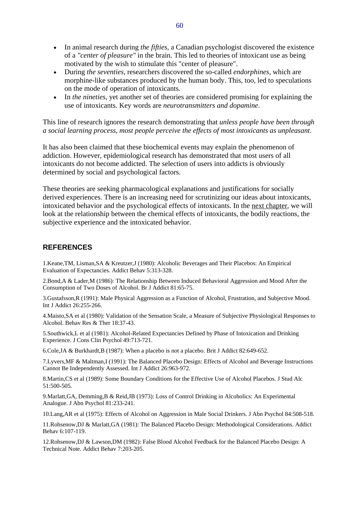- In animal research during *the fifties*, a Canadian psychologist discovered the existence of a *"center of pleasure"* in the brain. This led to theories of intoxicant use as being motivated by the wish to stimulate this "center of pleasure".
- During *the seventies*, researchers discovered the so-called *endorphines*, which are morphine-like substances produced by the human body. This, too, led to speculations on the mode of operation of intoxicants.
- In *the nineties*, yet another set of theories are considered promising for explaining the use of intoxicants. Key words are *neurotransmitters and dopamine*.

This line of research ignores the research demonstrating that *unless people have been through a social learning process, most people perceive the effects of most intoxicants as unpleasant*.

It has also been claimed that these biochemical events may explain the phenomenon of addiction. However, epidemiological research has demonstrated that most users of all intoxicants do not become addicted. The selection of users into addicts is obviously determined by social and psychological factors.

These theories are seeking pharmacological explanations and justifications for socially derived experiences. There is an increasing need for scrutinizing our ideas about intoxicants, intoxicated behavior and the psychological effects of intoxicants. In the next chapter, we will look at the relationship between the chemical effects of intoxicants, the bodily reactions, the subjective experience and the intoxicated behavior.

#### **REFERENCES**

1.Keane,TM, Lisman,SA & Kreutzer,J (1980): Alcoholic Beverages and Their Placebos: An Empirical Evaluation of Expectancies. Addict Behav 5:313-328.

2.Bond,A & Lader,M (1986): The Relationship Between Induced Behavioral Aggression and Mood After the Consumption of Two Doses of Alcohol. Br J Addict 81:65-75.

3.Gustafsson,R (1991): Male Physical Aggression as a Function of Alcohol, Frustration, and Subjective Mood. Int J Addict 26:255-266.

4.Maisto,SA et al (1980): Validation of the Sensation Scale, a Measure of Subjective Physiological Responses to Alcohol. Behav Res & Ther 18:37-43.

5.Southwick,L et al (1981): Alcohol-Related Expectancies Defined by Phase of Intoxication and Drinking Experience. J Cons Clin Psychol 49:713-721.

6.Cole,JA & Burkhardt,B (1987): When a placebo is not a placebo. Brit J Addict 82:649-652.

7.Lyvers,MF & Maltman,I (1991): The Balanced Placebo Design: Effects of Alcohol and Beverage Instructions Cannot Be Independently Assessed. Int J Addict 26:963-972.

8.Martin,CS et al (1989): Some Boundary Conditions for the Effective Use of Alcohol Placebos. J Stud Alc 51:500-505.

9.Marlatt,GA, Demming,B & Reid,JB (1973): Loss of Control Drinking in Alcoholics: An Experimental Analogue. J Abn Psychol 81:233-241.

10.Lang,AR et al (1975): Effects of Alcohol on Aggression in Male Social Drinkers. J Abn Psychol 84:508-518.

11.Rohsenow,DJ & Marlatt,GA (1981): The Balanced Placebo Design: Methodological Considerations. Addict Behav 6:107-119.

12.Rohsenow,DJ & Lawson,DM (1982): False Blood Alcohol Feedback for the Balanced Placebo Design: A Technical Note. Addict Behav 7:203-205.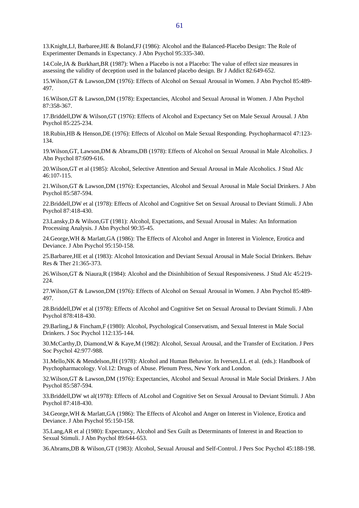13.Knight,LJ, Barbaree,HE & Boland,FJ (1986): Alcohol and the Balanced-Placebo Design: The Role of Experimenter Demands in Expectancy. J Abn Psychol 95:335-340.

14.Cole,JA & Burkhart,BR (1987): When a Placebo is not a Placebo: The value of effect size measures in assessing the validity of deception used in the balanced placebo design. Br J Addict 82:649-652.

15.Wilson,GT & Lawson,DM (1976): Effects of Alcohol on Sexual Arousal in Women. J Abn Psychol 85:489- 497.

16.Wilson,GT & Lawson,DM (1978): Expectancies, Alcohol and Sexual Arousal in Women. J Abn Psychol 87:358-367.

17.Briddell,DW & Wilson,GT (1976): Effects of Alcohol and Expectancy Set on Male Sexual Arousal. J Abn Psychol 85:225-234.

18.Rubin,HB & Henson,DE (1976): Effects of Alcohol on Male Sexual Responding. Psychopharmacol 47:123- 134.

19.Wilson,GT, Lawson,DM & Abrams,DB (1978): Effects of Alcohol on Sexual Arousal in Male Alcoholics. J Abn Psychol 87:609-616.

20.Wilson,GT et al (1985): Alcohol, Selective Attention and Sexual Arousal in Male Alcoholics. J Stud Alc 46:107-115.

21.Wilson,GT & Lawson,DM (1976): Expectancies, Alcohol and Sexual Arousal in Male Social Drinkers. J Abn Psychol 85:587-594.

22.Briddell,DW et al (1978): Effects of Alcohol and Cognitive Set on Sexual Arousal to Deviant Stimuli. J Abn Psychol 87:418-430.

23.Lansky,D & Wilson,GT (1981): Alcohol, Expectations, and Sexual Arousal in Males: An Information Processing Analysis. J Abn Psychol 90:35-45.

24.George,WH & Marlatt,GA (1986): The Effects of Alcohol and Anger in Interest in Violence, Erotica and Deviance. J Abn Psychol 95:150-158.

25.Barbaree,HE et al (1983): Alcohol Intoxication and Deviant Sexual Arousal in Male Social Drinkers. Behav Res & Ther 21:365-373.

26.Wilson,GT & Niaura,R (1984): Alcohol and the Disinhibition of Sexual Responsiveness. J Stud Alc 45:219- 224.

27.Wilson,GT & Lawson,DM (1976): Effects of Alcohol on Sexual Arousal in Women. J Abn Psychol 85:489- 497.

28.Briddell,DW et al (1978): Effects of Alcohol and Cognitive Set on Sexual Arousal to Deviant Stimuli. J Abn Psychol 878:418-430.

29.Barling,J & Fincham,F (1980): Alcohol, Psychological Conservatism, and Sexual Interest in Male Social Drinkers. J Soc Psychol 112:135-144.

30.McCarthy,D, Diamond,W & Kaye,M (1982): Alcohol, Sexual Arousal, and the Transfer of Excitation. J Pers Soc Psychol 42:977-988.

31.Mello,NK & Mendelson,JH (1978): Alcohol and Human Behavior. In Iversen,LL et al. (eds.): Handbook of Psychopharmacology. Vol.12: Drugs of Abuse. Plenum Press, New York and London.

32.Wilson,GT & Lawson,DM (1976): Expectancies, Alcohol and Sexual Arousal in Male Social Drinkers. J Abn Psychol 85:587-594.

33.Briddell,DW wt al(1978): Effects of ALcohol and Cognitive Set on Sexual Arousal to Deviant Stimuli. J Abn Psychol 87:418-430.

34.George,WH & Marlatt,GA (1986): The Effects of Alcohol and Anger on Interest in Violence, Erotica and Deviance. J Abn Psychol 95:150-158.

35.Lang,AR et al (1980): Expectancy, Alcohol and Sex Guilt as Determinants of Interest in and Reaction to Sexual Stimuli. J Abn Psychol 89:644-653.

36.Abrams,DB & Wilson,GT (1983): Alcohol, Sexual Arousal and Self-Control. J Pers Soc Psychol 45:188-198.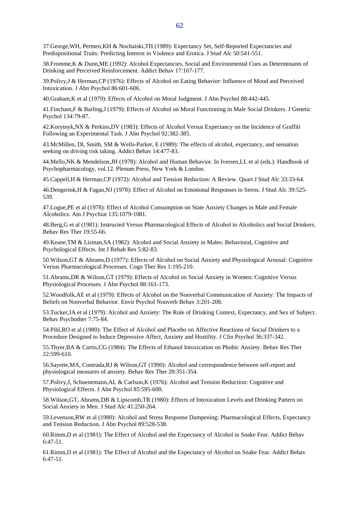38.Fromme,K & Dunn,ME (1992): Alcohol Expectancies, Social and Environmental Cues as Determinants of Drinking and Perceived Reinforcement. Addict Behav 17:167-177.

39.Polivy,J & Herman,CP (1976): Effects of Alcohol on Eating Behavior: Influence of Mood and Perceived Intoxication. J Abn Psychol 86:601-606.

40.Graham,K et al (1979): Effects of Alcohol on Moral Judgment. J Abn Psychol 88:442-445.

41.Fincham,F & Barling,J (1979): Effects of Alcohol on Moral Functioning in Male Social Drinkers. J Genetic Psychol 134:79-87.

42.Korytnyk,NX & Perkins,DV (1983): Effects of Alcohol Versus Expectancy on the Incidence of Graffiti Following an Experimental Task. J Abn Psychol 92:382-385.

43.McMillen, Dl, Smith, SM & Wells-Parker, E (1989): The effects of alcohol, expectancy, and sensation seeking on driving risk taking. Addict Behav 14:477-83.

44.Mello,NK & Mendelson,JH (1978): Alcohol and Human Behavior. In Iversen,LL et al (eds.): Handbook of Psychopharmacology, vol.12. Plenum Press, New York & London.

45.Cappell,H & Herman,CP (1972): Alcohol and Tension Reduction: A Review. Quart J Stud Alc 33:33-64.

46.Dengerink,H & Fagan,NJ (1978): Effect of Alcohol on Emotional Responses to Stress. J Stud Alc 39:525- 539.

47.Logue,PE et al (1978): Effect of Alcohol Consumption on State Anxiety Changes in Male and Female Alcoholics. Am J Psychiat 135:1079-1081.

48.Berg,G et al (1981): Instructed Versus Pharmacological Effects of Alcohol in Alcoholics and Social Drinkers. Behav Res Ther 19:55-66.

49.Keane,TM & Lisman,SA (1982): Alcohol and Social Anxiety in Males: Behavioral, Cognitive and Psychological Effects. Int J Rehab Res 5:82-83.

50.Wilson,GT & Abrams,D (1977): Effects of Alcohol on Social Anxiety and Physiological Arousal: Cognitive Versus Pharmacological Processes. Cogn Ther Res 1:195-210.

51.Abrams,DR & Wilson,GT (1979): Effects of Alcohol on Social Anxiety in Women: Cognitive Versus Physiological Processes. J Abn Psychol 88:161-173.

52.Woodfolk,AE et al (1979): Effects of Alcohol on the Nonverbal Communication of Anxiety: The Impacts of Beliefs on Nonverbal Behavior. Envir Psychol Nonverb Behav 3:201-208.

53.Tucker,JA et al (1979): Alcohol and Anxiety: The Role of Drinking Context, Expectancy, and Sex of Subject. Behav Psychother 7:75-84.

54.Pihl,RO et al (1980): The Effect of Alcohol and Placebo on Affective Reactions of Social Drinkers to a Procedure Designed to Induce Depressive Affect, Anxiety and Hostility. J Clin Psychol 36:337-342.

55.Thyer,BA & Curtis,CG (1984): The Effects of Ethanol Intoxication on Phobic Anxiety. Behav Res Ther 22:599-610.

56.Sayette,MA, Contrada,RJ & Wilson,GT (1990): Alcohol and correspondence between self-report and physiological measures of anxiety. Behav Res Ther 28:351-354.

57. Polivy, J, Schuenemann, AL & Carlson, K (1976): Alcohol and Tension Reduction: Cognitive and Physiological Effects. J Abn Psychol 85:595-600.

58.Wilson,GT, Abrams,DB & Lipscomb,TR (1980): Effects of Intoxication Levels and Drinking Pattern on Social Anxiety in Men. J Stud Alc 41:250-264.

59.Levenson,RW et al (1980): Alcohol and Stress Response Dampening: Pharmacological Effects, Expectancy and Tension Reduction. J Abn Psychol 89:528-538.

60.Rimm,D et al (1981): The Effect of Alcohol and the Expectancy of Alcohol in Snake Fear. Addict Behav 6:47-51.

61.Rimm,D et al (1981): The Effect of Alcohol and the Expectancy of Alcohol on Snake Fear. Addict Behav 6:47-51.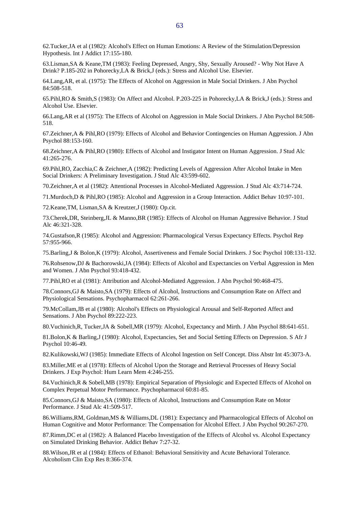62.Tucker,JA et al (1982): Alcohol's Effect on Human Emotions: A Review of the Stimulation/Depression Hypothesis. Int J Addict 17:155-180.

63.Lisman,SA & Keane,TM (1983): Feeling Depressed, Angry, Shy, Sexually Aroused? - Why Not Have A Drink? P.185-202 in Pohorecky,LA & Brick,J (eds.): Stress and Alcohol Use. Elsevier.

64.Lang,AR, et al. (1975): The Effects of Alcohol on Aggression in Male Social Drinkers. J Abn Psychol 84:508-518.

65.Pihl,RO & Smith,S (1983): On Affect and Alcohol. P.203-225 in Pohorecky,LA & Brick,J (eds.): Stress and Alcohol Use. Elsevier.

66.Lang,AR et al (1975): The Effects of Alcohol on Aggression in Male Social Drinkers. J Abn Psychol 84:508- 518.

67.Zeichner,A & Pihl,RO (1979): Effects of Alcohol and Behavior Contingencies on Human Aggression. J Abn Psychol 88:153-160.

68.Zeichner,A & Pihl,RO (1980): Effects of Alcohol and Instigator Intent on Human Aggression. J Stud Alc 41:265-276.

69.Pihl,RO, Zacchia,C & Zeichner,A (1982): Predicting Levels of Aggression After Alcohol Intake in Men Social Drinkers: A Preliminary Investigation. J Stud Alc 43:599-602.

70.Zeichner,A et al (1982): Attentional Processes in Alcohol-Mediated Aggression. J Stud Alc 43:714-724.

71.Murdoch,D & Pihl,RO (1985): Alcohol and Aggression in a Group Interaction. Addict Behav 10:97-101.

72.Keane,TM, Lisman,SA & Kreutzer,J (1980): Op.cit.

73.Cherek,DR, Steinberg,JL & Manno,BR (1985): Effects of Alcohol on Human Aggressive Behavior. J Stud Alc 46:321-328.

74.Gustafson,R (1985): Alcohol and Aggression: Pharmacological Versus Expectancy Effects. Psychol Rep 57:955-966.

75.Barling,J & Bolon,K (1979): Alcohol, Assertiveness and Female Social Drinkers. J Soc Psychol 108:131-132.

76.Rohsenow,DJ & Bachorowski,JA (1984): Effects of Alcohol and Expectancies on Verbal Aggression in Men and Women. J Abn Psychol 93:418-432.

77.Pihl,RO et al (1981): Attribution and Alcohol-Mediated Aggression. J Abn Psychol 90:468-475.

78.Connors,GJ & Maisto,SA (1979): Effects of Alcohol, Instructions and Consumption Rate on Affect and Physiological Sensations. Psychopharmacol 62:261-266.

79.McCollam,JB et al (1980): Alcohol's Effects on Physiological Arousal and Self-Reported Affect and Sensations. J Abn Psychol 89:222-223.

80.Vuchinich,R, Tucker,JA & Sobell,MR (1979): Alcohol, Expectancy and Mirth. J Abn Psychol 88:641-651.

81.Bolon,K & Barling,J (1980): Alcohol, Expectancies, Set and Social Setting Effects on Depression. S Afr J Psychol 10:46-49.

82.Kulikowski,WJ (1985): Immediate Effects of Alcohol Ingestion on Self Concept. Diss Abstr Int 45:3073-A.

83.Miller,ME et al (1978): Effects of Alcohol Upon the Storage and Retrieval Processes of Heavy Social Drinkers. J Exp Psychol: Hum Learn Mem 4:246-255.

84.Vuchinich,R & Sobell,MB (1978): Empirical Separation of Physiologic and Expected Effects of Alcohol on Complex Perpetual Motor Performance. Psychopharmacol 60:81-85.

85.Connors,GJ & Maisto,SA (1980): Effects of Alcohol, Instructions and Consumption Rate on Motor Performance. J Stud Alc 41:509-517.

86.Williams,RM, Goldman,MS & Williams,DL (1981): Expectancy and Pharmacological Effects of Alcohol on Human Cognitive and Motor Performance: The Compensation for Alcohol Effect. J Abn Psychol 90:267-270.

87.Rimm,DC et al (1982): A Balanced Placebo Investigation of the Effects of Alcohol vs. Alcohol Expectancy on Simulated Drinking Behavior. Addict Behav 7:27-32.

88.Wilson,JR et al (1984): Effects of Ethanol: Behavioral Sensitivity and Acute Behavioral Tolerance. Alcoholism Clin Exp Res 8:366-374.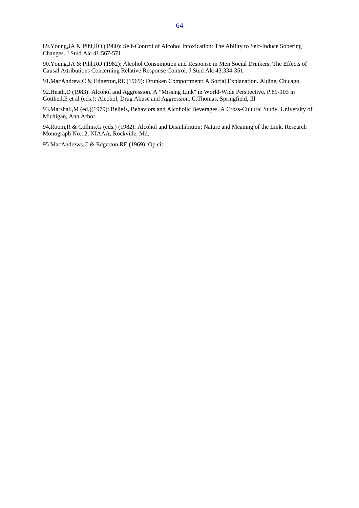89.Young,JA & Pihl,RO (1980): Self-Control of Alcohol Intoxication: The Ability to Self-Induce Sobering Changes. J Stud Alc 41:567-571.

90.Young,JA & Pihl,RO (1982): Alcohol Consumption and Response in Men Social Drinkers. The Effects of Causal Attributions Concerning Relative Response Control. J Stud Alc 43:334-351.

91.MacAndrew,C & Edgerton,RE (1969): Drunken Comportment: A Social Explanation. Aldine, Chicago.

92.Heath,D (1983): Alcohol and Aggression. A "Missing Link" in World-Wide Perspective. P.89-103 in Gottheil,E et al (eds.): Alcohol, Drug Abuse and Aggression. C.Thomas, Springfield, Ill.

93.Marshall,M (ed.)(1979): Beliefs, Behaviors and Alcoholic Beverages. A Cross-Cultural Study. University of Michigan, Ann Arbor.

94.Room,R & Collins,G (eds.) (1982): Alcohol and Disinhibition: Nature and Meaning of the Link. Research Monograph No.12, NIAAA, Rockville, Md.

95.MacAndrews,C & Edgerton,RE (1969): Op.cit.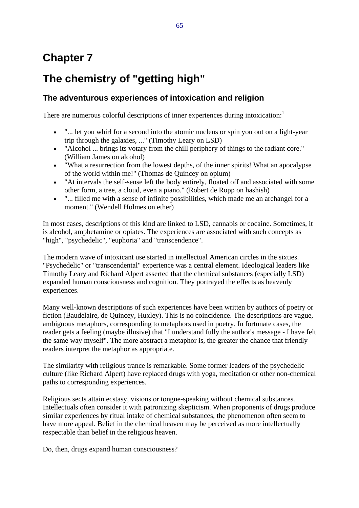# **Chapter 7**

# **The chemistry of "getting high"**

# **The adventurous experiences of intoxication and religion**

There are numerous colorful descriptions of inner experiences during intoxication: $<sup>1</sup>$ </sup>

- "... let you whirl for a second into the atomic nucleus or spin you out on a light-year trip through the galaxies, ..." (Timothy Leary on LSD)
- "Alcohol ... brings its votary from the chill periphery of things to the radiant core." (William James on alcohol)
- "What a resurrection from the lowest depths, of the inner spirits! What an apocalypse of the world within me!" (Thomas de Quincey on opium)
- "At intervals the self-sense left the body entirely, floated off and associated with some other form, a tree, a cloud, even a piano." (Robert de Ropp on hashish)
- "... filled me with a sense of infinite possibilities, which made me an archangel for a moment." (Wendell Holmes on ether)

In most cases, descriptions of this kind are linked to LSD, cannabis or cocaine. Sometimes, it is alcohol, amphetamine or opiates. The experiences are associated with such concepts as "high", "psychedelic", "euphoria" and "transcendence".

The modern wave of intoxicant use started in intellectual American circles in the sixties. "Psychedelic" or "transcendental" experience was a central element. Ideological leaders like Timothy Leary and Richard Alpert asserted that the chemical substances (especially LSD) expanded human consciousness and cognition. They portrayed the effects as heavenly experiences.

Many well-known descriptions of such experiences have been written by authors of poetry or fiction (Baudelaire, de Quincey, Huxley). This is no coincidence. The descriptions are vague, ambiguous metaphors, corresponding to metaphors used in poetry. In fortunate cases, the reader gets a feeling (maybe illusive) that "I understand fully the author's message - I have felt the same way myself". The more abstract a metaphor is, the greater the chance that friendly readers interpret the metaphor as appropriate.

The similarity with religious trance is remarkable. Some former leaders of the psychedelic culture (like Richard Alpert) have replaced drugs with yoga, meditation or other non-chemical paths to corresponding experiences.

Religious sects attain ecstasy, visions or tongue-speaking without chemical substances. Intellectuals often consider it with patronizing skepticism. When proponents of drugs produce similar experiences by ritual intake of chemical substances, the phenomenon often seem to have more appeal. Belief in the chemical heaven may be perceived as more intellectually respectable than belief in the religious heaven.

Do, then, drugs expand human consciousness?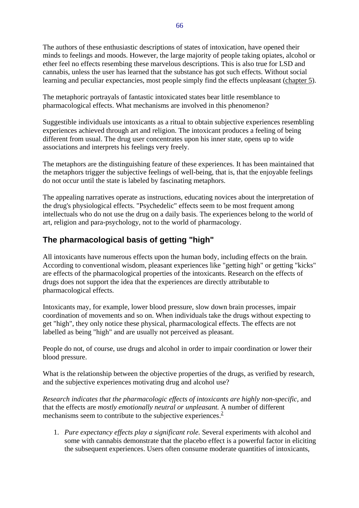The authors of these enthusiastic descriptions of states of intoxication, have opened their minds to feelings and moods. However, the large majority of people taking opiates, alcohol or ether feel no effects resembing these marvelous descriptions. This is also true for LSD and cannabis, unless the user has learned that the substance has got such effects. Without social learning and peculiar expectancies, most people simply find the effects unpleasant (chapter 5).

The metaphoric portrayals of fantastic intoxicated states bear little resemblance to pharmacological effects. What mechanisms are involved in this phenomenon?

Suggestible individuals use intoxicants as a ritual to obtain subjective experiences resembling experiences achieved through art and religion. The intoxicant produces a feeling of being different from usual. The drug user concentrates upon his inner state, opens up to wide associations and interprets his feelings very freely.

The metaphors are the distinguishing feature of these experiences. It has been maintained that the metaphors trigger the subjective feelings of well-being, that is, that the enjoyable feelings do not occur until the state is labeled by fascinating metaphors.

The appealing narratives operate as instructions, educating novices about the interpretation of the drug's physiological effects. "Psychedelic" effects seem to be most frequent among intellectuals who do not use the drug on a daily basis. The experiences belong to the world of art, religion and para-psychology, not to the world of pharmacology.

# **The pharmacological basis of getting "high"**

All intoxicants have numerous effects upon the human body, including effects on the brain. According to conventional wisdom, pleasant experiences like "getting high" or getting "kicks" are effects of the pharmacological properties of the intoxicants. Research on the effects of drugs does not support the idea that the experiences are directly attributable to pharmacological effects.

Intoxicants may, for example, lower blood pressure, slow down brain processes, impair coordination of movements and so on. When individuals take the drugs without expecting to get "high", they only notice these physical, pharmacological effects. The effects are not labelled as being "high" and are usually not perceived as pleasant.

People do not, of course, use drugs and alcohol in order to impair coordination or lower their blood pressure.

What is the relationship between the objective properties of the drugs, as verified by research, and the subjective experiences motivating drug and alcohol use?

*Research indicates that the pharmacologic effects of intoxicants are highly non-specific,* and that the effects are *mostly emotionally neutral or unpleasant.* A number of different mechanisms seem to contribute to the subjective experiences.<sup>2</sup>

1. *Pure expectancy effects play a significant role.* Several experiments with alcohol and some with cannabis demonstrate that the placebo effect is a powerful factor in eliciting the subsequent experiences. Users often consume moderate quantities of intoxicants,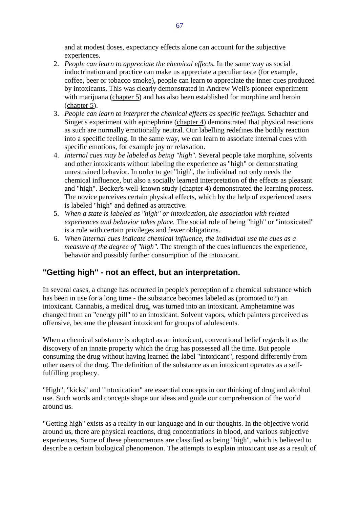and at modest doses, expectancy effects alone can account for the subjective experiences.

- 2. *People can learn to appreciate the chemical effects.* In the same way as social indoctrination and practice can make us appreciate a peculiar taste (for example, coffee, beer or tobacco smoke), people can learn to appreciate the inner cues produced by intoxicants. This was clearly demonstrated in Andrew Weil's pioneer experiment with marijuana (chapter 5) and has also been established for morphine and heroin (chapter 5).
- 3. *People can learn to interpret the chemical effects as specific feelings.* Schachter and Singer's experiment with epinephrine (chapter 4) demonstrated that physical reactions as such are normally emotionally neutral. Our labelling redefines the bodily reaction into a specific feeling. In the same way, we can learn to associate internal cues with specific emotions, for example joy or relaxation.
- 4. *Internal cues may be labeled as being "high".* Several people take morphine, solvents and other intoxicants without labeling the experience as "high" or demonstrating unrestrained behavior. In order to get "high", the individual not only needs the chemical influence, but also a socially learned interpretation of the effects as pleasant and "high". Becker's well-known study (chapter 4) demonstrated the learning process. The novice perceives certain physical effects, which by the help of experienced users is labeled "high" and defined as attractive.
- 5. *When a state is labeled as "high" or intoxication, the association with related experiences and behavior takes place.* The social role of being "high" or "intoxicated" is a role with certain privileges and fewer obligations.
- 6. *When internal cues indicate chemical influence, the individual use the cues as a measure of the degree of "high".* The strength of the cues influences the experience, behavior and possibly further consumption of the intoxicant.

### **"Getting high" - not an effect, but an interpretation.**

In several cases, a change has occurred in people's perception of a chemical substance which has been in use for a long time - the substance becomes labeled as (promoted to?) an intoxicant. Cannabis, a medical drug, was turned into an intoxicant. Amphetamine was changed from an "energy pill" to an intoxicant. Solvent vapors, which painters perceived as offensive, became the pleasant intoxicant for groups of adolescents.

When a chemical substance is adopted as an intoxicant, conventional belief regards it as the discovery of an innate property which the drug has possessed all the time. But people consuming the drug without having learned the label "intoxicant", respond differently from other users of the drug. The definition of the substance as an intoxicant operates as a selffulfilling prophecy.

"High", "kicks" and "intoxication" are essential concepts in our thinking of drug and alcohol use. Such words and concepts shape our ideas and guide our comprehension of the world around us.

"Getting high" exists as a reality in our language and in our thoughts. In the objective world around us, there are physical reactions, drug concentrations in blood, and various subjective experiences. Some of these phenomenons are classified as being "high", which is believed to describe a certain biological phenomenon. The attempts to explain intoxicant use as a result of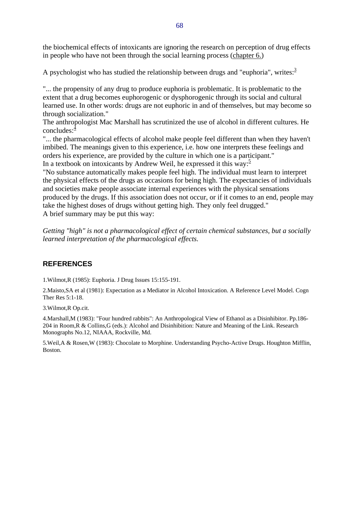the biochemical effects of intoxicants are ignoring the research on perception of drug effects in people who have not been through the social learning process (chapter 6.)

A psychologist who has studied the relationship between drugs and "euphoria", writes: $3<sup>3</sup>$ 

"... the propensity of any drug to produce euphoria is problematic. It is problematic to the extent that a drug becomes euphorogenic or dysphorogenic through its social and cultural learned use. In other words: drugs are not euphoric in and of themselves, but may become so through socialization."

The anthropologist Mac Marshall has scrutinized the use of alcohol in different cultures. He concludes: $\frac{4}{3}$ 

"... the pharmacological effects of alcohol make people feel different than when they haven't imbibed. The meanings given to this experience, i.e. how one interprets these feelings and orders his experience, are provided by the culture in which one is a participant." In a textbook on intoxicants by Andrew Weil, he expressed it this way:<sup>5</sup>

"No substance automatically makes people feel high. The individual must learn to interpret the physical effects of the drugs as occasions for being high. The expectancies of individuals and societies make people associate internal experiences with the physical sensations produced by the drugs. If this association does not occur, or if it comes to an end, people may take the highest doses of drugs without getting high. They only feel drugged." A brief summary may be put this way:

*Getting "high" is not a pharmacological effect of certain chemical substances, but a socially learned interpretation of the pharmacological effects.*

#### **REFERENCES**

1.Wilmot,R (1985): Euphoria. J Drug Issues 15:155-191.

2.Maisto,SA et al (1981): Expectation as a Mediator in Alcohol Intoxication. A Reference Level Model. Cogn Ther Res 5:1-18.

3.Wilmot,R Op.cit.

4.Marshall,M (1983): "Four hundred rabbits": An Anthropological View of Ethanol as a Disinhibitor. Pp.186- 204 in Room,R & Collins,G (eds.): Alcohol and Disinhibition: Nature and Meaning of the Link. Research Monographs No.12, NIAAA, Rockville, Md.

5.Weil,A & Rosen,W (1983): Chocolate to Morphine. Understanding Psycho-Active Drugs. Houghton Mifflin, Boston.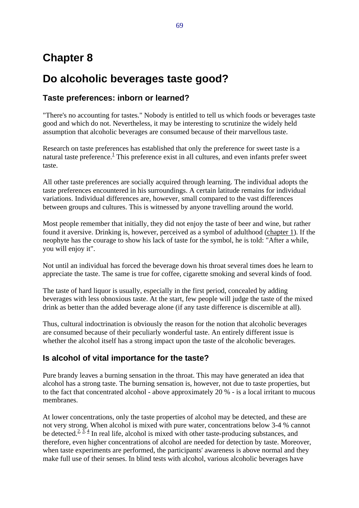# **Chapter 8**

# **Do alcoholic beverages taste good?**

## **Taste preferences: inborn or learned?**

"There's no accounting for tastes." Nobody is entitled to tell us which foods or beverages taste good and which do not. Nevertheless, it may be interesting to scrutinize the widely held assumption that alcoholic beverages are consumed because of their marvellous taste.

Research on taste preferences has established that only the preference for sweet taste is a natural taste preference. $\frac{1}{1}$ This preference exist in all cultures, and even infants prefer sweet taste.

All other taste preferences are socially acquired through learning. The individual adopts the taste preferences encountered in his surroundings. A certain latitude remains for individual variations. Individual differences are, however, small compared to the vast differences between groups and cultures. This is witnessed by anyone travelling around the world.

Most people remember that initially, they did not enjoy the taste of beer and wine, but rather found it aversive. Drinking is, however, perceived as a symbol of adulthood (chapter 1). If the neophyte has the courage to show his lack of taste for the symbol, he is told: "After a while, you will enjoy it".

Not until an individual has forced the beverage down his throat several times does he learn to appreciate the taste. The same is true for coffee, cigarette smoking and several kinds of food.

The taste of hard liquor is usually, especially in the first period, concealed by adding beverages with less obnoxious taste. At the start, few people will judge the taste of the mixed drink as better than the added beverage alone (if any taste difference is discernible at all).

Thus, cultural indoctrination is obviously the reason for the notion that alcoholic beverages are consumed because of their peculiarly wonderful taste. An entirely different issue is whether the alcohol itself has a strong impact upon the taste of the alcoholic beverages.

### **Is alcohol of vital importance for the taste?**

Pure brandy leaves a burning sensation in the throat. This may have generated an idea that alcohol has a strong taste. The burning sensation is, however, not due to taste properties, but to the fact that concentrated alcohol - above approximately 20 % - is a local irritant to mucous membranes.

At lower concentrations, only the taste properties of alcohol may be detected, and these are not very strong. When alcohol is mixed with pure water, concentrations below 3-4 % cannot be detected.<sup>2,  $\overline{3}$ ,  $\overline{4}$  In real life, alcohol is mixed with other taste-producing substances, and</sup> therefore, even higher concentrations of alcohol are needed for detection by taste. Moreover, when taste experiments are performed, the participants' awareness is above normal and they make full use of their senses. In blind tests with alcohol, various alcoholic beverages have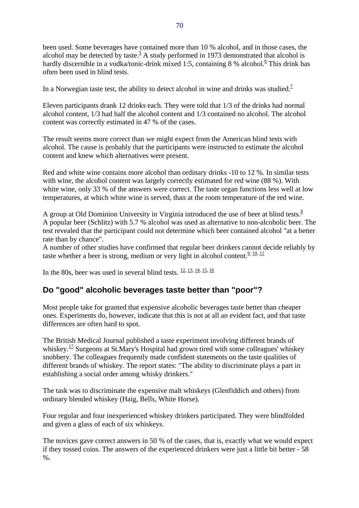been used. Some beverages have contained more than 10 % alcohol, and in those cases, the alcohol may be detected by taste.<sup>5</sup> A study performed in 1973 demonstrated that alcohol is hardly discernible in a vodka/tonic-drink mixed 1:5, containing 8 % alcohol.<sup>6</sup> This drink has often been used in blind tests.

In a Norwegian taste test, the ability to detect alcohol in wine and drinks was studied.<sup>7</sup>

Eleven participants drank 12 drinks each. They were told that 1/3 of the drinks had normal alcohol content, 1/3 had half the alcohol content and 1/3 contained no alcohol. The alcohol content was correctly estimated in 47 % of the cases.

The result seems more correct than we might expect from the American blind tests with alcohol. The cause is probably that the participants were instructed to estimate the alcohol content and knew which alternatives were present.

Red and white wine contains more alcohol than ordinary drinks -10 to 12 %. In similar tests with wine, the alcohol content was largely correctly estimated for red wine (88 %). With white wine, only 33 % of the answers were correct. The taste organ functions less well at low temperatures, at which white wine is served, than at the room temperature of the red wine.

A group at Old Dominion University in Virginia introduced the use of beer at blind tests. $8$ A popular beer (Schlitz) with 5.7 % alcohol was used as alternative to non-alcoholic beer. The test revealed that the participant could not determine which beer contained alcohol "at a better rate than by chance".

A number of other studies have confirmed that regular beer drinkers cannot decide reliably by taste whether a beer is strong, medium or very light in alcohol content. $\frac{9, 10, 11}{2}$ 

In the 80s, beer was used in several blind tests.  $\frac{12}{3}$ ,  $\frac{13}{13}$ ,  $\frac{14}{15}$ ,  $\frac{16}{16}$ 

### **Do "good" alcoholic beverages taste better than "poor"?**

Most people take for granted that expensive alcoholic beverages taste better than cheaper ones. Experiments do, however, indicate that this is not at all an evident fact, and that taste differences are often hard to spot.

The British Medical Journal published a taste experiment involving different brands of whiskey.<sup>17</sup> Surgeons at St.Mary's Hospital had grown tired with some colleagues' whiskey snobbery. The colleagues frequently made confident statements on the taste qualities of different brands of whiskey. The report states: "The ability to discriminate plays a part in establishing a social order among whisky drinkers."

The task was to discriminate the expensive malt whiskeys (Glenfiddich and others) from ordinary blended whiskey (Haig, Bells, White Horse).

Four regular and four inexperienced whiskey drinkers participated. They were blindfolded and given a glass of each of six whiskeys.

The novices gave correct answers in 50 % of the cases, that is, exactly what we would expect if they tossed coins. The answers of the experienced drinkers were just a little bit better - 58 %.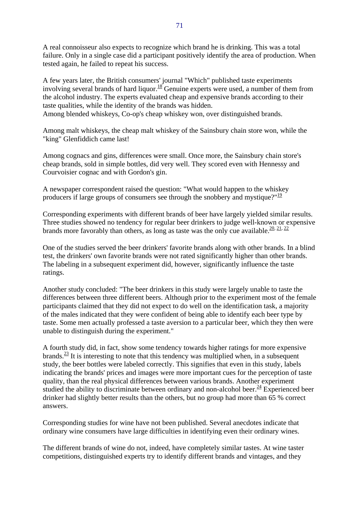A real connoisseur also expects to recognize which brand he is drinking. This was a total failure. Only in a single case did a participant positively identify the area of production. When tested again, he failed to repeat his success.

A few years later, the British consumers' journal "Which" published taste experiments involving several brands of hard liquor.<sup>18</sup> Genuine experts were used, a number of them from the alcohol industry. The experts evaluated cheap and expensive brands according to their taste qualities, while the identity of the brands was hidden.

Among blended whiskeys, Co-op's cheap whiskey won, over distinguished brands.

Among malt whiskeys, the cheap malt whiskey of the Sainsbury chain store won, while the "king" Glenfiddich came last!

Among cognacs and gins, differences were small. Once more, the Sainsbury chain store's cheap brands, sold in simple bottles, did very well. They scored even with Hennessy and Courvoisier cognac and with Gordon's gin.

A newspaper correspondent raised the question: "What would happen to the whiskey producers if large groups of consumers see through the snobbery and mystique?" $\frac{19}{12}$ 

Corresponding experiments with different brands of beer have largely yielded similar results. Three studies showed no tendency for regular beer drinkers to judge well-known or expensive brands more favorably than others, as long as taste was the only cue available.<sup>20, 21, 22</sup>

One of the studies served the beer drinkers' favorite brands along with other brands. In a blind test, the drinkers' own favorite brands were not rated significantly higher than other brands. The labeling in a subsequent experiment did, however, significantly influence the taste ratings.

Another study concluded: "The beer drinkers in this study were largely unable to taste the differences between three different beers. Although prior to the experiment most of the female participants claimed that they did not expect to do well on the identification task, a majority of the males indicated that they were confident of being able to identify each beer type by taste. Some men actually professed a taste aversion to a particular beer, which they then were unable to distinguish during the experiment."

A fourth study did, in fact, show some tendency towards higher ratings for more expensive brands. $\frac{23}{11}$  It is interesting to note that this tendency was multiplied when, in a subsequent study, the beer bottles were labeled correctly. This signifies that even in this study, labels indicating the brands' prices and images were more important cues for the perception of taste quality, than the real physical differences between various brands. Another experiment studied the ability to discriminate between ordinary and non-alcohol beer.<sup>24</sup> Experienced beer drinker had slightly better results than the others, but no group had more than 65 % correct answers.

Corresponding studies for wine have not been published. Several anecdotes indicate that ordinary wine consumers have large difficulties in identifying even their ordinary wines.

The different brands of wine do not, indeed, have completely similar tastes. At wine taster competitions, distinguished experts try to identify different brands and vintages, and they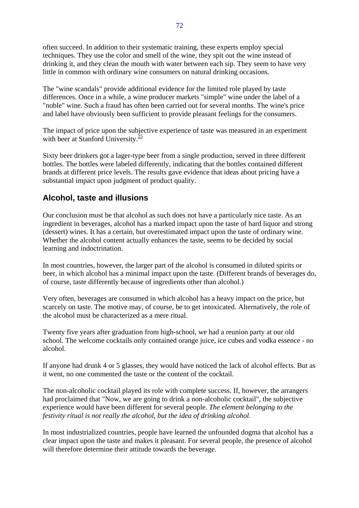often succeed. In addition to their systematic training, these experts employ special techniques. They use the color and smell of the wine, they spit out the wine instead of drinking it, and they clean the mouth with water between each sip. They seem to have very little in common with ordinary wine consumers on natural drinking occasions.

The "wine scandals" provide additional evidence for the limited role played by taste differences. Once in a while, a wine producer markets "simple" wine under the label of a "noble" wine. Such a fraud has often been carried out for several months. The wine's price and label have obviously been sufficient to provide pleasant feelings for the consumers.

The impact of price upon the subjective experience of taste was measured in an experiment with beer at Stanford University. $\frac{25}{5}$ 

Sixty beer drinkers got a lager-type beer from a single production, served in three different bottles. The bottles were labeled differently, indicating that the bottles contained different brands at different price levels. The results gave evidence that ideas about pricing have a substantial impact upon judgment of product quality.

### **Alcohol, taste and illusions**

Our conclusion must be that alcohol as such does not have a particularly nice taste. As an ingredient in beverages, alcohol has a marked impact upon the taste of hard liquor and strong (dessert) wines. It has a certain, but overestimated impact upon the taste of ordinary wine. Whether the alcohol content actually enhances the taste, seems to be decided by social learning and indoctrination.

In most countries, however, the larger part of the alcohol is consumed in diluted spirits or beer, in which alcohol has a minimal impact upon the taste. (Different brands of beverages do, of course, taste differently because of ingredients other than alcohol.)

Very often, beverages are consumed in which alcohol has a heavy impact on the price, but scarcely on taste. The motive may, of course, be to get intoxicated. Alternatively, the role of the alcohol must be characterized as a mere ritual.

Twenty five years after graduation from high-school, we had a reunion party at our old school. The welcome cocktails only contained orange juice, ice cubes and vodka essence - no alcohol.

If anyone had drunk 4 or 5 glasses, they would have noticed the lack of alcohol effects. But as it went, no one commented the taste or the content of the cocktail.

The non-alcoholic cocktail played its role with complete success. If, however, the arrangers had proclaimed that "Now, we are going to drink a non-alcoholic cocktail", the subjective experience would have been different for several people. *The element belonging to the festivity ritual is not really the alcohol, but the idea of drinking alcohol.*

In most industrialized countries, people have learned the unfounded dogma that alcohol has a clear impact upon the taste and makes it pleasant. For several people, the presence of alcohol will therefore determine their attitude towards the beverage.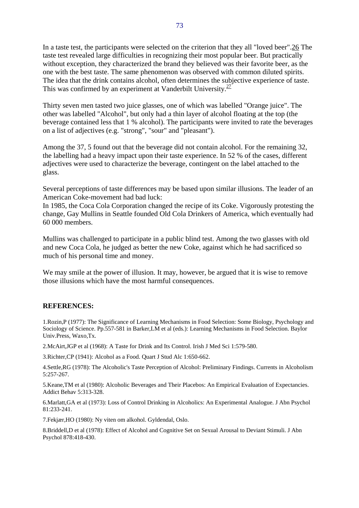In a taste test, the participants were selected on the criterion that they all "loved beer".26 The taste test revealed large difficulties in recognizing their most popular beer. But practically without exception, they characterized the brand they believed was their favorite beer, as the one with the best taste. The same phenomenon was observed with common diluted spirits. The idea that the drink contains alcohol, often determines the subjective experience of taste. This was confirmed by an experiment at Vanderbilt University. $\frac{27}{27}$ 

Thirty seven men tasted two juice glasses, one of which was labelled "Orange juice". The other was labelled "Alcohol", but only had a thin layer of alcohol floating at the top (the beverage contained less that 1 % alcohol). The participants were invited to rate the beverages on a list of adjectives (e.g. "strong", "sour" and "pleasant").

Among the 37, 5 found out that the beverage did not contain alcohol. For the remaining 32, the labelling had a heavy impact upon their taste experience. In 52 % of the cases, different adjectives were used to characterize the beverage, contingent on the label attached to the glass.

Several perceptions of taste differences may be based upon similar illusions. The leader of an American Coke-movement had bad luck:

In 1985, the Coca Cola Corporation changed the recipe of its Coke. Vigorously protesting the change, Gay Mullins in Seattle founded Old Cola Drinkers of America, which eventually had 60 000 members.

Mullins was challenged to participate in a public blind test. Among the two glasses with old and new Coca Cola, he judged as better the new Coke, against which he had sacrificed so much of his personal time and money.

We may smile at the power of illusion. It may, however, be argued that it is wise to remove those illusions which have the most harmful consequences.

#### **REFERENCES:**

1.Rozin,P (1977): The Significance of Learning Mechanisms in Food Selection: Some Biology, Psychology and Sociology of Science. Pp.557-581 in Barker,LM et al (eds.): Learning Mechanisms in Food Selection. Baylor Univ.Press, Waxo,Tx.

2.McAirt,JGP et al (1968): A Taste for Drink and Its Control. Irish J Med Sci 1:579-580.

3.Richter,CP (1941): Alcohol as a Food. Quart J Stud Alc 1:650-662.

4.Settle,RG (1978): The Alcoholic's Taste Perception of Alcohol: Preliminary Findings. Currents in Alcoholism 5:257-267.

5.Keane,TM et al (1980): Alcoholic Beverages and Their Placebos: An Empirical Evaluation of Expectancies. Addict Behav 5:313-328.

6.Marlatt,GA et al (1973): Loss of Control Drinking in Alcoholics: An Experimental Analogue. J Abn Psychol 81:233-241.

7.Fekjær,HO (1980): Ny viten om alkohol. Gyldendal, Oslo.

8.Briddell,D et al (1978): Effect of Alcohol and Cognitive Set on Sexual Arousal to Deviant Stimuli. J Abn Psychol 878:418-430.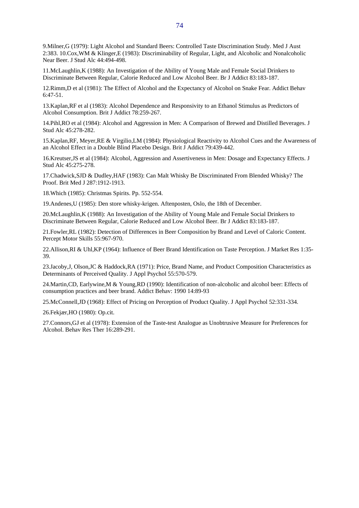9.Milner,G (1979): Light Alcohol and Standard Beers: Controlled Taste Discrimination Study. Med J Aust 2:383. 10.Cox,WM & Klinger,E (1983): Discriminability of Regular, Light, and Alcoholic and Nonalcoholic Near Beer. J Stud Alc 44:494-498.

11.McLaughlin,K (1988): An Investigation of the Ability of Young Male and Female Social Drinkers to Discriminate Between Regular, Calorie Reduced and Low Alcohol Beer. Br J Addict 83:183-187.

12.Rimm,D et al (1981): The Effect of Alcohol and the Expectancy of Alcohol on Snake Fear. Addict Behav 6:47-51.

13.Kaplan,RF et al (1983): Alcohol Dependence and Responsivity to an Ethanol Stimulus as Predictors of Alcohol Consumption. Brit J Addict 78:259-267.

14.Pihl,RO et al (1984): Alcohol and Aggression in Men: A Comparison of Brewed and Distilled Beverages. J Stud Alc 45:278-282.

15.Kaplan,RF, Meyer,RE & Virgilio,LM (1984): Physiological Reactivity to Alcohol Cues and the Awareness of an Alcohol Effect in a Double Blind Placebo Design. Brit J Addict 79:439-442.

16.Kreutser,JS et al (1984): Alcohol, Aggression and Assertiveness in Men: Dosage and Expectancy Effects. J Stud Alc 45:275-278.

17.Chadwick,SJD & Dudley,HAF (1983): Can Malt Whisky Be Discriminated From Blended Whisky? The Proof. Brit Med J 287:1912-1913.

18.Which (1985): Christmas Spirits. Pp. 552-554.

19.Andenes,U (1985): Den store whisky-krigen. Aftenposten, Oslo, the 18th of December.

20.McLaughlin,K (1988): An Investigation of the Ability of Young Male and Female Social Drinkers to Discriminate Between Regular, Calorie Reduced and Low Alcohol Beer. Br J Addict 83:183-187.

21.Fowler,RL (1982): Detection of Differences in Beer Composition by Brand and Level of Caloric Content. Percept Motor Skills 55:967-970.

22.Allison,RI & Uhl,KP (1964): Influence of Beer Brand Identification on Taste Perception. J Market Res 1:35- 39.

23.Jacoby,J, Olson,JC & Haddock,RA (1971): Price, Brand Name, and Product Composition Characteristics as Determinants of Perceived Quality. J Appl Psychol 55:570-579.

24.Martin,CD, Earlywine,M & Young,RD (1990): Identification of non-alcoholic and alcohol beer: Effects of consumption practices and beer brand. Addict Behav: 1990 14:89-93

25.McConnell,JD (1968): Effect of Pricing on Perception of Product Quality. J Appl Psychol 52:331-334.

26.Fekjær,HO (1980): Op.cit.

27.Connors,GJ et al (1978): Extension of the Taste-test Analogue as Unobtrusive Measure for Preferences for Alcohol. Behav Res Ther 16:289-291.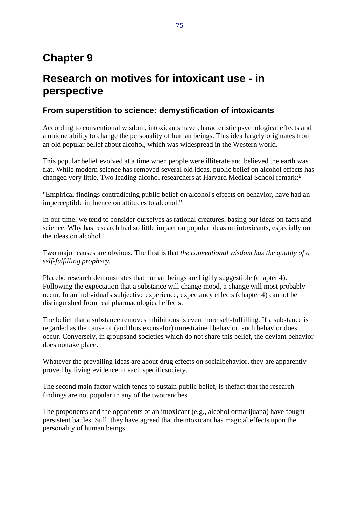# **Chapter 9**

# **Research on motives for intoxicant use - in perspective**

### **From superstition to science: demystification of intoxicants**

According to conventional wisdom, intoxicants have characteristic psychological effects and a unique ability to change the personality of human beings. This idea largely originates from an old popular belief about alcohol, which was widespread in the Western world.

This popular belief evolved at a time when people were illiterate and believed the earth was flat. While modern science has removed several old ideas, public belief on alcohol effects has changed very little. Two leading alcohol researchers at Harvard Medical School remark: $<sup>1</sup>$ </sup>

"Empirical findings contradicting public belief on alcohol's effects on behavior, have had an imperceptible influence on attitudes to alcohol."

In our time, we tend to consider ourselves as rational creatures, basing our ideas on facts and science. Why has research had so little impact on popular ideas on intoxicants, especially on the ideas on alcohol?

Two major causes are obvious. The first is that *the conventional wisdom has the quality of a self-fulfilling prophecy.*

Placebo research demonstrates that human beings are highly suggestible (chapter 4). Following the expectation that a substance will change mood, a change will most probably occur. In an individual's subjective experience, expectancy effects (chapter 4) cannot be distinguished from real pharmacological effects.

The belief that a substance removes inhibitions is even more self-fulfilling. If a substance is regarded as the cause of (and thus excusefor) unrestrained behavior, such behavior does occur. Conversely, in groupsand societies which do not share this belief, the deviant behavior does nottake place.

Whatever the prevailing ideas are about drug effects on socialbehavior, they are apparently proved by living evidence in each specificsociety.

The second main factor which tends to sustain public belief, is thefact that the research findings are not popular in any of the twotrenches.

The proponents and the opponents of an intoxicant (e.g., alcohol ormarijuana) have fought persistent battles. Still, they have agreed that theintoxicant has magical effects upon the personality of human beings.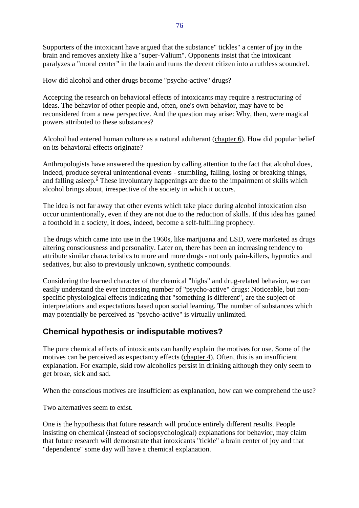Supporters of the intoxicant have argued that the substance" tickles" a center of joy in the brain and removes anxiety like a "super-Valium". Opponents insist that the intoxicant paralyzes a "moral center" in the brain and turns the decent citizen into a ruthless scoundrel.

How did alcohol and other drugs become "psycho-active" drugs?

Accepting the research on behavioral effects of intoxicants may require a restructuring of ideas. The behavior of other people and, often, one's own behavior, may have to be reconsidered from a new perspective. And the question may arise: Why, then, were magical powers attributed to these substances?

Alcohol had entered human culture as a natural adulterant (chapter 6). How did popular belief on its behavioral effects originate?

Anthropologists have answered the question by calling attention to the fact that alcohol does, indeed, produce several unintentional events - stumbling, falling, losing or breaking things, and falling asleep. $<sup>2</sup>$  These involuntary happenings are due to the impairment of skills which</sup> alcohol brings about, irrespective of the society in which it occurs.

The idea is not far away that other events which take place during alcohol intoxication also occur unintentionally, even if they are not due to the reduction of skills. If this idea has gained a foothold in a society, it does, indeed, become a self-fulfilling prophecy.

The drugs which came into use in the 1960s, like marijuana and LSD, were marketed as drugs altering consciousness and personality. Later on, there has been an increasing tendency to attribute similar characteristics to more and more drugs - not only pain-killers, hypnotics and sedatives, but also to previously unknown, synthetic compounds.

Considering the learned character of the chemical "highs" and drug-related behavior, we can easily understand the ever increasing number of "psycho-active" drugs: Noticeable, but nonspecific physiological effects indicating that "something is different", are the subject of interpretations and expectations based upon social learning. The number of substances which may potentially be perceived as "psycho-active" is virtually unlimited.

### **Chemical hypothesis or indisputable motives?**

The pure chemical effects of intoxicants can hardly explain the motives for use. Some of the motives can be perceived as expectancy effects (chapter 4). Often, this is an insufficient explanation. For example, skid row alcoholics persist in drinking although they only seem to get broke, sick and sad.

When the conscious motives are insufficient as explanation, how can we comprehend the use?

Two alternatives seem to exist.

One is the hypothesis that future research will produce entirely different results. People insisting on chemical (instead of sociopsychological) explanations for behavior, may claim that future research will demonstrate that intoxicants "tickle" a brain center of joy and that "dependence" some day will have a chemical explanation.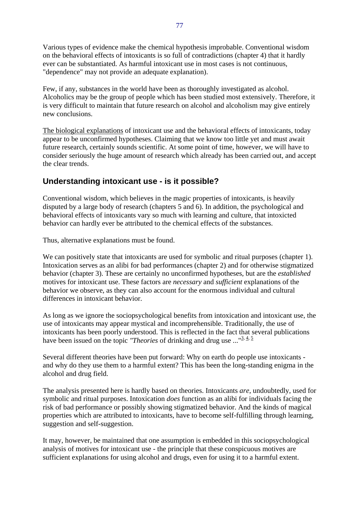Various types of evidence make the chemical hypothesis improbable. Conventional wisdom on the behavioral effects of intoxicants is so full of contradictions (chapter 4) that it hardly ever can be substantiated. As harmful intoxicant use in most cases is not continuous, "dependence" may not provide an adequate explanation).

Few, if any, substances in the world have been as thoroughly investigated as alcohol. Alcoholics may be the group of people which has been studied most extensively. Therefore, it is very difficult to maintain that future research on alcohol and alcoholism may give entirely new conclusions.

The biological explanations of intoxicant use and the behavioral effects of intoxicants, today appear to be unconfirmed hypotheses. Claiming that we know too little yet and must await future research, certainly sounds scientific. At some point of time, however, we will have to consider seriously the huge amount of research which already has been carried out, and accept the clear trends.

## **Understanding intoxicant use - is it possible?**

Conventional wisdom, which believes in the magic properties of intoxicants, is heavily disputed by a large body of research (chapters 5 and 6). In addition, the psychological and behavioral effects of intoxicants vary so much with learning and culture, that intoxicted behavior can hardly ever be attributed to the chemical effects of the substances.

Thus, alternative explanations must be found.

We can positively state that intoxicants are used for symbolic and ritual purposes (chapter 1). Intoxication serves as an alibi for bad performances (chapter 2) and for otherwise stigmatized behavior (chapter 3). These are certainly no unconfirmed hypotheses, but are the *established* motives for intoxicant use. These factors are *necessary* and *sufficient* explanations of the behavior we observe, as they can also account for the enormous individual and cultural differences in intoxicant behavior.

As long as we ignore the sociopsychological benefits from intoxication and intoxicant use, the use of intoxicants may appear mystical and incomprehensible. Traditionally, the use of intoxicants has been poorly understood. This is reflected in the fact that several publications have been issued on the topic *"Theories* of drinking and drug use ..."<sup>3, 4, 5</sup>

Several different theories have been put forward: Why on earth do people use intoxicants and why do they use them to a harmful extent? This has been the long-standing enigma in the alcohol and drug field.

The analysis presented here is hardly based on theories. Intoxicants *are*, undoubtedly, used for symbolic and ritual purposes. Intoxication *does* function as an alibi for individuals facing the risk of bad performance or possibly showing stigmatized behavior. And the kinds of magical properties which are attributed to intoxicants, have to become self-fulfilling through learning, suggestion and self-suggestion.

It may, however, be maintained that one assumption is embedded in this sociopsychological analysis of motives for intoxicant use - the principle that these conspicuous motives are sufficient explanations for using alcohol and drugs, even for using it to a harmful extent.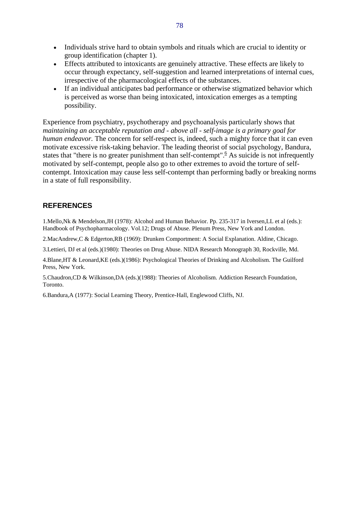- Individuals strive hard to obtain symbols and rituals which are crucial to identity or group identification (chapter 1).
- Effects attributed to intoxicants are genuinely attractive. These effects are likely to occur through expectancy, self-suggestion and learned interpretations of internal cues, irrespective of the pharmacological effects of the substances.
- If an individual anticipates bad performance or otherwise stigmatized behavior which is perceived as worse than being intoxicated, intoxication emerges as a tempting possibility.

Experience from psychiatry, psychotherapy and psychoanalysis particularly shows that *maintaining an acceptable reputation and - above all - self-image is a primary goal for human endeavor.* The concern for self-respect is, indeed, such a mighty force that it can even motivate excessive risk-taking behavior. The leading theorist of social psychology, Bandura, states that "there is no greater punishment than self-contempt".<sup>6</sup> As suicide is not infrequently motivated by self-contempt, people also go to other extremes to avoid the torture of selfcontempt. Intoxication may cause less self-contempt than performing badly or breaking norms in a state of full responsibility.

#### **REFERENCES**

1.Mello,Nk & Mendelson,JH (1978): Alcohol and Human Behavior. Pp. 235-317 in Iversen,LL et al (eds.): Handbook of Psychopharmacology. Vol.12; Drugs of Abuse. Plenum Press, New York and London.

2.MacAndrew,C & Edgerton,RB (1969): Drunken Comportment: A Social Explanation. Aldine, Chicago.

3.Lettieri, DJ et al (eds.)(1980): Theories on Drug Abuse. NIDA Research Monograph 30, Rockville, Md.

4.Blane,HT & Leonard,KE (eds.)(1986): Psychological Theories of Drinking and Alcoholism. The Guilford Press, New York.

5.Chaudron,CD & Wilkinson,DA (eds.)(1988): Theories of Alcoholism. Addiction Research Foundation, Toronto.

6.Bandura,A (1977): Social Learning Theory, Prentice-Hall, Englewood Cliffs, NJ.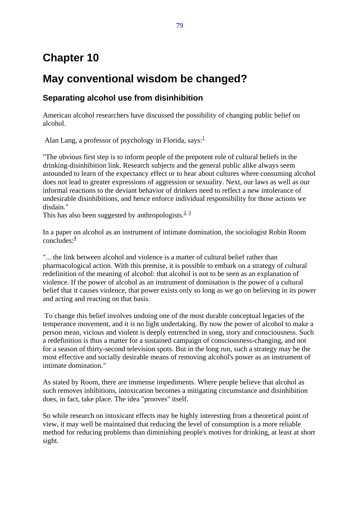# **Chapter 10**

## **May conventional wisdom be changed?**

## **Separating alcohol use from disinhibition**

American alcohol researchers have discussed the possibility of changing public belief on alcohol.

Alan Lang, a professor of psychology in Florida, says: $<sup>1</sup>$ </sup>

"The obvious first step is to inform people of the prepotent role of cultural beliefs in the drinking-disinhibition link. Research subjects and the general public alike always seem astounded to learn of the expectancy effect or to hear about cultures where consuming alcohol does not lead to greater expressions of aggression or sexuality. Next, our laws as well as our informal reactions to the deviant behavior of drinkers need to reflect a new intolerance of undesirable disinhibitions, and hence enforce individual responsibility for those actions we disdain."

This has also been suggested by anthropologists.  $2^{3}$ 

In a paper on alcohol as an instrument of intimate domination, the sociologist Robin Room concludes: $\frac{4}{3}$ 

"... the link between alcohol and violence is a matter of cultural belief rather than pharmacological action. With this premise, it is possible to embark on a strategy of cultural redefinition of the meaning of alcohol: that alcohol is not to be seen as an explanation of violence. If the power of alcohol as an instrument of domination is the power of a cultural belief that it causes violence, that power exists only so long as we go on believing in its power and acting and reacting on that basis.

 To change this belief involves undoing one of the most durable conceptual legacies of the temperance movement, and it is no light undertaking. By now the power of alcohol to make a person mean, vicious and violent is deeply entrenched in song, story and consciousness. Such a redefinition is thus a matter for a sustained campaign of consciousness-changing, and not for a season of thirty-second television spots. But in the long run, such a strategy may be the most effective and socially desirable means of removing alcohol's power as an instrument of intimate domination."

As stated by Room, there are immense impediments. Where people believe that alcohol as such removes inhibitions, intoxication becomes a mitigating circumstance and disinhibition does, in fact, take place. The idea "prooves" itself.

So while research on intoxicant effects may be highly interesting from a theoretical point of view, it may well be maintained that reducing the level of consumption is a more reliable method for reducing problems than diminishing people's motives for drinking, at least at short sight.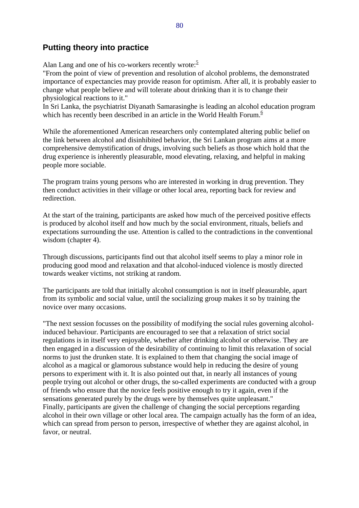#### **Putting theory into practice**

Alan Lang and one of his co-workers recently wrote:<sup>5</sup>

"From the point of view of prevention and resolution of alcohol problems, the demonstrated importance of expectancies may provide reason for optimism. After all, it is probably easier to change what people believe and will tolerate about drinking than it is to change their physiological reactions to it."

In Sri Lanka, the psychiatrist Diyanath Samarasinghe is leading an alcohol education program which has recently been described in an article in the World Health Forum.<sup>6</sup>

While the aforementioned American researchers only contemplated altering public belief on the link between alcohol and disinhibited behavior, the Sri Lankan program aims at a more comprehensive demystification of drugs, involving such beliefs as those which hold that the drug experience is inherently pleasurable, mood elevating, relaxing, and helpful in making people more sociable.

The program trains young persons who are interested in working in drug prevention. They then conduct activities in their village or other local area, reporting back for review and redirection.

At the start of the training, participants are asked how much of the perceived positive effects is produced by alcohol itself and how much by the social environment, rituals, beliefs and expectations surrounding the use. Attention is called to the contradictions in the conventional wisdom (chapter 4).

Through discussions, participants find out that alcohol itself seems to play a minor role in producing good mood and relaxation and that alcohol-induced violence is mostly directed towards weaker victims, not striking at random.

The participants are told that initially alcohol consumption is not in itself pleasurable, apart from its symbolic and social value, until the socializing group makes it so by training the novice over many occasions.

"The next session focusses on the possibility of modifying the social rules governing alcoholinduced behaviour. Participants are encouraged to see that a relaxation of strict social regulations is in itself very enjoyable, whether after drinking alcohol or otherwise. They are then engaged in a discussion of the desirability of continuing to limit this relaxation of social norms to just the drunken state. It is explained to them that changing the social image of alcohol as a magical or glamorous substance would help in reducing the desire of young persons to experiment with it. It is also pointed out that, in nearly all instances of young people trying out alcohol or other drugs, the so-called experiments are conducted with a group of friends who ensure that the novice feels positive enough to try it again, even if the sensations generated purely by the drugs were by themselves quite unpleasant." Finally, participants are given the challenge of changing the social perceptions regarding alcohol in their own village or other local area. The campaign actually has the form of an idea, which can spread from person to person, irrespective of whether they are against alcohol, in favor, or neutral.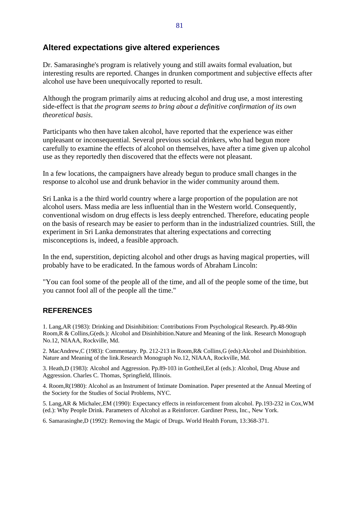#### **Altered expectations give altered experiences**

Dr. Samarasinghe's program is relatively young and still awaits formal evaluation, but interesting results are reported. Changes in drunken comportment and subjective effects after alcohol use have been unequivocally reported to result.

Although the program primarily aims at reducing alcohol and drug use, a most interesting side-effect is that *the program seems to bring about a definitive confirmation of its own theoretical basis*.

Participants who then have taken alcohol, have reported that the experience was either unpleasant or inconsequential. Several previous social drinkers, who had begun more carefully to examine the effects of alcohol on themselves, have after a time given up alcohol use as they reportedly then discovered that the effects were not pleasant.

In a few locations, the campaigners have already begun to produce small changes in the response to alcohol use and drunk behavior in the wider community around them.

Sri Lanka is a the third world country where a large proportion of the population are not alcohol users. Mass media are less influential than in the Western world. Consequently, conventional wisdom on drug effects is less deeply entrenched. Therefore, educating people on the basis of research may be easier to perform than in the industrialized countries. Still, the experiment in Sri Lanka demonstrates that altering expectations and correcting misconceptions is, indeed, a feasible approach.

In the end, superstition, depicting alcohol and other drugs as having magical properties, will probably have to be eradicated. In the famous words of Abraham Lincoln:

"You can fool some of the people all of the time, and all of the people some of the time, but you cannot fool all of the people all the time."

#### **REFERENCES**

1. Lang,AR (1983): Drinking and Disinhibition: Contributions From Psychological Research. Pp.48-90in Room,R & Collins,G(eds.): Alcohol and Disinhibition.Nature and Meaning of the link. Research Monograph No.12, NIAAA, Rockville, Md.

2. MacAndrew,C (1983): Commentary. Pp. 212-213 in Room,R& Collins,G (eds):Alcohol and Disinhibition. Nature and Meaning of the link.Research Monograph No.12, NIAAA, Rockville, Md.

3. Heath,D (1983): Alcohol and Aggression. Pp.89-103 in Gottheil,Eet al (eds.): Alcohol, Drug Abuse and Aggression. Charles C. Thomas, Springfield, Illinois.

4. Room,R(1980): Alcohol as an Instrument of Intimate Domination. Paper presented at the Annual Meeting of the Society for the Studies of Social Problems, NYC.

5. Lang,AR & Michalec,EM (1990): Expectancy effects in reinforcement from alcohol. Pp.193-232 in Cox,WM (ed.): Why People Drink. Parameters of Alcohol as a Reinforcer. Gardiner Press, Inc., New York.

6. Samarasinghe,D (1992): Removing the Magic of Drugs. World Health Forum, 13:368-371.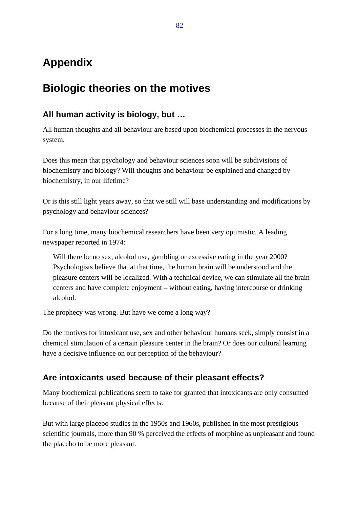# **Appendix**

# **Biologic theories on the motives**

## **All human activity is biology, but …**

All human thoughts and all behaviour are based upon biochemical processes in the nervous system.

Does this mean that psychology and behaviour sciences soon will be subdivisions of biochemistry and biology? Will thoughts and behaviour be explained and changed by biochemistry, in our lifetime?

Or is this still light years away, so that we still will base understanding and modifications by psychology and behaviour sciences?

For a long time, many biochemical researchers have been very optimistic. A leading newspaper reported in 1974:

Will there be no sex, alcohol use, gambling or excessive eating in the year 2000? Psychologists believe that at that time, the human brain will be understood and the pleasure centers will be localized. With a technical device, we can stimulate all the brain centers and have complete enjoyment – without eating, having intercourse or drinking alcohol.

The prophecy was wrong. But have we come a long way?

Do the motives for intoxicant use, sex and other behaviour humans seek, simply consist in a chemical stimulation of a certain pleasure center in the brain? Or does our cultural learning have a decisive influence on our perception of the behaviour?

## **Are intoxicants used because of their pleasant effects?**

Many biochemical publications seem to take for granted that intoxicants are only consumed because of their pleasant physical effects.

But with large placebo studies in the 1950s and 1960s, published in the most prestigious scientific journals, more than 90 % perceived the effects of morphine as unpleasant and found the placebo to be more pleasant.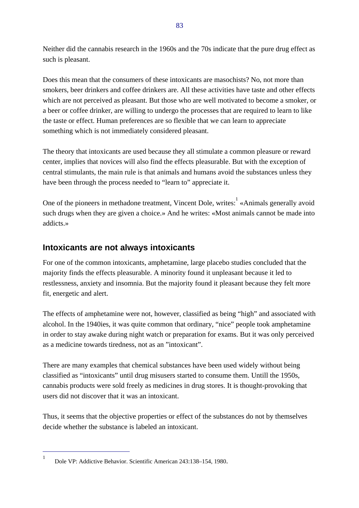Neither did the cannabis research in the 1960s and the 70s indicate that the pure drug effect as such is pleasant.

Does this mean that the consumers of these intoxicants are masochists? No, not more than smokers, beer drinkers and coffee drinkers are. All these activities have taste and other effects which are not perceived as pleasant. But those who are well motivated to become a smoker, or a beer or coffee drinker, are willing to undergo the processes that are required to learn to like the taste or effect. Human preferences are so flexible that we can learn to appreciate something which is not immediately considered pleasant.

The theory that intoxicants are used because they all stimulate a common pleasure or reward center, implies that novices will also find the effects pleasurable. But with the exception of central stimulants, the main rule is that animals and humans avoid the substances unless they have been through the process needed to "learn to" appreciate it.

One of the pioneers in methadone treatment, Vincent Dole, writes:  $\alpha$ <sup>1</sup> «Animals generally avoid such drugs when they are given a choice.» And he writes: «Most animals cannot be made into addicts.»

## **Intoxicants are not always intoxicants**

For one of the common intoxicants, amphetamine, large placebo studies concluded that the majority finds the effects pleasurable. A minority found it unpleasant because it led to restlessness, anxiety and insomnia. But the majority found it pleasant because they felt more fit, energetic and alert.

The effects of amphetamine were not, however, classified as being "high" and associated with alcohol. In the 1940ies, it was quite common that ordinary, "nice" people took amphetamine in order to stay awake during night watch or preparation for exams. But it was only perceived as a medicine towards tiredness, not as an "intoxicant".

There are many examples that chemical substances have been used widely without being classified as "intoxicants" until drug misusers started to consume them. Untill the 1950s, cannabis products were sold freely as medicines in drug stores. It is thought-provoking that users did not discover that it was an intoxicant.

Thus, it seems that the objective properties or effect of the substances do not by themselves decide whether the substance is labeled an intoxicant.

 $\overline{a}$ 1

Dole VP: Addictive Behavior. Scientific American 243:138–154, 1980.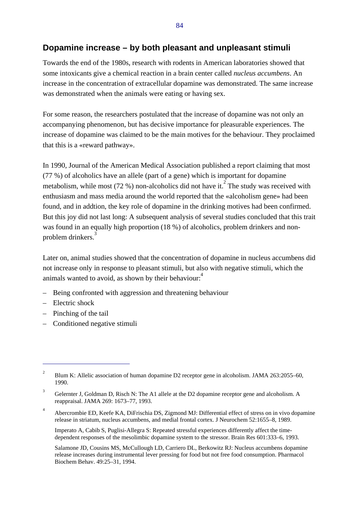## **Dopamine increase – by both pleasant and unpleasant stimuli**

Towards the end of the 1980s, research with rodents in American laboratories showed that some intoxicants give a chemical reaction in a brain center called *nucleus accumbens*. An increase in the concentration of extracellular dopamine was demonstrated. The same increase was demonstrated when the animals were eating or having sex.

For some reason, the researchers postulated that the increase of dopamine was not only an accompanying phenomenon, but has decisive importance for pleasurable experiences. The increase of dopamine was claimed to be the main motives for the behaviour. They proclaimed that this is a «reward pathway».

In 1990, Journal of the American Medical Association published a report claiming that most (77 %) of alcoholics have an allele (part of a gene) which is important for dopamine metabolism, while most (72 %) non-alcoholics did not have it.<sup>2</sup> The study was received with enthusiasm and mass media around the world reported that the «alcoholism gene» had been found, and in addtion, the key role of dopamine in the drinking motives had been confirmed. But this joy did not last long: A subsequent analysis of several studies concluded that this trait was found in an equally high proportion (18 %) of alcoholics, problem drinkers and nonproblem drinkers.<sup>3</sup>

Later on, animal studies showed that the concentration of dopamine in nucleus accumbens did not increase only in response to pleasant stimuli, but also with negative stimuli, which the animals wanted to avoid, as shown by their behaviour:<sup>4</sup>

- Being confronted with aggression and threatening behaviour
- Electric shock

 $\overline{a}$ 

- Pinching of the tail
- Conditioned negative stimuli

<sup>2</sup> Blum K: Allelic association of human dopamine D2 receptor gene in alcoholism. JAMA 263:2055–60, 1990.

<sup>3</sup> Gelernter J, Goldman D, Risch N: The A1 allele at the D2 dopamine receptor gene and alcoholism. A reappraisal. JAMA 269: 1673–77, 1993.

<sup>4</sup> Abercrombie ED, Keefe KA, DiFrischia DS, Zigmond MJ: Differential effect of stress on in vivo dopamine release in striatum, nucleus accumbens, and medial frontal cortex. J Neurochem 52:1655–8, 1989.

Imperato A, Cabib S, Puglisi-Allegra S: Repeated stressful experiences differently affect the timedependent responses of the mesolimbic dopamine system to the stressor. Brain Res 601:333–6, 1993.

Salamone JD, Cousins MS, McCullough LD, Carriero DL, Berkowitz RJ: Nucleus accumbens dopamine release increases during instrumental lever pressing for food but not free food consumption. Pharmacol Biochem Behav. 49:25–31, 1994.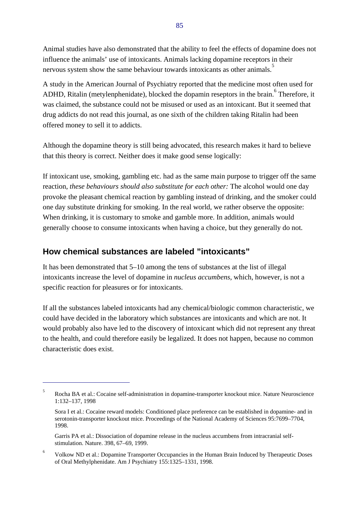Animal studies have also demonstrated that the ability to feel the effects of dopamine does not influence the animals' use of intoxicants. Animals lacking dopamine receptors in their nervous system show the same behaviour towards intoxicants as other animals.<sup>5</sup>

A study in the American Journal of Psychiatry reported that the medicine most often used for ADHD, Ritalin (metylenphenidate), blocked the dopamin reseptors in the brain. <sup>6</sup> Therefore, it was claimed, the substance could not be misused or used as an intoxicant. But it seemed that drug addicts do not read this journal, as one sixth of the children taking Ritalin had been offered money to sell it to addicts.

Although the dopamine theory is still being advocated, this research makes it hard to believe that this theory is correct. Neither does it make good sense logically:

If intoxicant use, smoking, gambling etc. had as the same main purpose to trigger off the same reaction, *these behaviours should also substitute for each other:* The alcohol would one day provoke the pleasant chemical reaction by gambling instead of drinking, and the smoker could one day substitute drinking for smoking. In the real world, we rather observe the opposite: When drinking, it is customary to smoke and gamble more. In addition, animals would generally choose to consume intoxicants when having a choice, but they generally do not.

## **How chemical substances are labeled "intoxicants"**

 $\overline{1}$ 

It has been demonstrated that 5–10 among the tens of substances at the list of illegal intoxicants increase the level of dopamine in *nucleus accumbens*, which, however, is not a specific reaction for pleasures or for intoxicants.

If all the substances labeled intoxicants had any chemical/biologic common characteristic, we could have decided in the laboratory which substances are intoxicants and which are not. It would probably also have led to the discovery of intoxicant which did not represent any threat to the health, and could therefore easily be legalized. It does not happen, because no common characteristic does exist.

<sup>5</sup> Rocha BA et al.: Cocaine self-administration in dopamine-transporter knockout mice. Nature Neuroscience 1:132–137, 1998

Sora I et al.: Cocaine reward models: Conditioned place preference can be established in dopamine- and in serotonin-transporter knockout mice. Proceedings of the National Academy of Sciences 95:7699–7704, 1998.

Garris PA et al.: Dissociation of dopamine release in the nucleus accumbens from intracranial selfstimulation. Nature. 398, 67–69, 1999.

<sup>6</sup> Volkow ND et al.: Dopamine Transporter Occupancies in the Human Brain Induced by Therapeutic Doses of Oral Methylphenidate. Am J Psychiatry 155:1325–1331, 1998.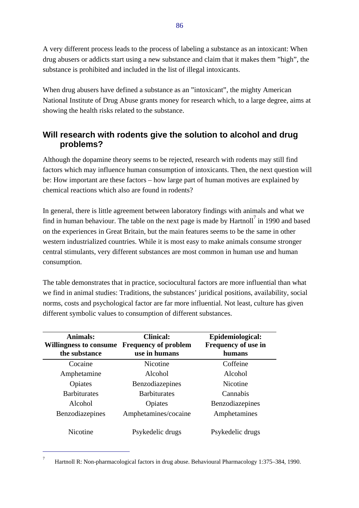A very different process leads to the process of labeling a substance as an intoxicant: When drug abusers or addicts start using a new substance and claim that it makes them "high", the substance is prohibited and included in the list of illegal intoxicants.

When drug abusers have defined a substance as an "intoxicant", the mighty American National Institute of Drug Abuse grants money for research which, to a large degree, aims at showing the health risks related to the substance.

## **Will research with rodents give the solution to alcohol and drug problems?**

Although the dopamine theory seems to be rejected, research with rodents may still find factors which may influence human consumption of intoxicants. Then, the next question will be: How important are these factors – how large part of human motives are explained by chemical reactions which also are found in rodents?

In general, there is little agreement between laboratory findings with animals and what we find in human behaviour. The table on the next page is made by Hartnoll<sup>7</sup> in 1990 and based on the experiences in Great Britain, but the main features seems to be the same in other western industrialized countries. While it is most easy to make animals consume stronger central stimulants, very different substances are most common in human use and human consumption.

The table demonstrates that in practice, sociocultural factors are more influential than what we find in animal studies: Traditions, the substances' juridical positions, availability, social norms, costs and psychological factor are far more influential. Not least, culture has given different symbolic values to consumption of different substances.

| <b>Animals:</b><br>Willingness to consume<br>the substance | <b>Clinical:</b><br><b>Frequency of problem</b><br>use in humans | Epidemiological:<br>Frequency of use in<br>humans |
|------------------------------------------------------------|------------------------------------------------------------------|---------------------------------------------------|
| Cocaine                                                    | <b>Nicotine</b>                                                  | Coffeine                                          |
| Amphetamine                                                | Alcohol                                                          | Alcohol                                           |
| Opiates                                                    | Benzodiazepines                                                  | Nicotine                                          |
| <b>Barbiturates</b>                                        | <b>Barbiturates</b>                                              | Cannabis                                          |
| Alcohol                                                    | Opiates                                                          | Benzodiazepines                                   |
| Benzodiazepines                                            | Amphetamines/cocaine                                             | Amphetamines                                      |
| Nicotine                                                   | Psykedelic drugs                                                 | Psykedelic drugs                                  |

 $\overline{a}$ 

<sup>7</sup> Hartnoll R: Non-pharmacological factors in drug abuse. Behavioural Pharmacology 1:375–384, 1990.